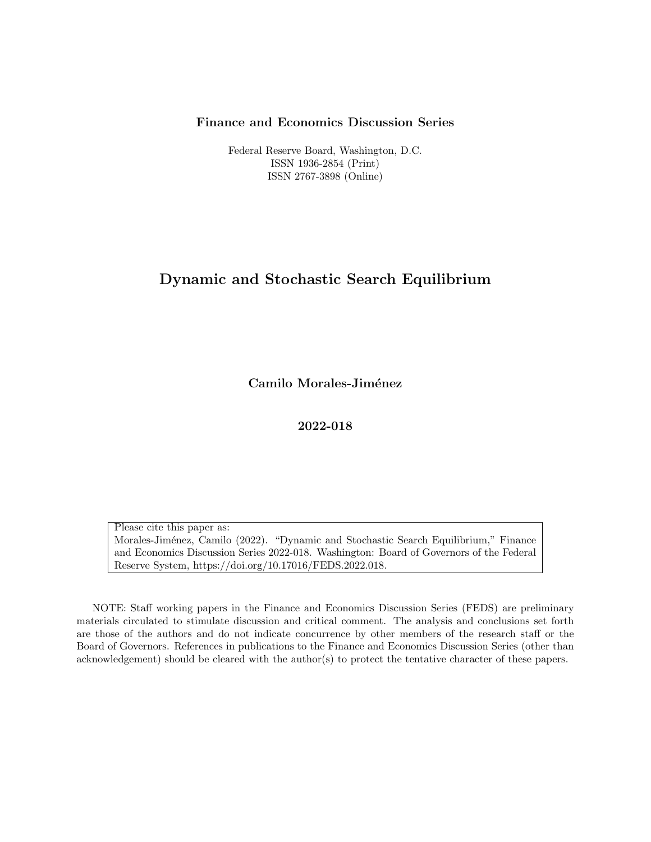#### Finance and Economics Discussion Series

Federal Reserve Board, Washington, D.C. ISSN 1936-2854 (Print) ISSN 2767-3898 (Online)

### Dynamic and Stochastic Search Equilibrium

Camilo Morales-Jiménez

2022-018

Please cite this paper as: Morales-Jiménez, Camilo (2022). "Dynamic and Stochastic Search Equilibrium," Finance and Economics Discussion Series 2022-018. Washington: Board of Governors of the Federal Reserve System, https://doi.org/10.17016/FEDS.2022.018.

NOTE: Staff working papers in the Finance and Economics Discussion Series (FEDS) are preliminary materials circulated to stimulate discussion and critical comment. The analysis and conclusions set forth are those of the authors and do not indicate concurrence by other members of the research staff or the Board of Governors. References in publications to the Finance and Economics Discussion Series (other than acknowledgement) should be cleared with the author(s) to protect the tentative character of these papers.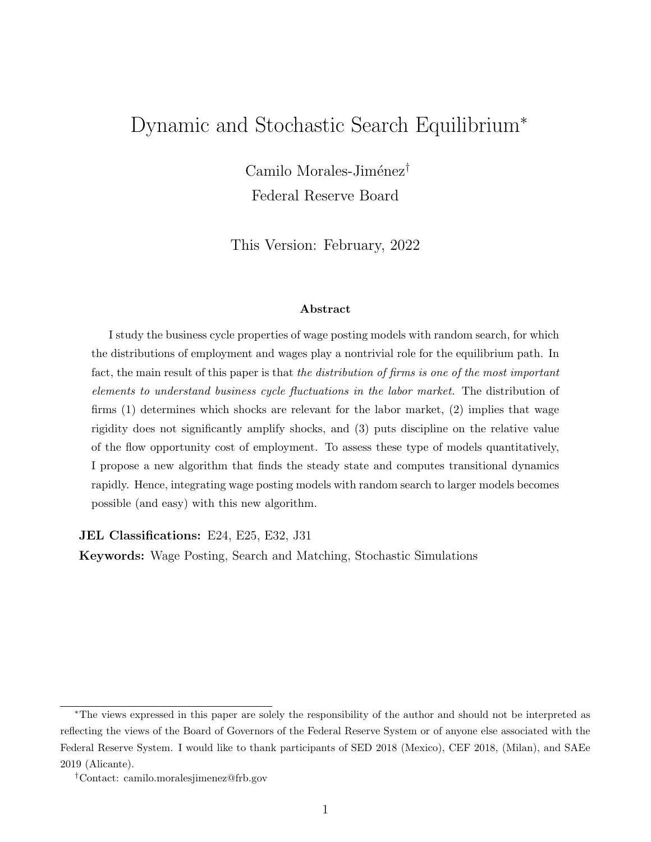## <span id="page-1-0"></span>Dynamic and Stochastic Search Equilibrium<sup>∗</sup>

Camilo Morales-Jiménez<sup>†</sup> Federal Reserve Board

This Version: February, 2022

#### Abstract

I study the business cycle properties of wage posting models with random search, for which the distributions of employment and wages play a nontrivial role for the equilibrium path. In fact, the main result of this paper is that the distribution of firms is one of the most important elements to understand business cycle fluctuations in the labor market. The distribution of firms (1) determines which shocks are relevant for the labor market, (2) implies that wage rigidity does not significantly amplify shocks, and (3) puts discipline on the relative value of the flow opportunity cost of employment. To assess these type of models quantitatively, I propose a new algorithm that finds the steady state and computes transitional dynamics rapidly. Hence, integrating wage posting models with random search to larger models becomes possible (and easy) with this new algorithm.

JEL Classifications: E24, E25, E32, J31

Keywords: Wage Posting, Search and Matching, Stochastic Simulations

<sup>∗</sup>The views expressed in this paper are solely the responsibility of the author and should not be interpreted as reflecting the views of the Board of Governors of the Federal Reserve System or of anyone else associated with the Federal Reserve System. I would like to thank participants of SED 2018 (Mexico), CEF 2018, (Milan), and SAEe 2019 (Alicante).

<sup>†</sup>Contact: camilo.moralesjimenez@frb.gov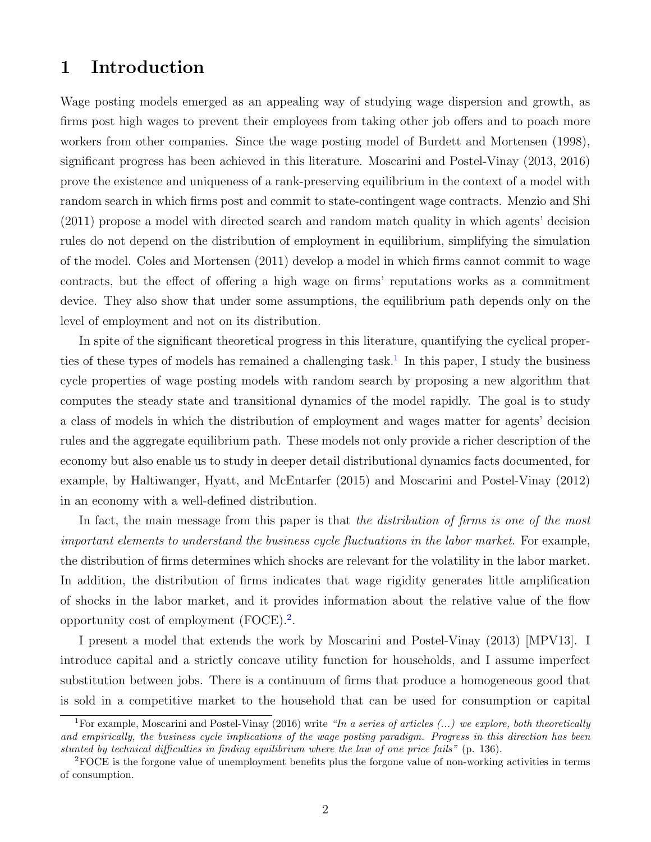## 1 Introduction

Wage posting models emerged as an appealing way of studying wage dispersion and growth, as firms post high wages to prevent their employees from taking other job offers and to poach more workers from other companies. Since the wage posting model of Burdett and Mortensen (1998), significant progress has been achieved in this literature. Moscarini and Postel-Vinay (2013, 2016) prove the existence and uniqueness of a rank-preserving equilibrium in the context of a model with random search in which firms post and commit to state-contingent wage contracts. Menzio and Shi (2011) propose a model with directed search and random match quality in which agents' decision rules do not depend on the distribution of employment in equilibrium, simplifying the simulation of the model. Coles and Mortensen (2011) develop a model in which firms cannot commit to wage contracts, but the effect of offering a high wage on firms' reputations works as a commitment device. They also show that under some assumptions, the equilibrium path depends only on the level of employment and not on its distribution.

In spite of the significant theoretical progress in this literature, quantifying the cyclical proper-ties of these types of models has remained a challenging task.<sup>[1](#page-1-0)</sup> In this paper, I study the business cycle properties of wage posting models with random search by proposing a new algorithm that computes the steady state and transitional dynamics of the model rapidly. The goal is to study a class of models in which the distribution of employment and wages matter for agents' decision rules and the aggregate equilibrium path. These models not only provide a richer description of the economy but also enable us to study in deeper detail distributional dynamics facts documented, for example, by Haltiwanger, Hyatt, and McEntarfer (2015) and Moscarini and Postel-Vinay (2012) in an economy with a well-defined distribution.

In fact, the main message from this paper is that the distribution of firms is one of the most important elements to understand the business cycle fluctuations in the labor market. For example, the distribution of firms determines which shocks are relevant for the volatility in the labor market. In addition, the distribution of firms indicates that wage rigidity generates little amplification of shocks in the labor market, and it provides information about the relative value of the flow opportunity cost of employment  $(FOCE)^2$  $(FOCE)^2$ .

I present a model that extends the work by Moscarini and Postel-Vinay (2013) [MPV13]. I introduce capital and a strictly concave utility function for households, and I assume imperfect substitution between jobs. There is a continuum of firms that produce a homogeneous good that is sold in a competitive market to the household that can be used for consumption or capital

<sup>&</sup>lt;sup>1</sup>For example, Moscarini and Postel-Vinay (2016) write "In a series of articles  $(...)$  we explore, both theoretically and empirically, the business cycle implications of the wage posting paradigm. Progress in this direction has been stunted by technical difficulties in finding equilibrium where the law of one price fails" (p. 136).

<sup>2</sup>FOCE is the forgone value of unemployment benefits plus the forgone value of non-working activities in terms of consumption.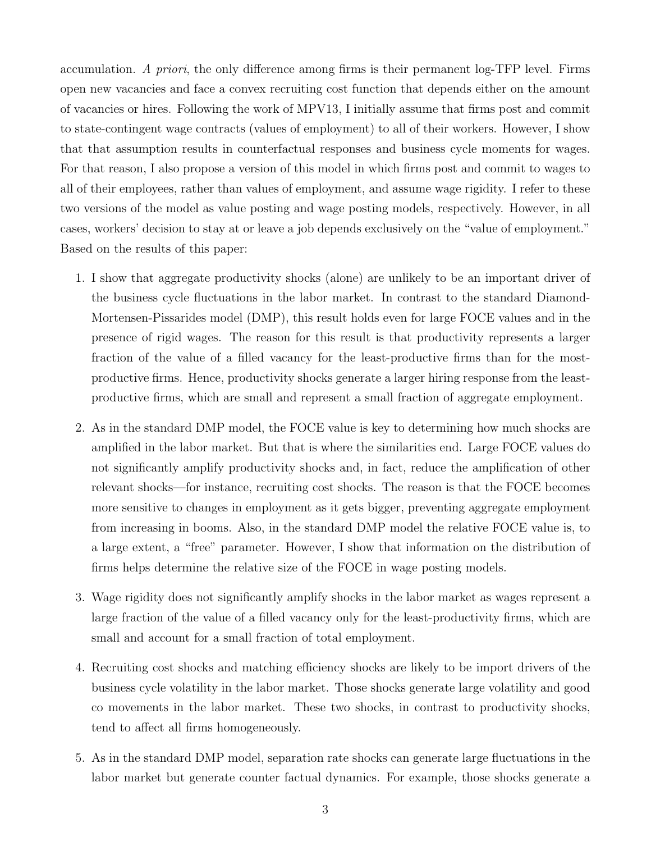accumulation. A priori, the only difference among firms is their permanent log-TFP level. Firms open new vacancies and face a convex recruiting cost function that depends either on the amount of vacancies or hires. Following the work of MPV13, I initially assume that firms post and commit to state-contingent wage contracts (values of employment) to all of their workers. However, I show that that assumption results in counterfactual responses and business cycle moments for wages. For that reason, I also propose a version of this model in which firms post and commit to wages to all of their employees, rather than values of employment, and assume wage rigidity. I refer to these two versions of the model as value posting and wage posting models, respectively. However, in all cases, workers' decision to stay at or leave a job depends exclusively on the "value of employment." Based on the results of this paper:

- 1. I show that aggregate productivity shocks (alone) are unlikely to be an important driver of the business cycle fluctuations in the labor market. In contrast to the standard Diamond-Mortensen-Pissarides model (DMP), this result holds even for large FOCE values and in the presence of rigid wages. The reason for this result is that productivity represents a larger fraction of the value of a filled vacancy for the least-productive firms than for the mostproductive firms. Hence, productivity shocks generate a larger hiring response from the leastproductive firms, which are small and represent a small fraction of aggregate employment.
- 2. As in the standard DMP model, the FOCE value is key to determining how much shocks are amplified in the labor market. But that is where the similarities end. Large FOCE values do not significantly amplify productivity shocks and, in fact, reduce the amplification of other relevant shocks—for instance, recruiting cost shocks. The reason is that the FOCE becomes more sensitive to changes in employment as it gets bigger, preventing aggregate employment from increasing in booms. Also, in the standard DMP model the relative FOCE value is, to a large extent, a "free" parameter. However, I show that information on the distribution of firms helps determine the relative size of the FOCE in wage posting models.
- 3. Wage rigidity does not significantly amplify shocks in the labor market as wages represent a large fraction of the value of a filled vacancy only for the least-productivity firms, which are small and account for a small fraction of total employment.
- 4. Recruiting cost shocks and matching efficiency shocks are likely to be import drivers of the business cycle volatility in the labor market. Those shocks generate large volatility and good co movements in the labor market. These two shocks, in contrast to productivity shocks, tend to affect all firms homogeneously.
- 5. As in the standard DMP model, separation rate shocks can generate large fluctuations in the labor market but generate counter factual dynamics. For example, those shocks generate a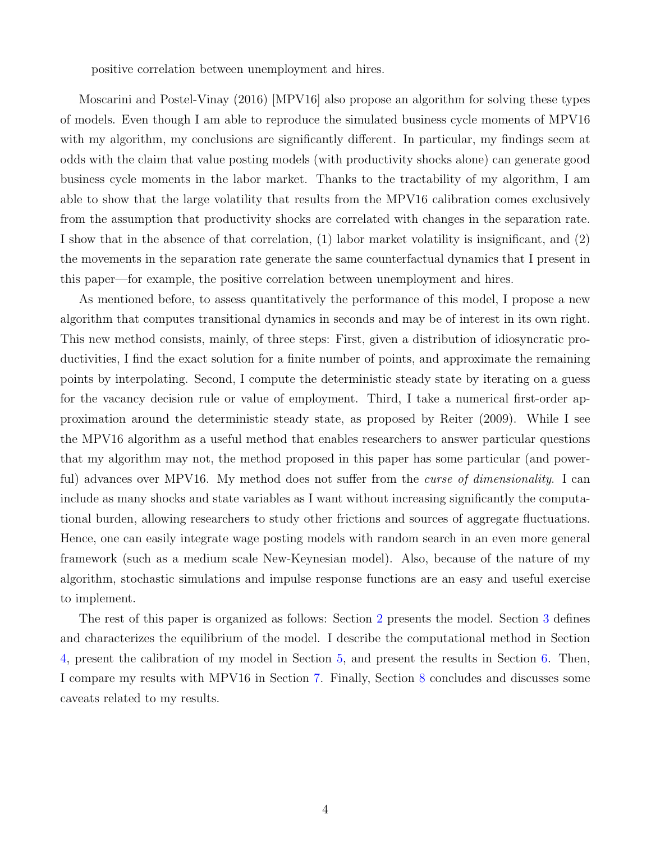positive correlation between unemployment and hires.

Moscarini and Postel-Vinay (2016) [MPV16] also propose an algorithm for solving these types of models. Even though I am able to reproduce the simulated business cycle moments of MPV16 with my algorithm, my conclusions are significantly different. In particular, my findings seem at odds with the claim that value posting models (with productivity shocks alone) can generate good business cycle moments in the labor market. Thanks to the tractability of my algorithm, I am able to show that the large volatility that results from the MPV16 calibration comes exclusively from the assumption that productivity shocks are correlated with changes in the separation rate. I show that in the absence of that correlation, (1) labor market volatility is insignificant, and (2) the movements in the separation rate generate the same counterfactual dynamics that I present in this paper—for example, the positive correlation between unemployment and hires.

As mentioned before, to assess quantitatively the performance of this model, I propose a new algorithm that computes transitional dynamics in seconds and may be of interest in its own right. This new method consists, mainly, of three steps: First, given a distribution of idiosyncratic productivities, I find the exact solution for a finite number of points, and approximate the remaining points by interpolating. Second, I compute the deterministic steady state by iterating on a guess for the vacancy decision rule or value of employment. Third, I take a numerical first-order approximation around the deterministic steady state, as proposed by Reiter (2009). While I see the MPV16 algorithm as a useful method that enables researchers to answer particular questions that my algorithm may not, the method proposed in this paper has some particular (and powerful) advances over MPV16. My method does not suffer from the *curse of dimensionality*. I can include as many shocks and state variables as I want without increasing significantly the computational burden, allowing researchers to study other frictions and sources of aggregate fluctuations. Hence, one can easily integrate wage posting models with random search in an even more general framework (such as a medium scale New-Keynesian model). Also, because of the nature of my algorithm, stochastic simulations and impulse response functions are an easy and useful exercise to implement.

The rest of this paper is organized as follows: Section [2](#page-5-0) presents the model. Section [3](#page-10-0) defines and characterizes the equilibrium of the model. I describe the computational method in Section [4,](#page-12-0) present the calibration of my model in Section [5,](#page-19-0) and present the results in Section [6.](#page-21-0) Then, I compare my results with MPV16 in Section [7.](#page-31-0) Finally, Section [8](#page-34-0) concludes and discusses some caveats related to my results.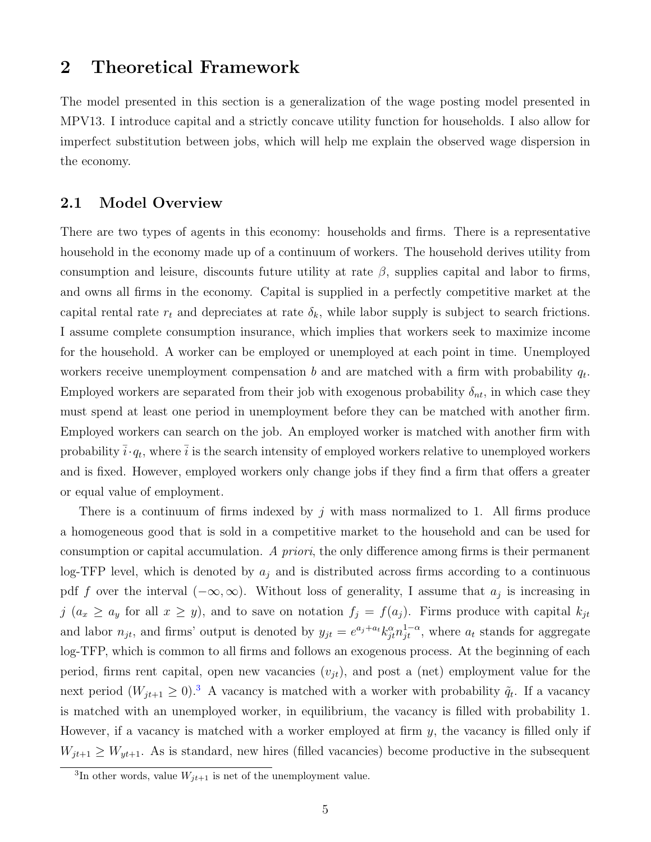### <span id="page-5-0"></span>2 Theoretical Framework

The model presented in this section is a generalization of the wage posting model presented in MPV13. I introduce capital and a strictly concave utility function for households. I also allow for imperfect substitution between jobs, which will help me explain the observed wage dispersion in the economy.

### 2.1 Model Overview

There are two types of agents in this economy: households and firms. There is a representative household in the economy made up of a continuum of workers. The household derives utility from consumption and leisure, discounts future utility at rate  $\beta$ , supplies capital and labor to firms, and owns all firms in the economy. Capital is supplied in a perfectly competitive market at the capital rental rate  $r_t$  and depreciates at rate  $\delta_k$ , while labor supply is subject to search frictions. I assume complete consumption insurance, which implies that workers seek to maximize income for the household. A worker can be employed or unemployed at each point in time. Unemployed workers receive unemployment compensation b and are matched with a firm with probability  $q_t$ . Employed workers are separated from their job with exogenous probability  $\delta_{nt}$ , in which case they must spend at least one period in unemployment before they can be matched with another firm. Employed workers can search on the job. An employed worker is matched with another firm with probability  $\bar{i}\cdot q_t$ , where  $\bar{i}$  is the search intensity of employed workers relative to unemployed workers and is fixed. However, employed workers only change jobs if they find a firm that offers a greater or equal value of employment.

There is a continuum of firms indexed by  $j$  with mass normalized to 1. All firms produce a homogeneous good that is sold in a competitive market to the household and can be used for consumption or capital accumulation. A priori, the only difference among firms is their permanent log-TFP level, which is denoted by  $a_j$  and is distributed across firms according to a continuous pdf f over the interval  $(-\infty,\infty)$ . Without loss of generality, I assume that  $a_j$  is increasing in j  $(a_x \ge a_y$  for all  $x \ge y)$ , and to save on notation  $f_j = f(a_j)$ . Firms produce with capital  $k_{jt}$ and labor  $n_{jt}$ , and firms' output is denoted by  $y_{jt} = e^{a_j + a_t} k_{jt}^{\alpha} n_{jt}^{1-\alpha}$ , where  $a_t$  stands for aggregate log-TFP, which is common to all firms and follows an exogenous process. At the beginning of each period, firms rent capital, open new vacancies  $(v_{it})$ , and post a (net) employment value for the next period  $(W_{jt+1} \geq 0)^3$  $(W_{jt+1} \geq 0)^3$ . A vacancy is matched with a worker with probability  $\tilde{q}_t$ . If a vacancy is matched with an unemployed worker, in equilibrium, the vacancy is filled with probability 1. However, if a vacancy is matched with a worker employed at firm  $y$ , the vacancy is filled only if  $W_{jt+1} \geq W_{yt+1}$ . As is standard, new hires (filled vacancies) become productive in the subsequent

<sup>&</sup>lt;sup>3</sup>In other words, value  $W_{jt+1}$  is net of the unemployment value.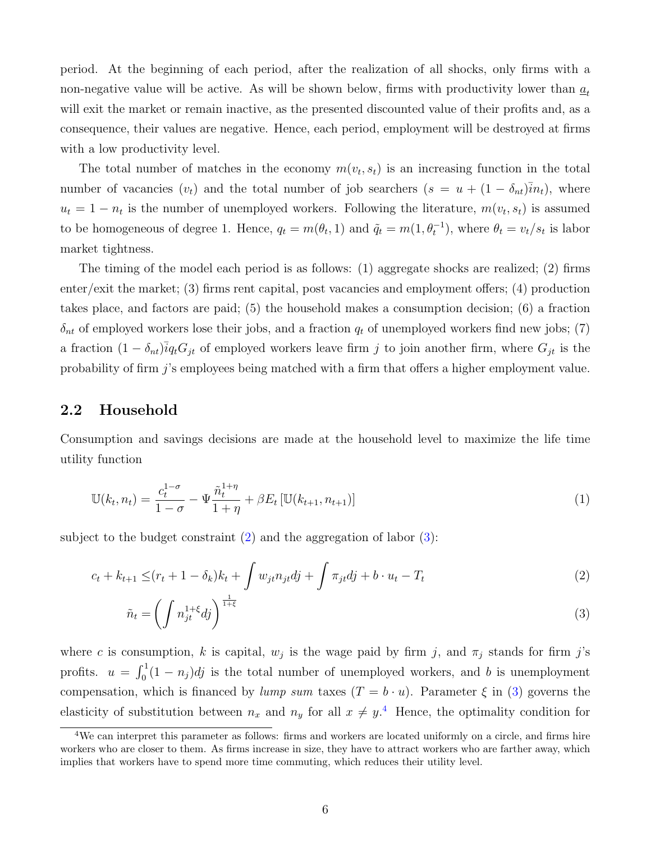period. At the beginning of each period, after the realization of all shocks, only firms with a non-negative value will be active. As will be shown below, firms with productivity lower than  $a_t$ will exit the market or remain inactive, as the presented discounted value of their profits and, as a consequence, their values are negative. Hence, each period, employment will be destroyed at firms with a low productivity level.

The total number of matches in the economy  $m(v_t, s_t)$  is an increasing function in the total number of vacancies  $(v_t)$  and the total number of job searchers  $(s = u + (1 - \delta_{nt})\overline{i}n_t)$ , where  $u_t = 1 - n_t$  is the number of unemployed workers. Following the literature,  $m(v_t, s_t)$  is assumed to be homogeneous of degree 1. Hence,  $q_t = m(\theta_t, 1)$  and  $\tilde{q}_t = m(1, \theta_t^{-1})$ , where  $\theta_t = v_t/s_t$  is labor market tightness.

The timing of the model each period is as follows: (1) aggregate shocks are realized; (2) firms enter/exit the market; (3) firms rent capital, post vacancies and employment offers; (4) production takes place, and factors are paid; (5) the household makes a consumption decision; (6) a fraction  $\delta_{nt}$  of employed workers lose their jobs, and a fraction  $q_t$  of unemployed workers find new jobs; (7) a fraction  $(1 - \delta_{nt})\overline{i}q_tG_{jt}$  of employed workers leave firm j to join another firm, where  $G_{jt}$  is the probability of firm j's employees being matched with a firm that offers a higher employment value.

### 2.2 Household

Consumption and savings decisions are made at the household level to maximize the life time utility function

$$
\mathbb{U}(k_t, n_t) = \frac{c_t^{1-\sigma}}{1-\sigma} - \Psi \frac{\tilde{n}_t^{1+\eta}}{1+\eta} + \beta E_t \left[ \mathbb{U}(k_{t+1}, n_{t+1}) \right]
$$
(1)

subject to the budget constraint  $(2)$  and the aggregation of labor  $(3)$ :

$$
c_{t} + k_{t+1} \leq (r_{t} + 1 - \delta_{k})k_{t} + \int w_{jt}n_{jt}dj + \int \pi_{jt}dj + b \cdot u_{t} - T_{t}
$$
\n(2)

<span id="page-6-1"></span><span id="page-6-0"></span>
$$
\tilde{n}_t = \left(\int n_{jt}^{1+\xi} dj\right)^{\frac{1}{1+\xi}}
$$
\n(3)

where c is consumption, k is capital,  $w_j$  is the wage paid by firm j, and  $\pi_j$  stands for firm j's profits.  $u = \int_0^1 (1 - n_j) \, dj$  is the total number of unemployed workers, and b is unemployment compensation, which is financed by lump sum taxes  $(T = b \cdot u)$ . Parameter  $\xi$  in [\(3\)](#page-6-1) governs the elasticity of substitution between  $n_x$  and  $n_y$  for all  $x \neq y$ .<sup>[4](#page-1-0)</sup> Hence, the optimality condition for

 $4$ We can interpret this parameter as follows: firms and workers are located uniformly on a circle, and firms hire workers who are closer to them. As firms increase in size, they have to attract workers who are farther away, which implies that workers have to spend more time commuting, which reduces their utility level.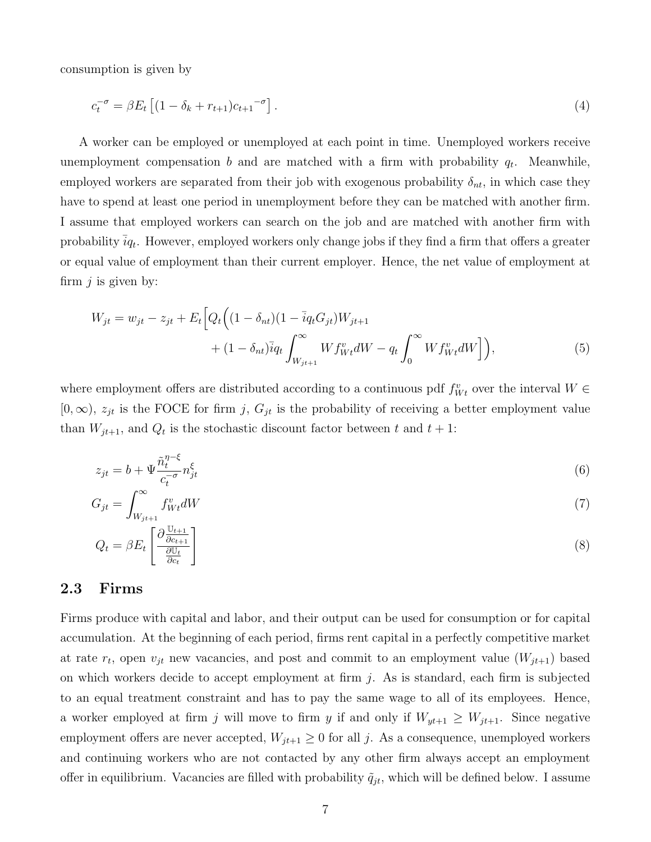consumption is given by

<span id="page-7-0"></span>
$$
c_t^{-\sigma} = \beta E_t \left[ (1 - \delta_k + r_{t+1}) c_{t+1}^{-\sigma} \right]. \tag{4}
$$

A worker can be employed or unemployed at each point in time. Unemployed workers receive unemployment compensation  $b$  and are matched with a firm with probability  $q_t$ . Meanwhile, employed workers are separated from their job with exogenous probability  $\delta_{nt}$ , in which case they have to spend at least one period in unemployment before they can be matched with another firm. I assume that employed workers can search on the job and are matched with another firm with probability  $\bar{i}q_t$ . However, employed workers only change jobs if they find a firm that offers a greater or equal value of employment than their current employer. Hence, the net value of employment at firm  $i$  is given by:

<span id="page-7-1"></span>
$$
W_{jt} = w_{jt} - z_{jt} + E_t \Big[ Q_t \Big( (1 - \delta_{nt})(1 - \bar{i}q_t G_{jt}) W_{jt+1} + (1 - \delta_{nt}) \bar{i}q_t \int_{W_{jt+1}}^{\infty} W f_{Wt}^v dW - q_t \int_0^{\infty} W f_{Wt}^v dW \Big] \Big), \tag{5}
$$

where employment offers are distributed according to a continuous pdf  $f_{Wt}^v$  over the interval  $W \in$  $[0,\infty)$ ,  $z_{jt}$  is the FOCE for firm j,  $G_{jt}$  is the probability of receiving a better employment value than  $W_{jt+1}$ , and  $Q_t$  is the stochastic discount factor between t and  $t+1$ :

$$
z_{jt} = b + \Psi \frac{\tilde{n}_t^{\eta - \xi}}{c_t^{-\sigma}} n_{jt}^{\xi} \tag{6}
$$

$$
G_{jt} = \int_{W_{jt+1}}^{\infty} f_{Wt}^v dW \tag{7}
$$

$$
Q_t = \beta E_t \left[ \frac{\partial \frac{\mathbb{U}_{t+1}}{\partial c_{t+1}}}{\partial \mathbb{U}_t} \right] \tag{8}
$$

### 2.3 Firms

Firms produce with capital and labor, and their output can be used for consumption or for capital accumulation. At the beginning of each period, firms rent capital in a perfectly competitive market at rate  $r_t$ , open  $v_{jt}$  new vacancies, and post and commit to an employment value  $(W_{jt+1})$  based on which workers decide to accept employment at firm  $j$ . As is standard, each firm is subjected to an equal treatment constraint and has to pay the same wage to all of its employees. Hence, a worker employed at firm j will move to firm y if and only if  $W_{yt+1} \geq W_{jt+1}$ . Since negative employment offers are never accepted,  $W_{jt+1} \geq 0$  for all j. As a consequence, unemployed workers and continuing workers who are not contacted by any other firm always accept an employment offer in equilibrium. Vacancies are filled with probability  $\tilde{q}_{it}$ , which will be defined below. I assume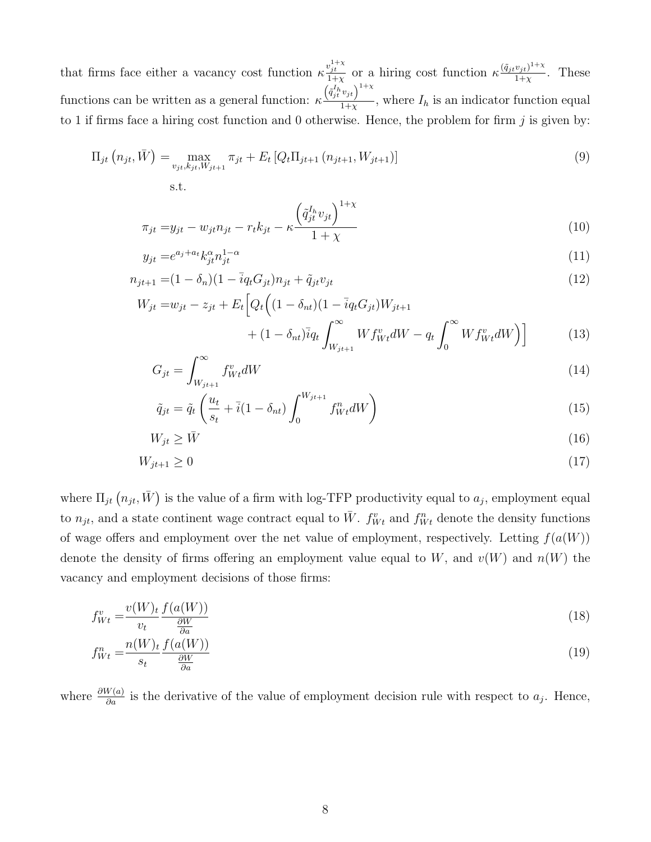that firms face either a vacancy cost function  $\kappa \frac{v_{jt}^{1+\chi}}{1+\chi}$  or a hiring cost function  $\kappa \frac{(\tilde{q}_{jt}v_{jt})^{1+\chi}}{1+\chi}$  $\frac{v_{jt}}{1+\chi}$ . These functions can be written as a general function:  $\kappa$  $\left(\tilde{q}_{jt}^{I_h}v_{jt}\right)^{1+\chi}$  $\frac{\partial f_i}{\partial x_i}$ , where  $I_h$  is an indicator function equal to 1 if firms face a hiring cost function and 0 otherwise. Hence, the problem for firm  $j$  is given by:

$$
\Pi_{jt} (n_{jt}, \bar{W}) = \max_{v_{jt}, k_{jt}, W_{jt+1}} \pi_{jt} + E_t [Q_t \Pi_{jt+1} (n_{jt+1}, W_{jt+1})]
$$
\n
$$
\text{s.t.} \tag{9}
$$

$$
\pi_{jt} = y_{jt} - w_{jt} n_{jt} - r_t k_{jt} - \kappa \frac{\left(\tilde{q}_{jt}^{I_h} v_{jt}\right)^{1+\chi}}{1+\chi}
$$
\n(10)

$$
y_{jt} = e^{a_j + a_t} k_{jt}^{\alpha} n_{jt}^{1-\alpha} \tag{11}
$$

$$
n_{jt+1} = (1 - \delta_n)(1 - \bar{i}q_t G_{jt})n_{jt} + \tilde{q}_{jt}v_{jt}
$$
\n(12)

$$
W_{jt} = w_{jt} - z_{jt} + E_t \Big[ Q_t \Big( (1 - \delta_{nt})(1 - \overline{i}q_t G_{jt}) W_{jt+1} - \Big( \delta_{nt} G_{jt} \Big) W_{jt+1} - \Big( \delta_{nt} G_{jt} \Big) W_{jt+1} \Big] \Big]
$$

<span id="page-8-0"></span>
$$
+ (1 - \delta_{nt})\bar{i}q_t \int_{W_{jt+1}}^{\infty} W f_{Wt}^v dW - q_t \int_0^{\infty} W f_{Wt}^v dW \Big) \Big]
$$
 (13)

$$
G_{jt} = \int_{W_{jt+1}}^{\infty} f_{Wt}^v dW \tag{14}
$$

$$
\tilde{q}_{jt} = \tilde{q}_t \left( \frac{u_t}{s_t} + \bar{i} (1 - \delta_{nt}) \int_0^{W_{jt+1}} f_{Wt}^n dW \right)
$$
\n(15)

$$
W_{jt} \ge \bar{W} \tag{16}
$$

$$
W_{jt+1} \ge 0\tag{17}
$$

where  $\Pi_{jt}(n_{jt}, \bar{W})$  is the value of a firm with log-TFP productivity equal to  $a_j$ , employment equal to  $n_{jt}$ , and a state continent wage contract equal to  $\bar{W}$ .  $f_{Wt}^v$  and  $f_{Wt}^n$  denote the density functions of wage offers and employment over the net value of employment, respectively. Letting  $f(a(W))$ denote the density of firms offering an employment value equal to W, and  $v(W)$  and  $n(W)$  the vacancy and employment decisions of those firms:

$$
f_{Wt}^{v} = \frac{v(W)_{t}}{v_{t}} \frac{f(a(W))}{\frac{\partial W}{\partial a}}
$$
(18)

$$
f_{Wt}^{n} = \frac{n(W)_{t}}{s_{t}} \frac{f(a(W))}{\frac{\partial W}{\partial a}}
$$
(19)

where  $\frac{\partial W(a)}{\partial a}$  is the derivative of the value of employment decision rule with respect to  $a_j$ . Hence,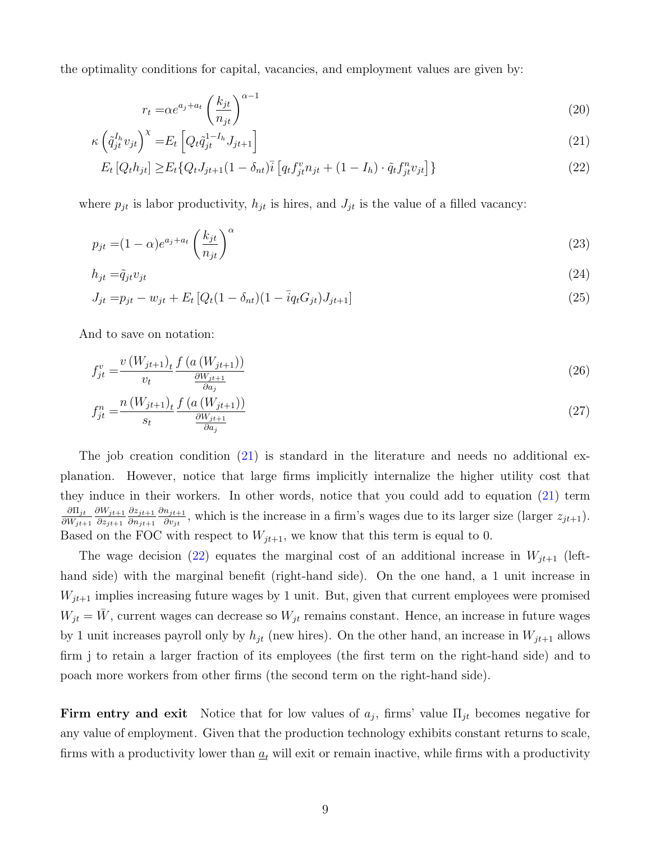the optimality conditions for capital, vacancies, and employment values are given by:

<span id="page-9-3"></span><span id="page-9-1"></span><span id="page-9-0"></span>
$$
r_t = \alpha e^{a_j + a_t} \left(\frac{k_{jt}}{n_{jt}}\right)^{\alpha - 1} \tag{20}
$$

$$
\kappa \left( \tilde{q}_{jt}^{I_h} v_{jt} \right)^{\chi} = E_t \left[ Q_t \tilde{q}_{jt}^{1-I_h} J_{jt+1} \right] \tag{21}
$$

$$
E_t[Q_t h_{jt}] \ge E_t\{Q_t J_{jt+1} (1 - \delta_{nt})\overline{i} \left[ q_t f_{jt}^v n_{jt} + (1 - I_h) \cdot \tilde{q}_t f_{jt}^n v_{jt} \right] \}
$$
\n(22)

where  $p_{jt}$  is labor productivity,  $h_{jt}$  is hires, and  $J_{jt}$  is the value of a filled vacancy:

$$
p_{jt} = (1 - \alpha)e^{a_j + a_t} \left(\frac{k_{jt}}{n_{jt}}\right)^{\alpha} \tag{23}
$$

$$
h_{jt} = \tilde{q}_{jt} v_{jt} \tag{24}
$$

<span id="page-9-2"></span>
$$
J_{jt} = p_{jt} - w_{jt} + E_t [Q_t (1 - \delta_{nt}) (1 - \bar{i} q_t G_{jt}) J_{jt+1}]
$$
\n(25)

And to save on notation:

$$
f_{jt}^{v} = \frac{v(W_{jt+1})_t}{v_t} \frac{f(a(W_{jt+1}))}{\frac{\partial W_{jt+1}}{\partial a_i}}
$$
(26)

$$
f_{jt}^n = \frac{n(W_{jt+1})_t}{s_t} \frac{f(a(W_{jt+1}))}{\frac{\partial W_{jt+1}}{\partial a_j}}
$$
\n(27)

The job creation condition [\(21\)](#page-9-0) is standard in the literature and needs no additional explanation. However, notice that large firms implicitly internalize the higher utility cost that they induce in their workers. In other words, notice that you could add to equation [\(21\)](#page-9-0) term  $\partial\Pi_{jt}$  $\partial W_{jt+1}$  $\partial W_{jt+1}$  $\partial z_{jt+1}$  $\partial z_{j\,t+1}$  $\partial n_{jt+1}$  $\partial n_{jt+1}$  $\frac{n_{j_t+1}}{\partial v_{jt}}$ , which is the increase in a firm's wages due to its larger size (larger  $z_{jt+1}$ ). Based on the FOC with respect to  $W_{jt+1}$ , we know that this term is equal to 0.

The wage decision [\(22\)](#page-9-1) equates the marginal cost of an additional increase in  $W_{jt+1}$  (lefthand side) with the marginal benefit (right-hand side). On the one hand, a 1 unit increase in  $W_{jt+1}$  implies increasing future wages by 1 unit. But, given that current employees were promised  $W_{jt} = \bar{W}$ , current wages can decrease so  $W_{jt}$  remains constant. Hence, an increase in future wages by 1 unit increases payroll only by  $h_{jt}$  (new hires). On the other hand, an increase in  $W_{jt+1}$  allows firm j to retain a larger fraction of its employees (the first term on the right-hand side) and to poach more workers from other firms (the second term on the right-hand side).

Firm entry and exit Notice that for low values of  $a_j$ , firms' value  $\Pi_{jt}$  becomes negative for any value of employment. Given that the production technology exhibits constant returns to scale, firms with a productivity lower than  $\underline{a}_t$  will exit or remain inactive, while firms with a productivity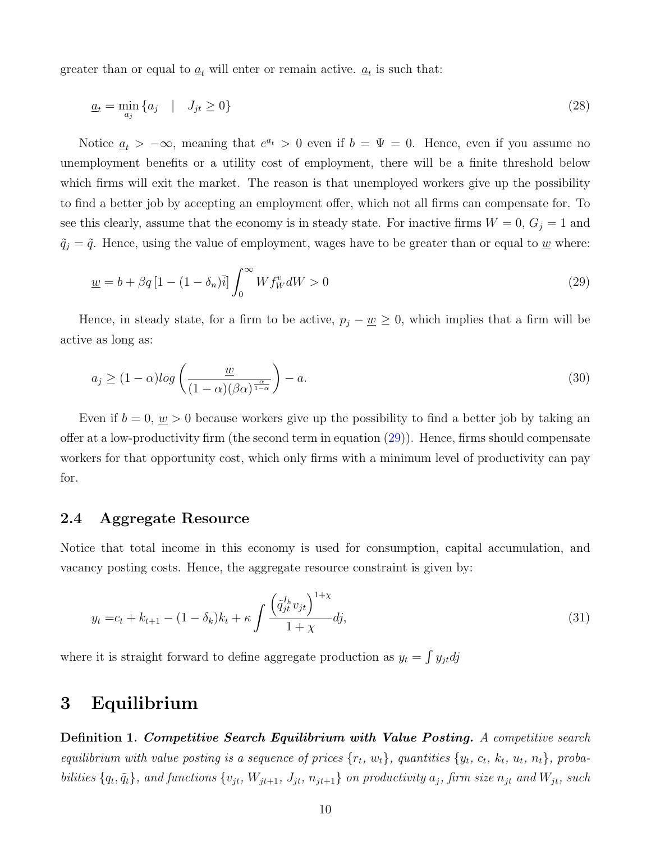greater than or equal to  $\underline{a}_t$  will enter or remain active.  $\underline{a}_t$  is such that:

<span id="page-10-2"></span>
$$
\underline{a}_t = \min_{a_j} \{ a_j \quad | \quad J_{jt} \ge 0 \} \tag{28}
$$

Notice  $\underline{a}_t > -\infty$ , meaning that  $e^{\underline{a}_t} > 0$  even if  $b = \Psi = 0$ . Hence, even if you assume no unemployment benefits or a utility cost of employment, there will be a finite threshold below which firms will exit the market. The reason is that unemployed workers give up the possibility to find a better job by accepting an employment offer, which not all firms can compensate for. To see this clearly, assume that the economy is in steady state. For inactive firms  $W = 0$ ,  $G_j = 1$  and  $\tilde{q}_j = \tilde{q}$ . Hence, using the value of employment, wages have to be greater than or equal to <u>w</u> where:

<span id="page-10-1"></span>
$$
\underline{w} = b + \beta q \left[ 1 - (1 - \delta_n) \overline{i} \right] \int_0^\infty W f_W^v dW > 0 \tag{29}
$$

Hence, in steady state, for a firm to be active,  $p_j - \underline{w} \geq 0$ , which implies that a firm will be active as long as:

$$
a_j \ge (1 - \alpha) \log \left( \frac{\underline{w}}{(1 - \alpha)(\beta \alpha)^{\frac{\alpha}{1 - \alpha}}} \right) - a. \tag{30}
$$

Even if  $b = 0$ ,  $w > 0$  because workers give up the possibility to find a better job by taking an offer at a low-productivity firm (the second term in equation [\(29\)](#page-10-1)). Hence, firms should compensate workers for that opportunity cost, which only firms with a minimum level of productivity can pay for.

#### 2.4 Aggregate Resource

Notice that total income in this economy is used for consumption, capital accumulation, and vacancy posting costs. Hence, the aggregate resource constraint is given by:

<span id="page-10-3"></span>
$$
y_t = c_t + k_{t+1} - (1 - \delta_k)k_t + \kappa \int \frac{\left(\tilde{q}_{jt}^{I_h} v_{jt}\right)^{1+\chi}}{1+\chi} dj,\tag{31}
$$

where it is straight forward to define aggregate production as  $y_t = \int y_{jt} dy$ 

## <span id="page-10-0"></span>3 Equilibrium

Definition 1. Competitive Search Equilibrium with Value Posting. A competitive search equilibrium with value posting is a sequence of prices  $\{r_t, w_t\}$ , quantities  $\{y_t, c_t, k_t, u_t, n_t\}$ , probabilities  $\{q_t, \tilde{q}_t\}$ , and functions  $\{v_{jt}, W_{jt+1}, J_{jt}, n_{jt+1}\}$  on productivity  $a_j$ , firm size  $n_{jt}$  and  $W_{jt}$ , such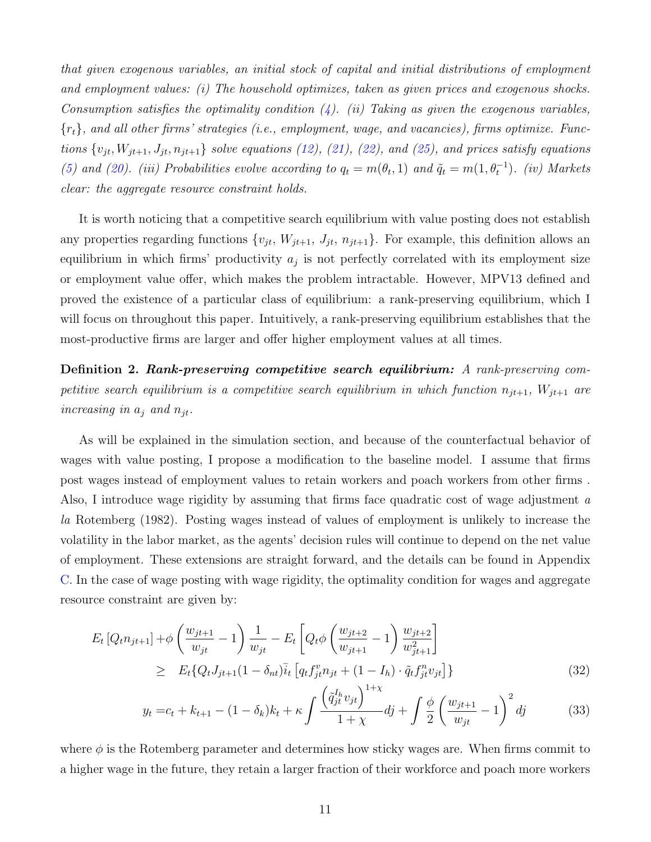that given exogenous variables, an initial stock of capital and initial distributions of employment and employment values: (i) The household optimizes, taken as given prices and exogenous shocks. Consumption satisfies the optimality condition  $(4)$ . (ii) Taking as given the exogenous variables,  ${r_t}$ , and all other firms' strategies (i.e., employment, wage, and vacancies), firms optimize. Functions  $\{v_{jt}, W_{jt+1}, J_{jt}, n_{jt+1}\}$  solve equations [\(12\)](#page-8-0), [\(21\)](#page-9-0), [\(22\)](#page-9-1), and [\(25\)](#page-9-2), and prices satisfy equations [\(5\)](#page-7-1) and [\(20\)](#page-9-3). (iii) Probabilities evolve according to  $q_t = m(\theta_t, 1)$  and  $\tilde{q}_t = m(1, \theta_t^{-1})$ . (iv) Markets clear: the aggregate resource constraint holds.

It is worth noticing that a competitive search equilibrium with value posting does not establish any properties regarding functions  $\{v_{jt}, W_{jt+1}, J_{jt}, n_{jt+1}\}$ . For example, this definition allows an equilibrium in which firms' productivity  $a_j$  is not perfectly correlated with its employment size or employment value offer, which makes the problem intractable. However, MPV13 defined and proved the existence of a particular class of equilibrium: a rank-preserving equilibrium, which I will focus on throughout this paper. Intuitively, a rank-preserving equilibrium establishes that the most-productive firms are larger and offer higher employment values at all times.

Definition 2. Rank-preserving competitive search equilibrium: A rank-preserving competitive search equilibrium is a competitive search equilibrium in which function  $n_{jt+1}$ ,  $W_{jt+1}$  are increasing in  $a_i$  and  $n_{jt}$ .

As will be explained in the simulation section, and because of the counterfactual behavior of wages with value posting, I propose a modification to the baseline model. I assume that firms post wages instead of employment values to retain workers and poach workers from other firms . Also, I introduce wage rigidity by assuming that firms face quadratic cost of wage adjustment  $a$ la Rotemberg (1982). Posting wages instead of values of employment is unlikely to increase the volatility in the labor market, as the agents' decision rules will continue to depend on the net value of employment. These extensions are straight forward, and the details can be found in Appendix [C.](#page-42-0) In the case of wage posting with wage rigidity, the optimality condition for wages and aggregate resource constraint are given by:

$$
E_t [Q_t n_{jt+1}] + \phi \left( \frac{w_{jt+1}}{w_{jt}} - 1 \right) \frac{1}{w_{jt}} - E_t \left[ Q_t \phi \left( \frac{w_{jt+2}}{w_{jt+1}} - 1 \right) \frac{w_{jt+2}}{w_{jt+1}^2} \right] \geq E_t \{ Q_t J_{jt+1} (1 - \delta_{nt}) \bar{i}_t \left[ q_t f_{jt}^v n_{jt} + (1 - I_h) \cdot \tilde{q}_t f_{jt}^n v_{jt} \right] \}
$$
\n(32)

$$
y_t = c_t + k_{t+1} - (1 - \delta_k)k_t + \kappa \int \frac{\left(\tilde{q}_{jt}^{I_h} v_{jt}\right)^{1+\chi}}{1+\chi} dj + \int \frac{\phi}{2} \left(\frac{w_{jt+1}}{w_{jt}} - 1\right)^2 dj \tag{33}
$$

where  $\phi$  is the Rotemberg parameter and determines how sticky wages are. When firms commit to a higher wage in the future, they retain a larger fraction of their workforce and poach more workers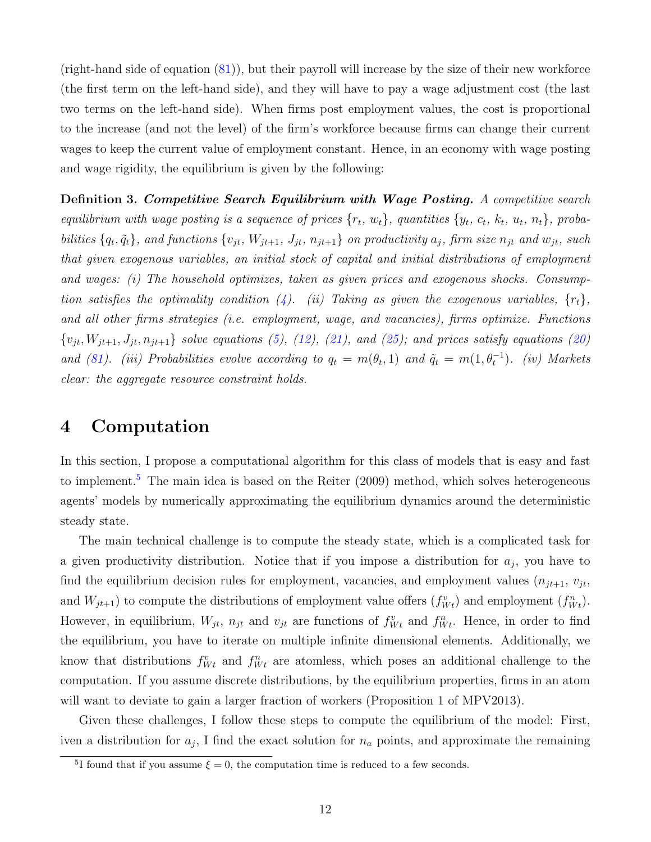(right-hand side of equation [\(81\)](#page-43-0)), but their payroll will increase by the size of their new workforce (the first term on the left-hand side), and they will have to pay a wage adjustment cost (the last two terms on the left-hand side). When firms post employment values, the cost is proportional to the increase (and not the level) of the firm's workforce because firms can change their current wages to keep the current value of employment constant. Hence, in an economy with wage posting and wage rigidity, the equilibrium is given by the following:

Definition 3. Competitive Search Equilibrium with Wage Posting. A competitive search equilibrium with wage posting is a sequence of prices  $\{r_t, w_t\}$ , quantities  $\{y_t, c_t, k_t, u_t, n_t\}$ , probabilities  $\{q_t, \tilde{q}_t\}$ , and functions  $\{v_{jt}, W_{jt+1}, J_{jt}, n_{jt+1}\}$  on productivity  $a_j$ , firm size  $n_{jt}$  and  $w_{jt}$ , such that given exogenous variables, an initial stock of capital and initial distributions of employment and wages: (i) The household optimizes, taken as given prices and exogenous shocks. Consump-tion satisfies the optimality condition [\(4\)](#page-7-0). (ii) Taking as given the exogenous variables,  $\{r_t\}$ , and all other firms strategies (i.e. employment, wage, and vacancies), firms optimize. Functions  ${v_{jt}, W_{jt+1}, J_{jt}, n_{jt+1}}$  solve equations [\(5\)](#page-7-1), [\(12\)](#page-8-0), [\(21\)](#page-9-0), and [\(25\)](#page-9-2); and prices satisfy equations [\(20\)](#page-9-3) and [\(81\)](#page-43-0). (iii) Probabilities evolve according to  $q_t = m(\theta_t, 1)$  and  $\tilde{q}_t = m(1, \theta_t^{-1})$ . (iv) Markets clear: the aggregate resource constraint holds.

### <span id="page-12-0"></span>4 Computation

In this section, I propose a computational algorithm for this class of models that is easy and fast to implement.<sup>[5](#page-1-0)</sup> The main idea is based on the Reiter  $(2009)$  method, which solves heterogeneous agents' models by numerically approximating the equilibrium dynamics around the deterministic steady state.

The main technical challenge is to compute the steady state, which is a complicated task for a given productivity distribution. Notice that if you impose a distribution for  $a_j$ , you have to find the equilibrium decision rules for employment, vacancies, and employment values  $(n_{jt+1}, v_{jt},$ and  $W_{jt+1}$ ) to compute the distributions of employment value offers  $(f_{Wt}^v)$  and employment  $(f_{Wt}^n)$ . However, in equilibrium,  $W_{jt}$ ,  $n_{jt}$  and  $v_{jt}$  are functions of  $f_{Wt}^v$  and  $f_{Wt}^n$ . Hence, in order to find the equilibrium, you have to iterate on multiple infinite dimensional elements. Additionally, we know that distributions  $f_{Wt}^v$  and  $f_{Wt}^n$  are atomless, which poses an additional challenge to the computation. If you assume discrete distributions, by the equilibrium properties, firms in an atom will want to deviate to gain a larger fraction of workers (Proposition 1 of MPV2013).

Given these challenges, I follow these steps to compute the equilibrium of the model: First, iven a distribution for  $a_j$ , I find the exact solution for  $n_a$  points, and approximate the remaining

<sup>&</sup>lt;sup>5</sup>I found that if you assume  $\xi = 0$ , the computation time is reduced to a few seconds.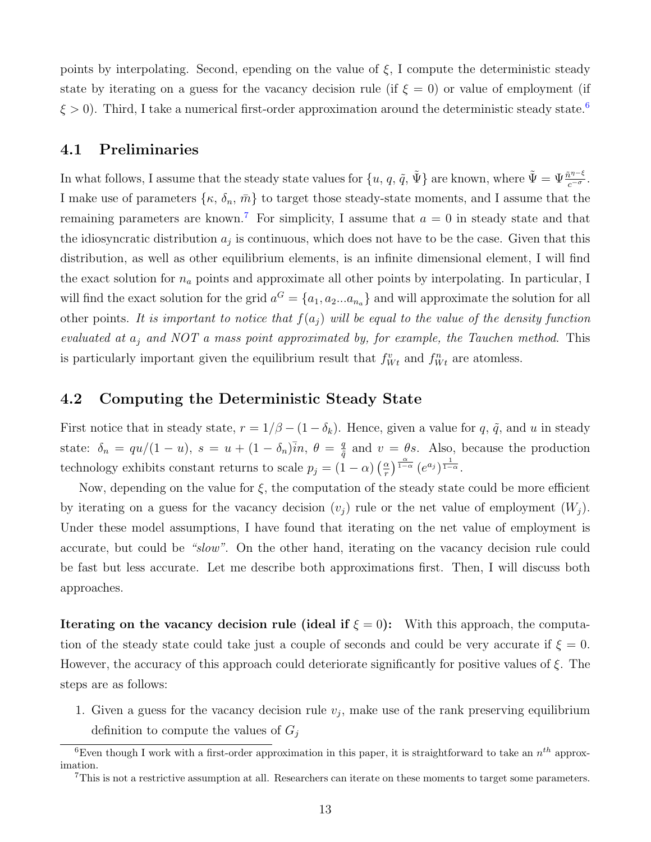points by interpolating. Second, epending on the value of  $\xi$ , I compute the deterministic steady state by iterating on a guess for the vacancy decision rule (if  $\xi = 0$ ) or value of employment (if  $\xi > 0$ ). Third, I take a numerical first-order approximation around the deterministic steady state.<sup>[6](#page-1-0)</sup>

### 4.1 Preliminaries

In what follows, I assume that the steady state values for  $\{u, q, \tilde{q}, \tilde{\Psi}\}\$ are known, where  $\tilde{\Psi} = \Psi \frac{\tilde{n}^{\eta-\xi}}{c^{-\sigma}}$ . I make use of parameters  $\{\kappa, \delta_n, \bar{m}\}$  to target those steady-state moments, and I assume that the remaining parameters are known.<sup>[7](#page-1-0)</sup> For simplicity, I assume that  $a = 0$  in steady state and that the idiosyncratic distribution  $a_j$  is continuous, which does not have to be the case. Given that this distribution, as well as other equilibrium elements, is an infinite dimensional element, I will find the exact solution for  $n_a$  points and approximate all other points by interpolating. In particular, I will find the exact solution for the grid  $a^G = \{a_1, a_2... a_{n_a}\}\$  and will approximate the solution for all other points. It is important to notice that  $f(a_j)$  will be equal to the value of the density function evaluated at  $a_i$  and NOT a mass point approximated by, for example, the Tauchen method. This is particularly important given the equilibrium result that  $f_{Wt}^v$  and  $f_{Wt}^n$  are atomless.

### 4.2 Computing the Deterministic Steady State

First notice that in steady state,  $r = 1/\beta - (1 - \delta_k)$ . Hence, given a value for q,  $\tilde{q}$ , and u in steady state:  $\delta_n = \frac{qu}{1-u}, s = u + (1-\delta_n)\overline{i}n, \theta = \frac{q}{\delta}$  $\frac{q}{\tilde{q}}$  and  $v = \theta s$ . Also, because the production technology exhibits constant returns to scale  $p_j = (1 - \alpha) \left(\frac{\alpha}{r}\right)$  $\frac{\alpha}{r}$ )  $\frac{\alpha}{1-\alpha}$   $(e^{a_j})^{\frac{1}{1-\alpha}}$ .

Now, depending on the value for  $\xi$ , the computation of the steady state could be more efficient by iterating on a guess for the vacancy decision  $(v_i)$  rule or the net value of employment  $(W_i)$ . Under these model assumptions, I have found that iterating on the net value of employment is accurate, but could be "slow". On the other hand, iterating on the vacancy decision rule could be fast but less accurate. Let me describe both approximations first. Then, I will discuss both approaches.

**Iterating on the vacancy decision rule (ideal if**  $\xi = 0$ **):** With this approach, the computation of the steady state could take just a couple of seconds and could be very accurate if  $\xi = 0$ . However, the accuracy of this approach could deteriorate significantly for positive values of ξ. The steps are as follows:

1. Given a guess for the vacancy decision rule  $v_j$ , make use of the rank preserving equilibrium definition to compute the values of  $G_i$ 

<sup>&</sup>lt;sup>6</sup>Even though I work with a first-order approximation in this paper, it is straightforward to take an  $n^{th}$  approximation.

<sup>7</sup>This is not a restrictive assumption at all. Researchers can iterate on these moments to target some parameters.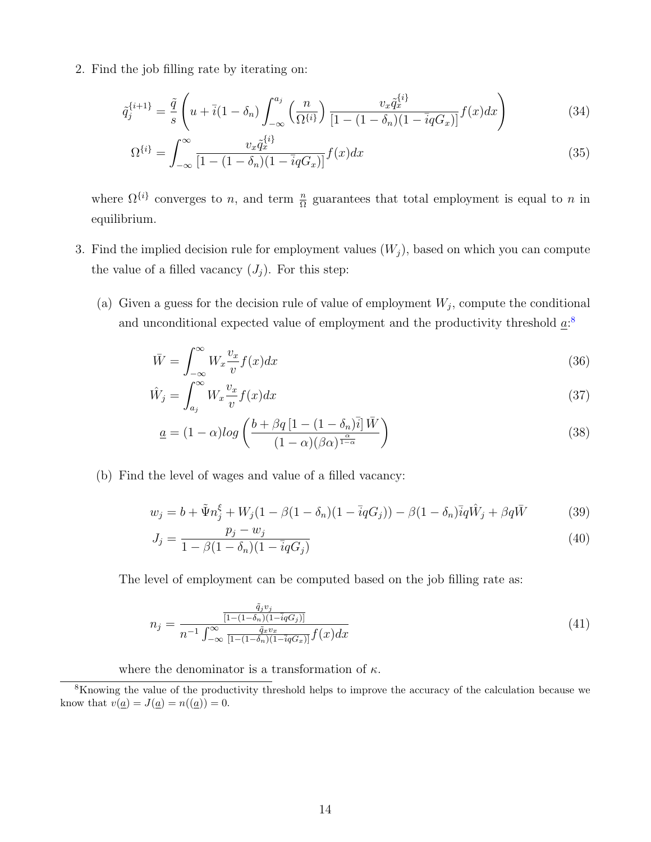2. Find the job filling rate by iterating on:

$$
\tilde{q}_j^{\{i+1\}} = \frac{\tilde{q}}{s} \left( u + \bar{i} (1 - \delta_n) \int_{-\infty}^{a_j} \left( \frac{n}{\Omega^{\{i\}}} \right) \frac{v_x \tilde{q}_x^{\{i\}}}{\left[ 1 - (1 - \delta_n)(1 - \bar{i}qG_x) \right]} f(x) dx \right) \tag{34}
$$

$$
\Omega^{\{i\}} = \int_{-\infty}^{\infty} \frac{v_x \tilde{q}_x^{\{i\}}}{[1 - (1 - \delta_n)(1 - \bar{i}qG_x)]} f(x) dx \tag{35}
$$

where  $\Omega^{\{i\}}$  converges to n, and term  $\frac{n}{\Omega}$  guarantees that total employment is equal to n in equilibrium.

- <span id="page-14-0"></span>3. Find the implied decision rule for employment values  $(W_j)$ , based on which you can compute the value of a filled vacancy  $(J_i)$ . For this step:
	- (a) Given a guess for the decision rule of value of employment  $W_j$ , compute the conditional and unconditional expected value of employment and the productivity threshold  $a$ <sup>[8](#page-1-0)</sup>

$$
\bar{W} = \int_{-\infty}^{\infty} W_x \frac{v_x}{v} f(x) dx \tag{36}
$$

$$
\hat{W}_j = \int_{a_j}^{\infty} W_x \frac{v_x}{v} f(x) dx \tag{37}
$$

$$
\underline{a} = (1 - \alpha) \log \left( \frac{b + \beta q \left[ 1 - (1 - \delta_n) \bar{i} \right] \bar{W}}{(1 - \alpha)(\beta \alpha)^{\frac{\alpha}{1 - \alpha}}} \right) \tag{38}
$$

(b) Find the level of wages and value of a filled vacancy:

$$
w_j = b + \tilde{\Psi} n_j^{\xi} + W_j (1 - \beta (1 - \delta_n)(1 - \bar{i}qG_j)) - \beta (1 - \delta_n) \bar{i}q \hat{W}_j + \beta q \bar{W}
$$
 (39)

<span id="page-14-2"></span><span id="page-14-1"></span>
$$
J_j = \frac{p_j - w_j}{1 - \beta(1 - \delta_n)(1 - \bar{i}qG_j)}
$$
(40)

The level of employment can be computed based on the job filling rate as:

$$
n_j = \frac{\frac{\tilde{q}_j v_j}{[1 - (1 - \delta_n)(1 - \bar{i}qG_j)]}}{n^{-1} \int_{-\infty}^{\infty} \frac{\tilde{q}_x v_x}{[1 - (1 - \delta_n)(1 - \bar{i}qG_x)]} f(x) dx}
$$
(41)

where the denominator is a transformation of  $\kappa$ .

<sup>8</sup>Knowing the value of the productivity threshold helps to improve the accuracy of the calculation because we know that  $v(\underline{a}) = J(\underline{a}) = n((\underline{a})) = 0.$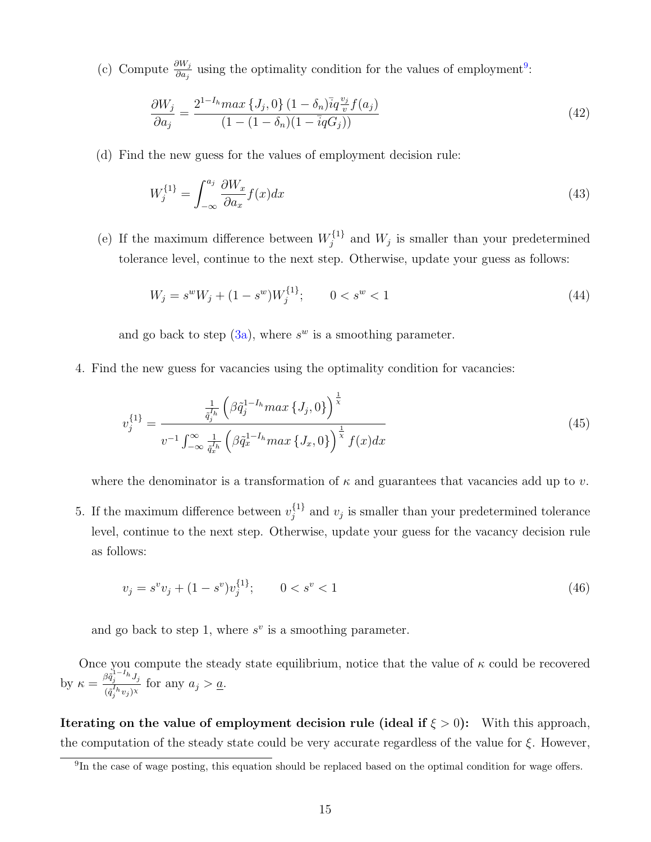(c) Compute  $\frac{\partial W_j}{\partial a_j}$  using the optimality condition for the values of employment<sup>[9](#page-1-0)</sup>:

$$
\frac{\partial W_j}{\partial a_j} = \frac{2^{1-I_h} \max\{J_j, 0\} (1 - \delta_n) \bar{i} q \frac{v_j}{v} f(a_j)}{(1 - (1 - \delta_n)(1 - \bar{i} q G_j))}
$$
(42)

(d) Find the new guess for the values of employment decision rule:

$$
W_j^{\{1\}} = \int_{-\infty}^{a_j} \frac{\partial W_x}{\partial a_x} f(x) dx \tag{43}
$$

(e) If the maximum difference between  $W_i^{\{1\}}$  $j_j^{\{1\}}$  and  $W_j$  is smaller than your predetermined tolerance level, continue to the next step. Otherwise, update your guess as follows:

$$
W_j = s^w W_j + (1 - s^w) W_j^{\{1\}}; \qquad 0 < s^w < 1 \tag{44}
$$

and go back to step  $(3a)$ , where  $s^w$  is a smoothing parameter.

4. Find the new guess for vacancies using the optimality condition for vacancies:

$$
v_j^{\{1\}} = \frac{\frac{1}{\tilde{q}_j^{I_h}} \left(\beta \tilde{q}_j^{1-I_h} \max\left\{J_j, 0\right\}\right)^{\frac{1}{\chi}}}{v^{-1} \int_{-\infty}^{\infty} \frac{1}{\tilde{q}_x^{I_h}} \left(\beta \tilde{q}_x^{1-I_h} \max\left\{J_x, 0\right\}\right)^{\frac{1}{\chi}} f(x) dx} \tag{45}
$$

where the denominator is a transformation of  $\kappa$  and guarantees that vacancies add up to v.

5. If the maximum difference between  $v_i^{\{1\}}$  $j_j^{\{1\}}$  and  $v_j$  is smaller than your predetermined tolerance level, continue to the next step. Otherwise, update your guess for the vacancy decision rule as follows:

$$
v_j = s^v v_j + (1 - s^v) v_j^{\{1\}}; \qquad 0 < s^v < 1 \tag{46}
$$

and go back to step 1, where  $s^v$  is a smoothing parameter.

Once you compute the steady state equilibrium, notice that the value of  $\kappa$  could be recovered by  $\kappa = \frac{\beta \tilde{q}_j^{1-I_h} J_j}{\zeta \zeta h - \lambda \zeta}$  $\frac{G_{j}}{(\tilde{q}_{j}^{I_{h}}v_{j})^{\chi}}$  for any  $a_{j} > a$ .

Iterating on the value of employment decision rule (ideal if  $\xi > 0$ ): With this approach, the computation of the steady state could be very accurate regardless of the value for  $\xi$ . However,

<sup>&</sup>lt;sup>9</sup>In the case of wage posting, this equation should be replaced based on the optimal condition for wage offers.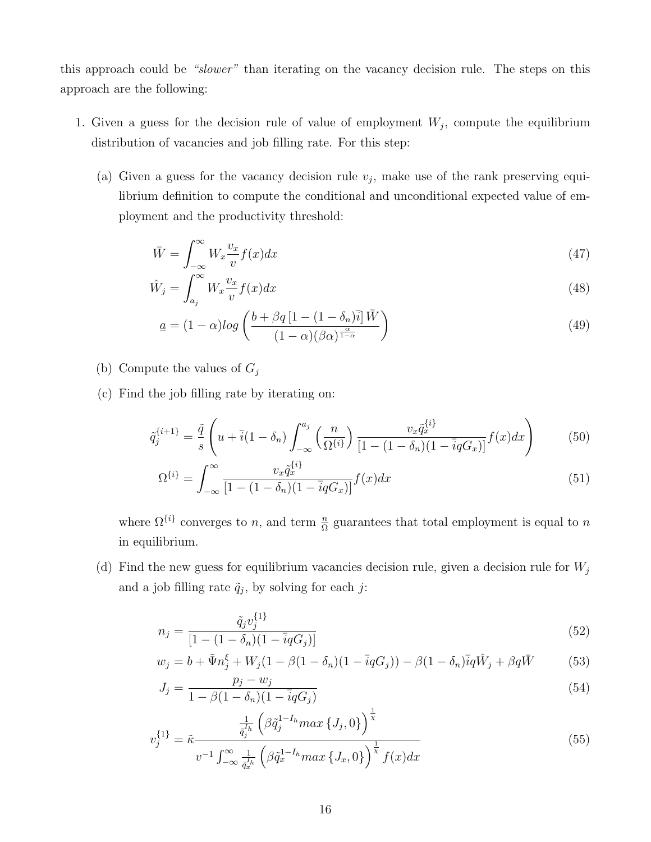this approach could be "slower" than iterating on the vacancy decision rule. The steps on this approach are the following:

- <span id="page-16-1"></span>1. Given a guess for the decision rule of value of employment  $W_j$ , compute the equilibrium distribution of vacancies and job filling rate. For this step:
	- (a) Given a guess for the vacancy decision rule  $v_j$ , make use of the rank preserving equilibrium definition to compute the conditional and unconditional expected value of employment and the productivity threshold:

$$
\bar{W} = \int_{-\infty}^{\infty} W_x \frac{v_x}{v} f(x) dx \tag{47}
$$

$$
\hat{W}_j = \int_{a_j}^{\infty} W_x \frac{v_x}{v} f(x) dx \tag{48}
$$

$$
\underline{a} = (1 - \alpha) \log \left( \frac{b + \beta q \left[ 1 - (1 - \delta_n) \bar{i} \right] \bar{W}}{(1 - \alpha)(\beta \alpha)^{\frac{\alpha}{1 - \alpha}}} \right) \tag{49}
$$

- (b) Compute the values of  $G_j$
- (c) Find the job filling rate by iterating on:

$$
\tilde{q}_j^{\{i+1\}} = \frac{\tilde{q}}{s} \left( u + \bar{i} (1 - \delta_n) \int_{-\infty}^{a_j} \left( \frac{n}{\Omega^{\{i\}}} \right) \frac{v_x \tilde{q}_x^{\{i\}}}{[1 - (1 - \delta_n)(1 - \bar{i}qG_x)]} f(x) dx \right)
$$
(50)

$$
\Omega^{\{i\}} = \int_{-\infty}^{\infty} \frac{v_x \tilde{q}_x^{\{i\}}}{[1 - (1 - \delta_n)(1 - \bar{i}qG_x)]} f(x) dx \tag{51}
$$

where  $\Omega^{\{i\}}$  converges to n, and term  $\frac{n}{\Omega}$  guarantees that total employment is equal to n in equilibrium.

<span id="page-16-0"></span>(d) Find the new guess for equilibrium vacancies decision rule, given a decision rule for  $W_j$ and a job filling rate  $\tilde{q}_j$ , by solving for each j:

$$
n_j = \frac{\tilde{q}_j v_j^{\{1\}}}{\left[1 - (1 - \delta_n)(1 - \bar{i}qG_j)\right]}
$$
\n(52)

$$
w_j = b + \tilde{\Psi} n_j^{\xi} + W_j (1 - \beta (1 - \delta_n)(1 - \bar{i}qG_j)) - \beta (1 - \delta_n) \bar{i}q \hat{W}_j + \beta q \bar{W}
$$
(53)

$$
J_j = \frac{p_j - w_j}{1 - \beta(1 - \delta_n)(1 - \bar{i}qG_j)}
$$
(54)

$$
v_j^{\{1\}} = \tilde{\kappa} \frac{\frac{1}{\tilde{q}_j^{I_h}} \left( \beta \tilde{q}_j^{1-I_h} \max \{J_j, 0\} \right)^{\bar{x}}}{v^{-1} \int_{-\infty}^{\infty} \frac{1}{\tilde{q}_x^{I_h}} \left( \beta \tilde{q}_x^{1-I_h} \max \{J_x, 0\} \right)^{\frac{1}{\bar{x}}} f(x) dx}
$$
(55)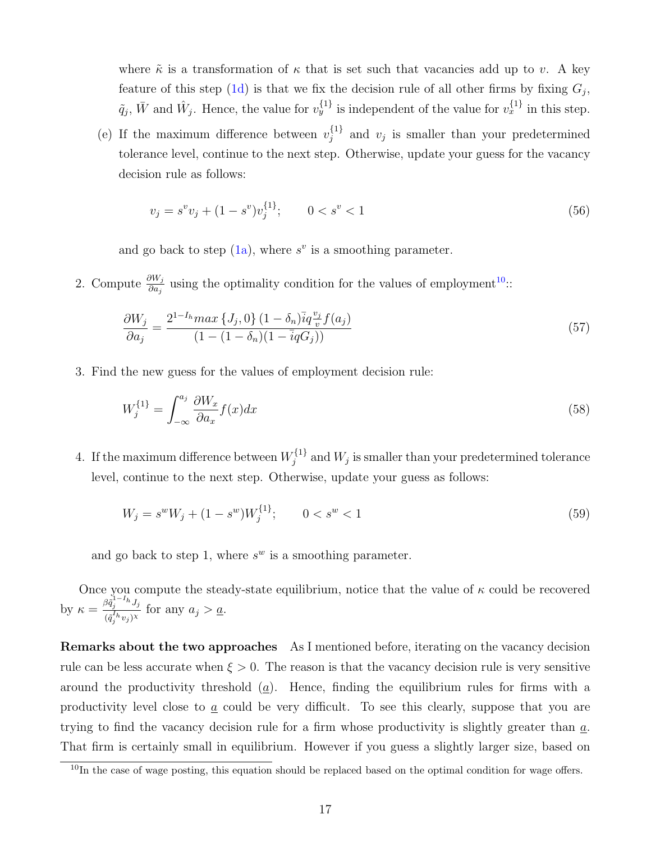where  $\tilde{\kappa}$  is a transformation of  $\kappa$  that is set such that vacancies add up to v. A key feature of this step [\(1d\)](#page-16-0) is that we fix the decision rule of all other firms by fixing  $G_j$ ,  $\tilde{q}_j$ ,  $\bar{W}$  and  $\hat{W}_j$ . Hence, the value for  $v_y^{\{1\}}$  is independent of the value for  $v_x^{\{1\}}$  in this step.

(e) If the maximum difference between  $v_i^{\{1\}}$  $j_j^{\{1\}}$  and  $v_j$  is smaller than your predetermined tolerance level, continue to the next step. Otherwise, update your guess for the vacancy decision rule as follows:

$$
v_j = s^v v_j + (1 - s^v) v_j^{\{1\}}; \qquad 0 < s^v < 1 \tag{56}
$$

and go back to step  $(1a)$ , where  $s^v$  is a smoothing parameter.

2. Compute  $\frac{\partial W_j}{\partial a_j}$  using the optimality condition for the values of employment<sup>[10](#page-1-0)</sup>::

$$
\frac{\partial W_j}{\partial a_j} = \frac{2^{1-I_h} \max\{J_j, 0\} (1 - \delta_n) \bar{i} q \frac{v_j}{v} f(a_j)}{(1 - (1 - \delta_n)(1 - \bar{i} q G_j))}
$$
(57)

3. Find the new guess for the values of employment decision rule:

$$
W_j^{\{1\}} = \int_{-\infty}^{a_j} \frac{\partial W_x}{\partial a_x} f(x) dx \tag{58}
$$

4. If the maximum difference between  $W_i^{\{1\}}$  $j_j^{(1)}$  and  $W_j$  is smaller than your predetermined tolerance level, continue to the next step. Otherwise, update your guess as follows:

$$
W_j = s^w W_j + (1 - s^w) W_j^{\{1\}}; \qquad 0 < s^w < 1 \tag{59}
$$

and go back to step 1, where  $s^w$  is a smoothing parameter.

Once you compute the steady-state equilibrium, notice that the value of  $\kappa$  could be recovered by  $\kappa = \frac{\beta \tilde{q}_j^{1-I_h} J_j}{\zeta \zeta^I_h}$  $\frac{G_{q_j}}{(\tilde{q}_j^{I_h} v_j)^{\chi}}$  for any  $a_j > a$ .

Remarks about the two approaches As I mentioned before, iterating on the vacancy decision rule can be less accurate when  $\xi > 0$ . The reason is that the vacancy decision rule is very sensitive around the productivity threshold  $(a)$ . Hence, finding the equilibrium rules for firms with a productivity level close to  $\underline{a}$  could be very difficult. To see this clearly, suppose that you are trying to find the vacancy decision rule for a firm whose productivity is slightly greater than  $\underline{a}$ . That firm is certainly small in equilibrium. However if you guess a slightly larger size, based on

 $10$ In the case of wage posting, this equation should be replaced based on the optimal condition for wage offers.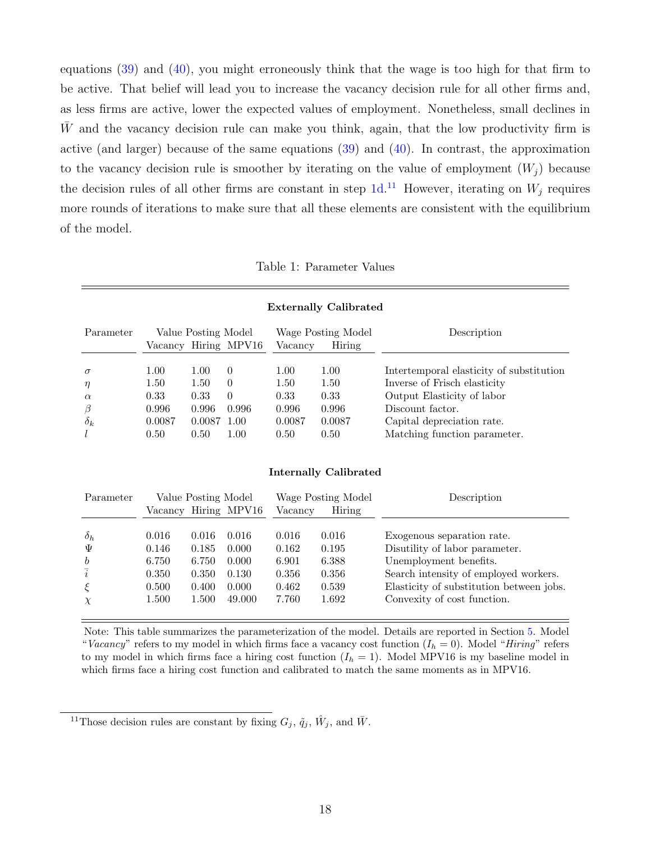equations [\(39\)](#page-14-1) and [\(40\)](#page-14-2), you might erroneously think that the wage is too high for that firm to be active. That belief will lead you to increase the vacancy decision rule for all other firms and, as less firms are active, lower the expected values of employment. Nonetheless, small declines in W and the vacancy decision rule can make you think, again, that the low productivity firm is active (and larger) because of the same equations [\(39\)](#page-14-1) and [\(40\)](#page-14-2). In contrast, the approximation to the vacancy decision rule is smoother by iterating on the value of employment  $(W_i)$  because the decision rules of all other firms are constant in step  $1d<sup>11</sup>$  $1d<sup>11</sup>$  $1d<sup>11</sup>$ . However, iterating on  $W_j$  requires more rounds of iterations to make sure that all these elements are consistent with the equilibrium of the model.

#### Table 1: Parameter Values

<span id="page-18-0"></span>

|                                                              | <b>Externally Calibrated</b>                    |                                                 |                                                           |                                                 |                                                 |                                                                                                                                                                                          |  |  |  |  |  |
|--------------------------------------------------------------|-------------------------------------------------|-------------------------------------------------|-----------------------------------------------------------|-------------------------------------------------|-------------------------------------------------|------------------------------------------------------------------------------------------------------------------------------------------------------------------------------------------|--|--|--|--|--|
| Parameter                                                    |                                                 | Value Posting Model                             | Vacancy Hiring MPV16                                      | Vacancy                                         | Wage Posting Model<br>Hiring                    | Description                                                                                                                                                                              |  |  |  |  |  |
| $\sigma$<br>$\eta$<br>$\alpha$<br>$\beta$<br>$\delta_k$<br>l | 1.00<br>1.50<br>0.33<br>0.996<br>0.0087<br>0.50 | 1.00<br>1.50<br>0.33<br>0.996<br>0.0087<br>0.50 | $\Omega$<br>$\Omega$<br>$\Omega$<br>0.996<br>1.00<br>1.00 | 1.00<br>1.50<br>0.33<br>0.996<br>0.0087<br>0.50 | 1.00<br>1.50<br>0.33<br>0.996<br>0.0087<br>0.50 | Intertemporal elasticity of substitution<br>Inverse of Frisch elasticity<br>Output Elasticity of labor<br>Discount factor.<br>Capital depreciation rate.<br>Matching function parameter. |  |  |  |  |  |

#### Internally Calibrated

| Parameter        |       | Value Posting Model | Vacancy Hiring MPV16 | Vacancy | Wage Posting Model<br>Hiring | Description                              |
|------------------|-------|---------------------|----------------------|---------|------------------------------|------------------------------------------|
| $\delta_h$       | 0.016 | 0.016               | 0.016                | 0.016   | 0.016                        | Exogenous separation rate.               |
| Ψ                | 0.146 | 0.185               | 0.000                | 0.162   | 0.195                        | Disutility of labor parameter.           |
| $\boldsymbol{b}$ | 6.750 | 6.750               | 0.000                | 6.901   | 6.388                        | Unemployment benefits.                   |
| $\overline{i}$   | 0.350 | 0.350               | 0.130                | 0.356   | 0.356                        | Search intensity of employed workers.    |
| $\xi$            | 0.500 | 0.400               | 0.000                | 0.462   | 0.539                        | Elasticity of substitution between jobs. |
| $\chi$           | 1.500 | 1.500               | 49.000               | 7.760   | 1.692                        | Convexity of cost function.              |

Note: This table summarizes the parameterization of the model. Details are reported in Section [5.](#page-19-0) Model "Vacancy" refers to my model in which firms face a vacancy cost function  $(I_h = 0)$ . Model "Hiring" refers to my model in which firms face a hiring cost function  $(I_h = 1)$ . Model MPV16 is my baseline model in which firms face a hiring cost function and calibrated to match the same moments as in MPV16.

<sup>&</sup>lt;sup>11</sup>Those decision rules are constant by fixing  $G_j$ ,  $\tilde{q}_j$ ,  $\hat{W}_j$ , and  $\bar{W}$ .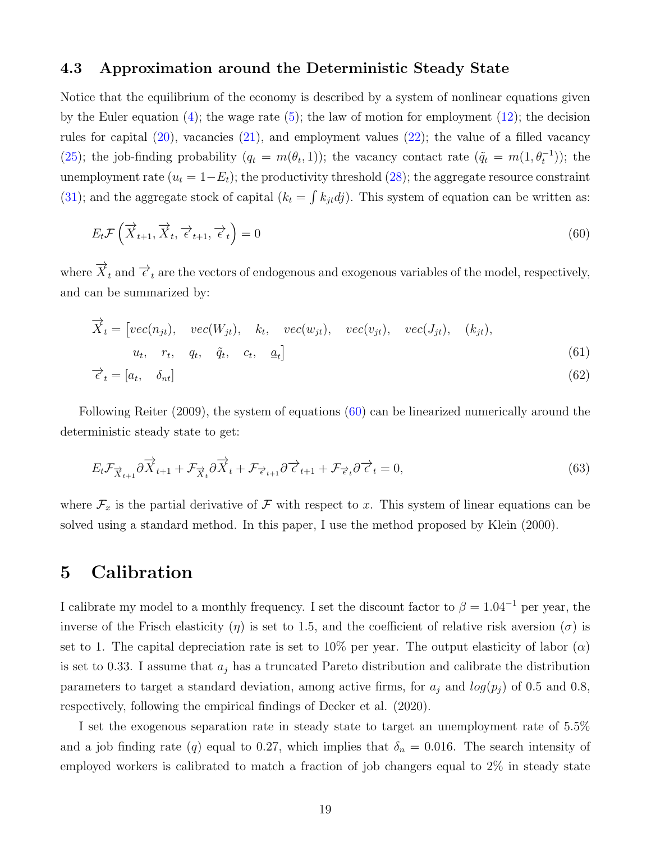#### 4.3 Approximation around the Deterministic Steady State

Notice that the equilibrium of the economy is described by a system of nonlinear equations given by the Euler equation  $(4)$ ; the wage rate  $(5)$ ; the law of motion for employment  $(12)$ ; the decision rules for capital  $(20)$ , vacancies  $(21)$ , and employment values  $(22)$ ; the value of a filled vacancy [\(25\)](#page-9-2); the job-finding probability  $(q_t = m(\theta_t, 1))$ ; the vacancy contact rate  $(\tilde{q}_t = m(1, \theta_t^{-1}))$ ; the unemployment rate  $(u_t = 1-E_t)$ ; the productivity threshold [\(28\)](#page-10-2); the aggregate resource constraint [\(31\)](#page-10-3); and the aggregate stock of capital  $(k_t = \int k_{jt} d\hat{j})$ . This system of equation can be written as:

<span id="page-19-1"></span>
$$
E_t \mathcal{F}\left(\overrightarrow{X}_{t+1}, \overrightarrow{X}_t, \overrightarrow{\epsilon}_{t+1}, \overrightarrow{\epsilon}_t\right) = 0
$$
\n(60)

where  $\overrightarrow{X}_t$  and  $\overrightarrow{\epsilon}_t$  are the vectors of endogenous and exogenous variables of the model, respectively, and can be summarized by:

$$
\overrightarrow{X}_t = [vec(n_{jt}), vec(W_{jt}), k_t, vec(w_{jt}), vec(v_{jt}), vec(J_{jt}), (k_{jt}),
$$
  
\n
$$
u_t, r_t, q_t, \tilde{q}_t, c_t, \underline{a}_t]
$$
\n(61)

$$
\vec{\epsilon}_t = [a_t, \quad \delta_{nt}] \tag{62}
$$

Following Reiter (2009), the system of equations [\(60\)](#page-19-1) can be linearized numerically around the deterministic steady state to get:

$$
E_t \mathcal{F}_{\overrightarrow{X}_{t+1}} \partial \overrightarrow{X}_{t+1} + \mathcal{F}_{\overrightarrow{X}_t} \partial \overrightarrow{X}_t + \mathcal{F}_{\overrightarrow{e}_{t+1}} \partial \overrightarrow{\epsilon}_{t+1} + \mathcal{F}_{\overrightarrow{e}_t} \partial \overrightarrow{\epsilon}_t = 0, \tag{63}
$$

where  $\mathcal{F}_x$  is the partial derivative of  $\mathcal F$  with respect to x. This system of linear equations can be solved using a standard method. In this paper, I use the method proposed by Klein (2000).

## <span id="page-19-0"></span>5 Calibration

I calibrate my model to a monthly frequency. I set the discount factor to  $\beta = 1.04^{-1}$  per year, the inverse of the Frisch elasticity ( $\eta$ ) is set to 1.5, and the coefficient of relative risk aversion ( $\sigma$ ) is set to 1. The capital depreciation rate is set to 10% per year. The output elasticity of labor  $(\alpha)$ is set to 0.33. I assume that  $a_j$  has a truncated Pareto distribution and calibrate the distribution parameters to target a standard deviation, among active firms, for  $a_j$  and  $log(p_j)$  of 0.5 and 0.8, respectively, following the empirical findings of Decker et al. (2020).

I set the exogenous separation rate in steady state to target an unemployment rate of 5.5% and a job finding rate (q) equal to 0.27, which implies that  $\delta_n = 0.016$ . The search intensity of employed workers is calibrated to match a fraction of job changers equal to 2% in steady state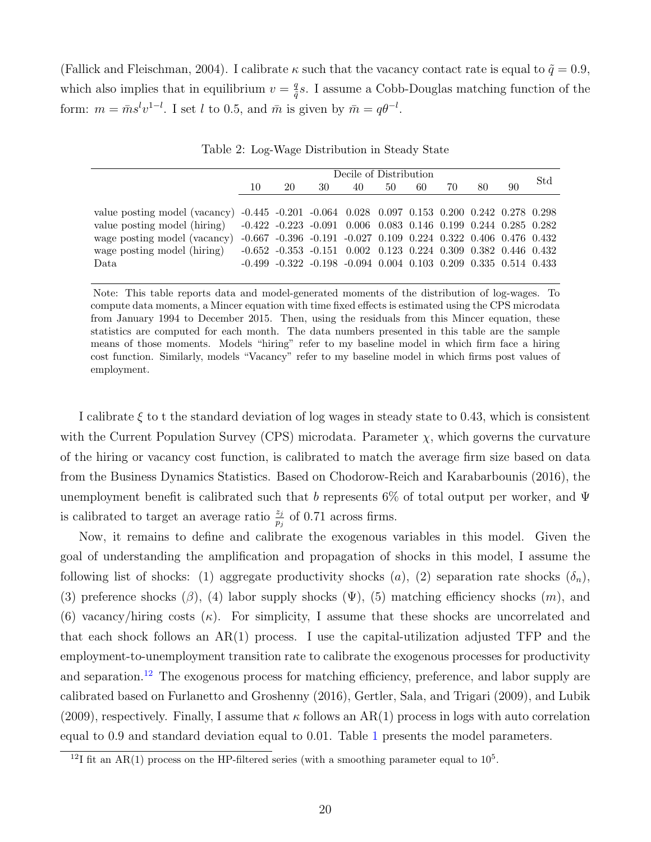(Fallick and Fleischman, 2004). I calibrate  $\kappa$  such that the vacancy contact rate is equal to  $\tilde{q} = 0.9$ , which also implies that in equilibrium  $v = \frac{q}{a}$  $\frac{q}{\tilde{q}}s$ . I assume a Cobb-Douglas matching function of the form:  $m = \bar{m}s^l v^{1-l}$ . I set l to 0.5, and  $\bar{m}$  is given by  $\bar{m} = q\theta^{-l}$ .

<span id="page-20-0"></span>

|                                                                                              |    | Decile of Distribution                                                              |    |    |    |    |    |    |    |     |
|----------------------------------------------------------------------------------------------|----|-------------------------------------------------------------------------------------|----|----|----|----|----|----|----|-----|
|                                                                                              | 10 | 20                                                                                  | 30 | 40 | 50 | 60 | 70 | 80 | 90 | Std |
|                                                                                              |    |                                                                                     |    |    |    |    |    |    |    |     |
| value posting model (vacancy) -0.445 -0.201 -0.064 0.028 0.097 0.153 0.200 0.242 0.278 0.298 |    |                                                                                     |    |    |    |    |    |    |    |     |
| value posting model (hiring)                                                                 |    | $-0.422$ $-0.223$ $-0.091$ $0.006$ $0.083$ $0.146$ $0.199$ $0.244$ $0.285$ $0.282$  |    |    |    |    |    |    |    |     |
| wage posting model (vacancy)                                                                 |    | $-0.667$ $-0.396$ $-0.191$ $-0.027$ $0.109$ $0.224$ $0.322$ $0.406$ $0.476$ $0.432$ |    |    |    |    |    |    |    |     |
| wage posting model (hiring)                                                                  |    | $-0.652$ $-0.353$ $-0.151$ $0.002$ $0.123$ $0.224$ $0.309$ $0.382$ $0.446$ $0.432$  |    |    |    |    |    |    |    |     |
| Data                                                                                         |    | $-0.499$ $-0.322$ $-0.198$ $-0.094$ $0.004$ $0.103$ $0.209$ $0.335$ $0.514$ $0.433$ |    |    |    |    |    |    |    |     |
|                                                                                              |    |                                                                                     |    |    |    |    |    |    |    |     |

Table 2: Log-Wage Distribution in Steady State

Note: This table reports data and model-generated moments of the distribution of log-wages. To compute data moments, a Mincer equation with time fixed effects is estimated using the CPS microdata from January 1994 to December 2015. Then, using the residuals from this Mincer equation, these statistics are computed for each month. The data numbers presented in this table are the sample means of those moments. Models "hiring" refer to my baseline model in which firm face a hiring cost function. Similarly, models "Vacancy" refer to my baseline model in which firms post values of employment.

I calibrate  $\xi$  to t the standard deviation of log wages in steady state to 0.43, which is consistent with the Current Population Survey (CPS) microdata. Parameter  $\chi$ , which governs the curvature of the hiring or vacancy cost function, is calibrated to match the average firm size based on data from the Business Dynamics Statistics. Based on Chodorow-Reich and Karabarbounis (2016), the unemployment benefit is calibrated such that b represents 6% of total output per worker, and  $\Psi$ is calibrated to target an average ratio  $\frac{z_j}{p_j}$  of 0.71 across firms.

Now, it remains to define and calibrate the exogenous variables in this model. Given the goal of understanding the amplification and propagation of shocks in this model, I assume the following list of shocks: (1) aggregate productivity shocks (a), (2) separation rate shocks  $(\delta_n)$ , (3) preference shocks ( $\beta$ ), (4) labor supply shocks ( $\Psi$ ), (5) matching efficiency shocks (m), and (6) vacancy/hiring costs  $(\kappa)$ . For simplicity, I assume that these shocks are uncorrelated and that each shock follows an  $AR(1)$  process. I use the capital-utilization adjusted TFP and the employment-to-unemployment transition rate to calibrate the exogenous processes for productivity and separation.<sup>[12](#page-1-0)</sup> The exogenous process for matching efficiency, preference, and labor supply are calibrated based on Furlanetto and Groshenny (2016), Gertler, Sala, and Trigari (2009), and Lubik  $(2009)$ , respectively. Finally, I assume that  $\kappa$  follows an AR(1) process in logs with auto correlation equal to 0.9 and standard deviation equal to 0.01. Table [1](#page-18-0) presents the model parameters.

<sup>&</sup>lt;sup>12</sup>I fit an AR(1) process on the HP-filtered series (with a smoothing parameter equal to  $10<sup>5</sup>$ .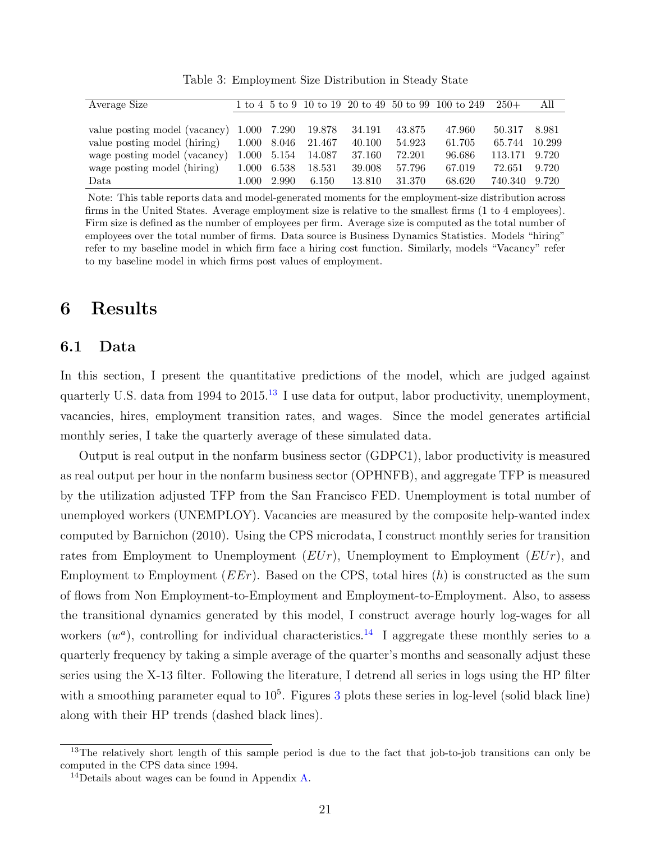<span id="page-21-2"></span>

| Average Size                  |       |             |        |        |        | 1 to 4 5 to 9 10 to 19 20 to 49 50 to 99 100 to 249 | $250+$  | All    |
|-------------------------------|-------|-------------|--------|--------|--------|-----------------------------------------------------|---------|--------|
|                               |       |             |        |        |        |                                                     |         |        |
| value posting model (vacancy) |       | 1.000 7.290 | 19.878 | 34.191 | 43.875 | 47.960                                              | 50.317  | 8.981  |
| value posting model (hiring)  | 1.000 | 8.046       | 21.467 | 40.100 | 54.923 | 61.705                                              | 65.744  | 10.299 |
| wage posting model (vacancy)  | 1.000 | 5.154       | 14.087 | 37.160 | 72.201 | 96.686                                              | 113.171 | 9.720  |
| wage posting model (hiring)   | 1.000 | 6.538       | 18.531 | 39.008 | 57.796 | 67.019                                              | 72.651  | 9.720  |
| Data                          | 1.000 | 2.990       | 6.150  | 13.810 | 31.370 | 68.620                                              | 740.340 | 9.720  |

Table 3: Employment Size Distribution in Steady State

Note: This table reports data and model-generated moments for the employment-size distribution across firms in the United States. Average employment size is relative to the smallest firms (1 to 4 employees). Firm size is defined as the number of employees per firm. Average size is computed as the total number of employees over the total number of firms. Data source is Business Dynamics Statistics. Models "hiring" refer to my baseline model in which firm face a hiring cost function. Similarly, models "Vacancy" refer to my baseline model in which firms post values of employment.

## <span id="page-21-0"></span>6 Results

### <span id="page-21-1"></span>6.1 Data

In this section, I present the quantitative predictions of the model, which are judged against quarterly U.S. data from 1994 to 2015.<sup>[13](#page-1-0)</sup> I use data for output, labor productivity, unemployment, vacancies, hires, employment transition rates, and wages. Since the model generates artificial monthly series, I take the quarterly average of these simulated data.

Output is real output in the nonfarm business sector (GDPC1), labor productivity is measured as real output per hour in the nonfarm business sector (OPHNFB), and aggregate TFP is measured by the utilization adjusted TFP from the San Francisco FED. Unemployment is total number of unemployed workers (UNEMPLOY). Vacancies are measured by the composite help-wanted index computed by Barnichon (2010). Using the CPS microdata, I construct monthly series for transition rates from Employment to Unemployment  $(EUr)$ , Unemployment to Employment  $(EUr)$ , and Employment to Employment  $(EEr)$ . Based on the CPS, total hires  $(h)$  is constructed as the sum of flows from Non Employment-to-Employment and Employment-to-Employment. Also, to assess the transitional dynamics generated by this model, I construct average hourly log-wages for all workers  $(w^a)$ , controlling for individual characteristics.<sup>[14](#page-1-0)</sup> I aggregate these monthly series to a quarterly frequency by taking a simple average of the quarter's months and seasonally adjust these series using the X-13 filter. Following the literature, I detrend all series in logs using the HP filter with a smoothing parameter equal to  $10<sup>5</sup>$ . Figures [3](#page-45-0) plots these series in log-level (solid black line) along with their HP trends (dashed black lines).

<sup>&</sup>lt;sup>13</sup>The relatively short length of this sample period is due to the fact that job-to-job transitions can only be computed in the CPS data since 1994.

 $14$ Details about wages can be found in Appendix [A.](#page-38-0)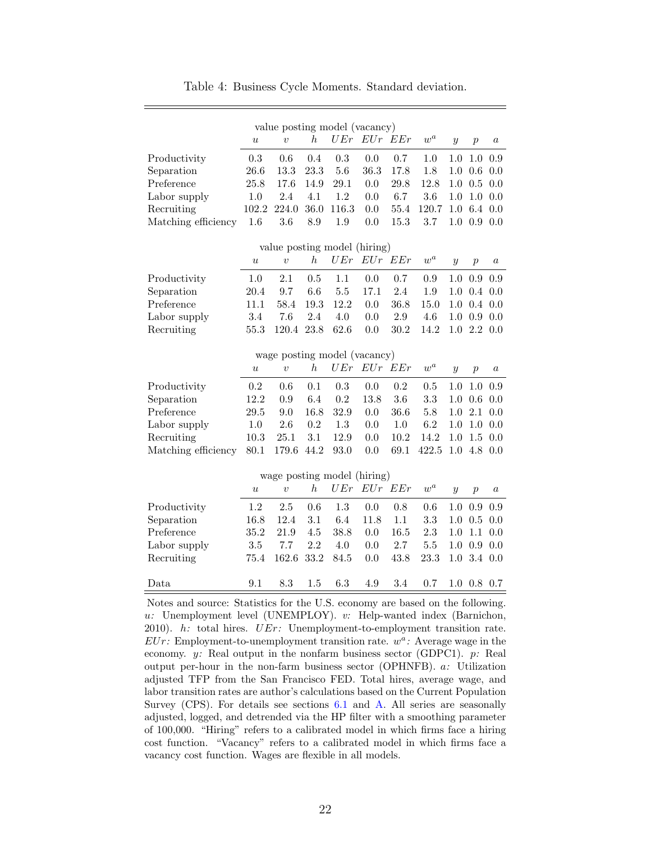<span id="page-22-0"></span>

|                     | value posting model (vacancy) |                              |                  |         |             |         |                    |                  |                  |                  |  |
|---------------------|-------------------------------|------------------------------|------------------|---------|-------------|---------|--------------------|------------------|------------------|------------------|--|
|                     | $\boldsymbol{u}$              | $\upsilon$                   | $\boldsymbol{h}$ | UEr     | $EUr$ $EEr$ |         | $\boldsymbol{w}^a$ | $\boldsymbol{y}$ | $\overline{p}$   | $\it a$          |  |
| Productivity        | 0.3                           | 0.6                          | 0.4              | 0.3     | 0.0         | 0.7     | 1.0                | 1.0              | 1.0              | 0.9              |  |
| Separation          | 26.6                          | 13.3                         | 23.3             | 5.6     | 36.3        | 17.8    | 1.8                | 1.0              | 0.6              | 0.0              |  |
| Preference          | 25.8                          | 17.6                         | 14.9             | 29.1    | 0.0         | 29.8    | 12.8               | 1.0              | 0.5              | 0.0              |  |
| Labor supply        | 1.0                           | 2.4                          | 4.1              | $1.2\,$ | 0.0         | 6.7     | 3.6                | 1.0              | 1.0              | 0.0              |  |
| Recruiting          | 102.2                         | 224.0                        | 36.0             | 116.3   | 0.0         | 55.4    | 120.7              | 1.0              | 6.4              | 0.0              |  |
| Matching efficiency | 1.6                           | 3.6                          | 8.9              | 1.9     | $0.0\,$     | 15.3    | 3.7                | 1.0              | 0.9              | 0.0              |  |
|                     |                               | value posting model (hiring) |                  |         |             |         |                    |                  |                  |                  |  |
|                     | $\boldsymbol{u}$              | $\upsilon$                   | $\boldsymbol{h}$ | UEr     | EUr         | EEr     | $\boldsymbol{w}^a$ | $\boldsymbol{y}$ | $\overline{p}$   | $\it a$          |  |
| Productivity        | 1.0                           | 2.1                          | 0.5              | 1.1     | 0.0         | 0.7     | 0.9                | 1.0              | 0.9              | 0.9              |  |
| Separation          | 20.4                          | 9.7                          | 6.6              | 5.5     | 17.1        | 2.4     | 1.9                | $1.0\,$          | 0.4              | 0.0              |  |
| Preference          | 11.1                          | 58.4                         | 19.3             | 12.2    | 0.0         | 36.8    | 15.0               | 1.0              | 0.4              | 0.0              |  |
| Labor supply        | 3.4                           | 7.6                          | 2.4              | 4.0     | 0.0         | $2.9\,$ | 4.6                | 1.0              | 0.9              | 0.0              |  |
| Recruiting          | 55.3                          | 120.4                        | 23.8             | 62.6    | 0.0         | 30.2    | 14.2               | 1.0              | 2.2              | 0.0              |  |
|                     |                               |                              |                  |         |             |         |                    |                  |                  |                  |  |
|                     | wage posting model (vacancy)  |                              |                  |         |             |         |                    |                  |                  |                  |  |
|                     | $\boldsymbol{u}$              | $\overline{v}$               | $\hbar$          | UEr     | EUr EEr     |         | $\boldsymbol{w}^a$ | $\boldsymbol{y}$ | $\overline{p}$   | $\boldsymbol{a}$ |  |
| Productivity        | 0.2                           | $0.6\,$                      | 0.1              | 0.3     | 0.0         | 0.2     | 0.5                | 1.0              | $1.0\,$          | 0.9              |  |
| Separation          | 12.2                          | 0.9                          | 6.4              | 0.2     | 13.8        | 3.6     | 3.3                | 1.0              | 0.6              | 0.0              |  |
| Preference          | 29.5                          | 9.0                          | 16.8             | 32.9    | 0.0         | 36.6    | $5.8\,$            | 1.0              | 2.1              | 0.0              |  |
| Labor supply        | 1.0                           | 2.6                          | 0.2              | 1.3     | 0.0         | $1.0\,$ | $6.2\,$            | $1.0\,$          | 1.0              | 0.0              |  |
| Recruiting          | 10.3                          | 25.1                         | 3.1              | 12.9    | 0.0         | 10.2    | 14.2               | 1.0              | 1.5              | 0.0              |  |
| Matching efficiency | 80.1                          | 179.6                        | 44.2             | 93.0    | 0.0         | 69.1    | 422.5              | 1.0              | 4.8              | 0.0              |  |
|                     |                               | wage posting model (hiring)  |                  |         |             |         |                    |                  |                  |                  |  |
|                     |                               |                              |                  |         |             |         |                    |                  |                  |                  |  |
|                     |                               |                              |                  |         |             |         |                    |                  |                  |                  |  |
|                     | $\boldsymbol{u}$              | $\boldsymbol{v}$             | $\boldsymbol{h}$ | UEr     | $EUr$ $EEr$ |         | $\boldsymbol{w}^a$ | $\boldsymbol{y}$ | $\boldsymbol{p}$ | $\it a$          |  |
| Productivity        | 1.2                           | 2.5                          | 0.6              | 1.3     | 0.0         | 0.8     | 0.6                | 1.0              | 0.9              | 0.9              |  |
| Separation          | 16.8                          | 12.4                         | 3.1              | 6.4     | 11.8        | 1.1     | 3.3                | 1.0              | 0.5              | 0.0              |  |
| Preference          | 35.2                          | 21.9                         | 4.5              | 38.8    | 0.0         | 16.5    | 2.3                | 1.0              | 1.1              | 0.0              |  |
| Labor supply        | 3.5                           | 7.7                          | 2.2              | 4.0     | 0.0         | 2.7     | $5.5\,$            | 1.0              | 0.9              | 0.0              |  |
| Recruiting          | 75.4                          | 162.6                        | 33.2             | 84.5    | 0.0         | 43.8    | 23.3               | 1.0              | 3.4              | 0.0              |  |
| Data                | 9.1                           | 8.3                          | 1.5              | 6.3     | 4.9         | 3.4     | 0.7                | 1.0              | 0.8              | 0.7              |  |

Table 4: Business Cycle Moments. Standard deviation.

Notes and source: Statistics for the U.S. economy are based on the following. u: Unemployment level (UNEMPLOY). v: Help-wanted index (Barnichon, 2010).  $h$ : total hires.  $UEr$ : Unemployment-to-employment transition rate.  $EUr$ : Employment-to-unemployment transition rate.  $w^a$ : Average wage in the economy. y: Real output in the nonfarm business sector (GDPC1).  $p$ : Real output per-hour in the non-farm business sector (OPHNFB). a: Utilization adjusted TFP from the San Francisco FED. Total hires, average wage, and labor transition rates are author's calculations based on the Current Population Survey (CPS). For details see sections [6.1](#page-21-1) and [A.](#page-38-0) All series are seasonally adjusted, logged, and detrended via the HP filter with a smoothing parameter of 100,000. "Hiring" refers to a calibrated model in which firms face a hiring cost function. "Vacancy" refers to a calibrated model in which firms face a vacancy cost function. Wages are flexible in all models.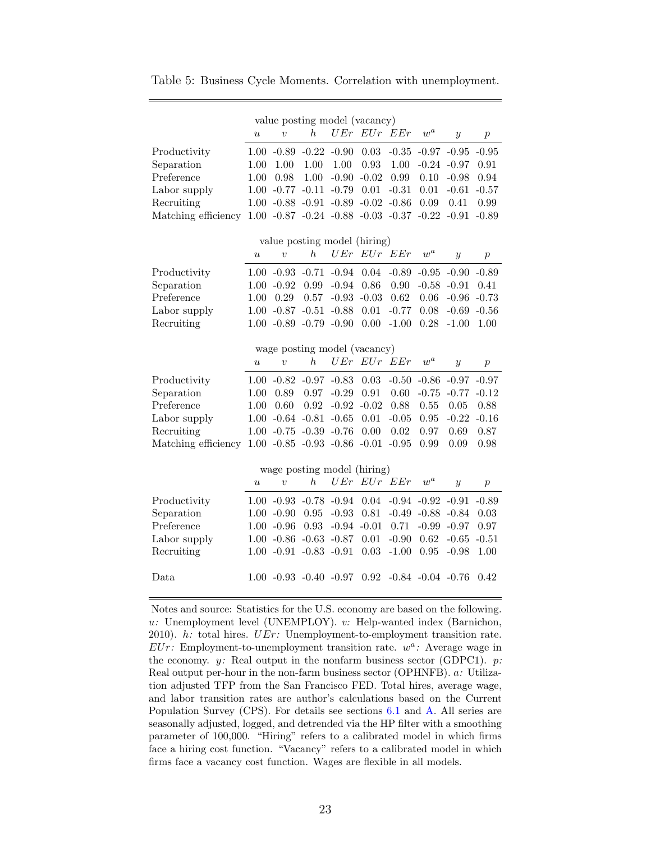<span id="page-23-0"></span>Table 5: Business Cycle Moments. Correlation with unemployment.

|                                                                                                                                                           |                  | value posting model (vacancy)        |                  |          |             |                                                   |                    |                         |                  |
|-----------------------------------------------------------------------------------------------------------------------------------------------------------|------------------|--------------------------------------|------------------|----------|-------------|---------------------------------------------------|--------------------|-------------------------|------------------|
|                                                                                                                                                           | $\boldsymbol{u}$ | $\overline{v}$                       | h                |          | $UEr$ $EUr$ | EEr                                               | $\boldsymbol{w}^a$ | $\boldsymbol{y}$        | $\boldsymbol{p}$ |
| Productivity                                                                                                                                              |                  | $1.00 - 0.89$                        | $-0.22 - 0.90$   |          | $0.03\,$    | $-0.35$                                           |                    | $-0.97 -0.95$           | $-0.95$          |
| Separation                                                                                                                                                | 1.00             | 1.00                                 | 1.00             | $1.00\,$ | $\rm 0.93$  | 1.00                                              |                    | $-0.24 - 0.97$          | 0.91             |
| Preference                                                                                                                                                | 1.00             | 0.98                                 | 1.00             | $-0.90$  | $-0.02$     | 0.99                                              | 0.10               | $-0.98$                 | 0.94             |
| Labor supply                                                                                                                                              | 1.00             | $-0.77 - 0.11$                       |                  | $-0.79$  | $0.01\,$    | $-0.31$                                           | 0.01               | $-0.61$                 | $-0.57$          |
| Recruiting                                                                                                                                                | $1.00\,$         | $-0.88$ $-0.91$                      |                  | $-0.89$  | $-0.02$     | $-0.86$                                           | 0.09               | 0.41                    | 0.99             |
| Matching efficiency                                                                                                                                       |                  | $1.00 -0.87 -0.24 -0.88 -0.03 -0.37$ |                  |          |             |                                                   | $-0.22$            | $-0.91$                 | $-0.89$          |
|                                                                                                                                                           |                  | value posting model (hiring)         |                  |          |             |                                                   |                    |                         |                  |
|                                                                                                                                                           | $\boldsymbol{u}$ | $\overline{v}$                       | $\boldsymbol{h}$ |          | $UFr$ $EUr$ | EEr                                               | $\boldsymbol{w}^a$ | $\mathcal{Y}$           | $\boldsymbol{p}$ |
|                                                                                                                                                           |                  |                                      |                  |          |             |                                                   |                    |                         |                  |
| Productivity                                                                                                                                              |                  | $1.00 -0.93 -0.71$                   |                  | $-0.94$  | $0.04\,$    | $-0.89$                                           | $-0.95$            | $-0.90$                 | $-0.89$          |
| Separation                                                                                                                                                |                  | $1.00 - 0.92$                        | 0.99             | $-0.94$  | 0.86        | 0.90                                              |                    | $-0.58 - 0.91$          | 0.41             |
| Preference                                                                                                                                                | 1.00             | 0.29                                 | 0.57             | $-0.93$  | $-0.03$     | 0.62                                              | 0.06               | $-0.96$                 | $-0.73$          |
| Labor supply                                                                                                                                              |                  | $1.00 -0.87 -0.51$                   |                  | $-0.88$  | 0.01        | $-0.77$                                           | 0.08               | $-0.69$                 | $-0.56$          |
| Recruiting                                                                                                                                                |                  | $1.00 -0.89 -0.79 -0.90$             |                  |          | 0.00        | $-1.00$                                           | 0.28               | $-1.00$                 | 1.00             |
|                                                                                                                                                           |                  | wage posting model (vacancy)         |                  |          |             |                                                   |                    |                         |                  |
|                                                                                                                                                           | $\boldsymbol{u}$ | $\overline{v}$                       | h                | UEr      | EUr EEr     |                                                   | $w^a$              | $\boldsymbol{y}$        | $\boldsymbol{p}$ |
| Productivity                                                                                                                                              |                  | $1.00 -0.82 -0.97 -0.83$             |                  |          | 0.03        | $-0.50$                                           | $-0.86$            | $-0.97$                 | $-0.97$          |
| Separation                                                                                                                                                | 1.00             | 0.89                                 | 0.97             | $-0.29$  | 0.91        | 0.60                                              | $-0.75$            | $-0.77$                 | $-0.12$          |
| Preference                                                                                                                                                | 1.00             | 0.60                                 | $\rm 0.92$       | $-0.92$  | $-0.02$     | 0.88                                              | 0.55               | 0.05                    | $0.88\,$         |
| Labor supply                                                                                                                                              | $1.00\,$         | $-0.64 - 0.81$                       |                  | $-0.65$  | 0.01        | $-0.05$                                           | $\rm 0.95$         | $-0.22$                 | $-0.16$          |
| Recruiting                                                                                                                                                |                  | $1.00 -0.75 -0.39 -0.76$             |                  |          | 0.00        | 0.02                                              | 0.97               | 0.69                    | 0.87             |
| Matching efficiency                                                                                                                                       |                  | $1.00 -0.85 -0.93 -0.86 -0.01$       |                  |          |             | $-0.95$                                           | 0.99               | 0.09                    | 0.98             |
|                                                                                                                                                           |                  | wage posting model (hiring)          |                  |          |             |                                                   |                    |                         |                  |
|                                                                                                                                                           | $\boldsymbol{u}$ | $\overline{v}$                       | $\boldsymbol{h}$ |          | UEr EUr EEr |                                                   | $w^a$              | $\boldsymbol{y}$        | $\boldsymbol{p}$ |
| Productivity                                                                                                                                              |                  | $1.00 -0.93 -0.78 -0.94$             |                  |          | 0.04        |                                                   |                    | $-0.94$ $-0.92$ $-0.91$ | $-0.89$          |
| Separation                                                                                                                                                |                  | $1.00 - 0.90$                        | $0.95\,$         | $-0.93$  | 0.81        | $-0.49$                                           |                    | $-0.88 - 0.84$          | 0.03             |
| Preference                                                                                                                                                |                  | $1.00 - 0.96$                        | 0.93             | $-0.94$  | $-0.01$     | 0.71                                              | $-0.99$            | $-0.97$                 | $0.97\,$         |
| Labor supply                                                                                                                                              |                  | $1.00 - 0.86$                        | $-0.63$          | $-0.87$  | 0.01        | $-0.90$                                           | 0.62               | $-0.65$                 | $-0.51$          |
| Recruiting                                                                                                                                                |                  | $1.00 - 0.91$                        | $-0.83 - 0.91$   |          | 0.03        | $-1.00$                                           | 0.95               | $-0.98$                 | 1.00             |
|                                                                                                                                                           |                  |                                      |                  |          |             |                                                   |                    |                         |                  |
| Data                                                                                                                                                      |                  |                                      |                  |          |             | $1.00 -0.93 -0.40 -0.97$ $0.92 -0.84 -0.04 -0.76$ |                    |                         | 0.42             |
| Notes and source: Statistics for the U.S. economy are based on the following.<br>$u$ : Unemployment level (UNEMPLOY). $v$ : Help-wanted index (Barnichon, |                  |                                      |                  |          |             |                                                   |                    |                         |                  |

u: Unemployment level (UNEMPLOY). v: Help-wanted index (Barnichon, 2010).  $h$ : total hires.  $UEr$ : Unemployment-to-employment transition rate.  $EUr$ : Employment-to-unemployment transition rate.  $w^a$ : Average wage in the economy.  $y$ : Real output in the nonfarm business sector (GDPC1).  $p$ : Real output per-hour in the non-farm business sector (OPHNFB). a: Utilization adjusted TFP from the San Francisco FED. Total hires, average wage, and labor transition rates are author's calculations based on the Current Population Survey (CPS). For details see sections [6.1](#page-21-1) and [A.](#page-38-0) All series are seasonally adjusted, logged, and detrended via the HP filter with a smoothing parameter of 100,000. "Hiring" refers to a calibrated model in which firms face a hiring cost function. "Vacancy" refers to a calibrated model in which firms face a vacancy cost function. Wages are flexible in all models.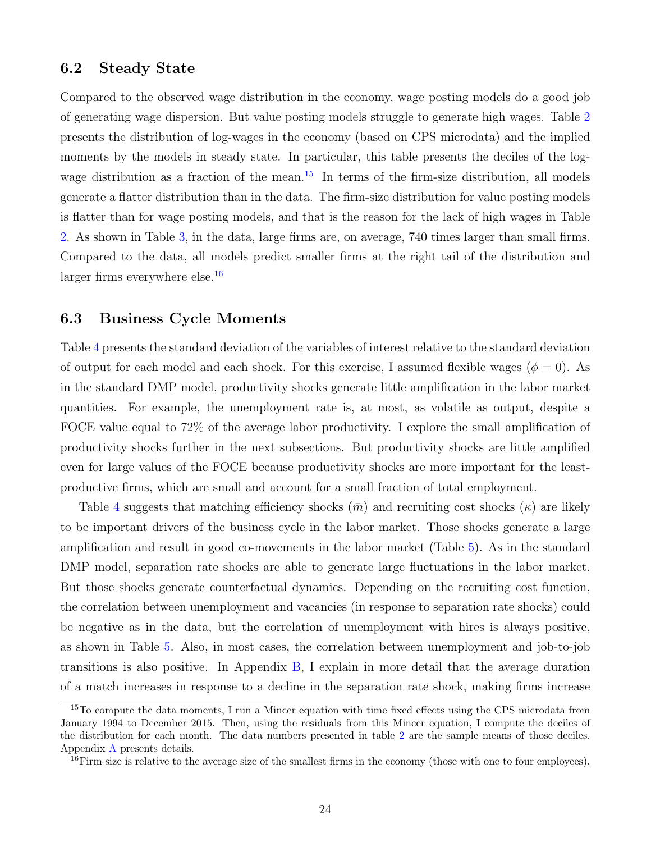### 6.2 Steady State

Compared to the observed wage distribution in the economy, wage posting models do a good job of generating wage dispersion. But value posting models struggle to generate high wages. Table [2](#page-20-0) presents the distribution of log-wages in the economy (based on CPS microdata) and the implied moments by the models in steady state. In particular, this table presents the deciles of the log-wage distribution as a fraction of the mean.<sup>[15](#page-1-0)</sup> In terms of the firm-size distribution, all models generate a flatter distribution than in the data. The firm-size distribution for value posting models is flatter than for wage posting models, and that is the reason for the lack of high wages in Table [2.](#page-20-0) As shown in Table [3,](#page-21-2) in the data, large firms are, on average, 740 times larger than small firms. Compared to the data, all models predict smaller firms at the right tail of the distribution and larger firms everywhere else.<sup>[16](#page-1-0)</sup>

### <span id="page-24-0"></span>6.3 Business Cycle Moments

Table [4](#page-22-0) presents the standard deviation of the variables of interest relative to the standard deviation of output for each model and each shock. For this exercise, I assumed flexible wages ( $\phi = 0$ ). As in the standard DMP model, productivity shocks generate little amplification in the labor market quantities. For example, the unemployment rate is, at most, as volatile as output, despite a FOCE value equal to 72% of the average labor productivity. I explore the small amplification of productivity shocks further in the next subsections. But productivity shocks are little amplified even for large values of the FOCE because productivity shocks are more important for the leastproductive firms, which are small and account for a small fraction of total employment.

Table [4](#page-22-0) suggests that matching efficiency shocks  $(\bar{m})$  and recruiting cost shocks  $(\kappa)$  are likely to be important drivers of the business cycle in the labor market. Those shocks generate a large amplification and result in good co-movements in the labor market (Table [5\)](#page-23-0). As in the standard DMP model, separation rate shocks are able to generate large fluctuations in the labor market. But those shocks generate counterfactual dynamics. Depending on the recruiting cost function, the correlation between unemployment and vacancies (in response to separation rate shocks) could be negative as in the data, but the correlation of unemployment with hires is always positive, as shown in Table [5.](#page-23-0) Also, in most cases, the correlation between unemployment and job-to-job transitions is also positive. In Appendix [B,](#page-40-0) I explain in more detail that the average duration of a match increases in response to a decline in the separation rate shock, making firms increase

<sup>&</sup>lt;sup>15</sup>To compute the data moments, I run a Mincer equation with time fixed effects using the CPS microdata from January 1994 to December 2015. Then, using the residuals from this Mincer equation, I compute the deciles of the distribution for each month. The data numbers presented in table [2](#page-20-0) are the sample means of those deciles. Appendix [A](#page-38-0) presents details.

 $16$ Firm size is relative to the average size of the smallest firms in the economy (those with one to four employees).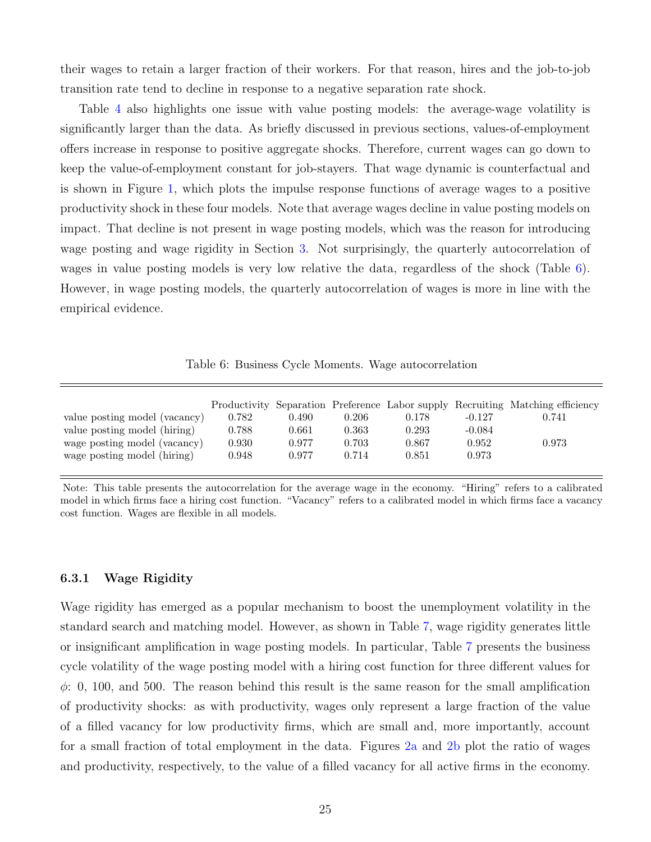their wages to retain a larger fraction of their workers. For that reason, hires and the job-to-job transition rate tend to decline in response to a negative separation rate shock.

Table [4](#page-22-0) also highlights one issue with value posting models: the average-wage volatility is significantly larger than the data. As briefly discussed in previous sections, values-of-employment offers increase in response to positive aggregate shocks. Therefore, current wages can go down to keep the value-of-employment constant for job-stayers. That wage dynamic is counterfactual and is shown in Figure [1,](#page-26-0) which plots the impulse response functions of average wages to a positive productivity shock in these four models. Note that average wages decline in value posting models on impact. That decline is not present in wage posting models, which was the reason for introducing wage posting and wage rigidity in Section [3.](#page-10-0) Not surprisingly, the quarterly autocorrelation of wages in value posting models is very low relative the data, regardless of the shock (Table  $6$ ). However, in wage posting models, the quarterly autocorrelation of wages is more in line with the empirical evidence.

Table 6: Business Cycle Moments. Wage autocorrelation

<span id="page-25-0"></span>

| value posting model (vacancy) | 0.782 | 0.490 | 0.206 | 0.178 | $-0.127$ | Productivity Separation Preference Labor supply Recruiting Matching efficiency |
|-------------------------------|-------|-------|-------|-------|----------|--------------------------------------------------------------------------------|
| value posting model (hiring)  | 0.788 | 0.661 | 0.363 | 0.293 | $-0.084$ | 0.741                                                                          |
| wage posting model (vacancy)  | 0.930 | 0.977 | 0.703 | 0.867 | 0.952    | 0.973                                                                          |
| wage posting model (hiring)   | 0.948 | 0.977 | 0.714 | 0.851 | 0.973    |                                                                                |

Note: This table presents the autocorrelation for the average wage in the economy. "Hiring" refers to a calibrated model in which firms face a hiring cost function. "Vacancy" refers to a calibrated model in which firms face a vacancy cost function. Wages are flexible in all models.

#### 6.3.1 Wage Rigidity

Wage rigidity has emerged as a popular mechanism to boost the unemployment volatility in the standard search and matching model. However, as shown in Table [7,](#page-27-0) wage rigidity generates little or insignificant amplification in wage posting models. In particular, Table [7](#page-27-0) presents the business cycle volatility of the wage posting model with a hiring cost function for three different values for  $\phi$ : 0, 100, and 500. The reason behind this result is the same reason for the small amplification of productivity shocks: as with productivity, wages only represent a large fraction of the value of a filled vacancy for low productivity firms, which are small and, more importantly, account for a small fraction of total employment in the data. Figures [2a](#page-28-0) and [2b](#page-28-0) plot the ratio of wages and productivity, respectively, to the value of a filled vacancy for all active firms in the economy.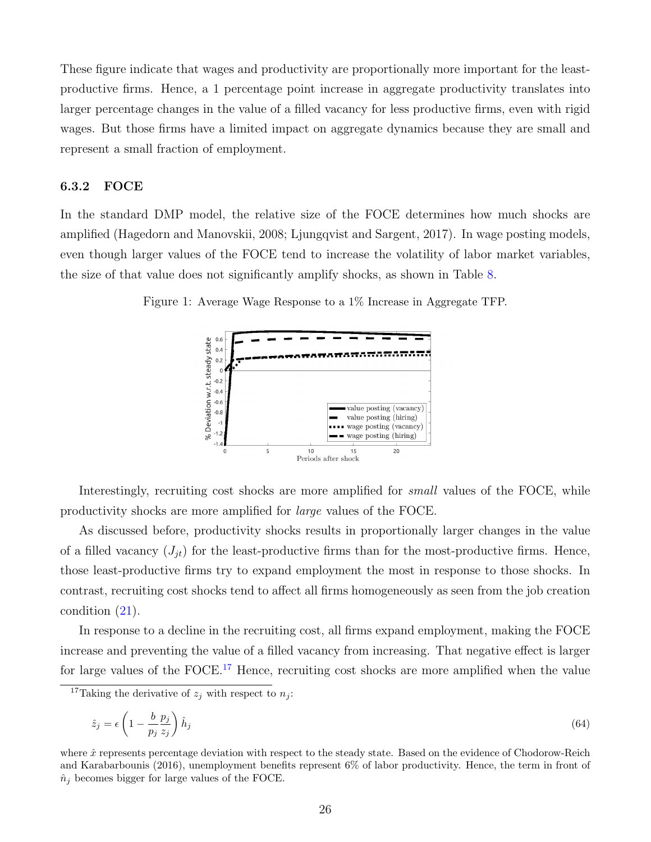These figure indicate that wages and productivity are proportionally more important for the leastproductive firms. Hence, a 1 percentage point increase in aggregate productivity translates into larger percentage changes in the value of a filled vacancy for less productive firms, even with rigid wages. But those firms have a limited impact on aggregate dynamics because they are small and represent a small fraction of employment.

#### 6.3.2 FOCE

In the standard DMP model, the relative size of the FOCE determines how much shocks are amplified (Hagedorn and Manovskii, 2008; Ljungqvist and Sargent, 2017). In wage posting models, even though larger values of the FOCE tend to increase the volatility of labor market variables, the size of that value does not significantly amplify shocks, as shown in Table [8.](#page-29-0)

<span id="page-26-0"></span>



Interestingly, recruiting cost shocks are more amplified for *small* values of the FOCE, while productivity shocks are more amplified for large values of the FOCE.

As discussed before, productivity shocks results in proportionally larger changes in the value of a filled vacancy  $(J_{it})$  for the least-productive firms than for the most-productive firms. Hence, those least-productive firms try to expand employment the most in response to those shocks. In contrast, recruiting cost shocks tend to affect all firms homogeneously as seen from the job creation condition [\(21\)](#page-9-0).

In response to a decline in the recruiting cost, all firms expand employment, making the FOCE increase and preventing the value of a filled vacancy from increasing. That negative effect is larger for large values of the FOCE.<sup>[17](#page-1-0)</sup> Hence, recruiting cost shocks are more amplified when the value

$$
\hat{z}_j = \epsilon \left( 1 - \frac{b}{p_j} \frac{p_j}{z_j} \right) \hat{h}_j \tag{64}
$$

<sup>&</sup>lt;sup>17</sup>Taking the derivative of  $z_i$  with respect to  $n_i$ :

where  $\hat{x}$  represents percentage deviation with respect to the steady state. Based on the evidence of Chodorow-Reich and Karabarbounis (2016), unemployment benefits represent 6% of labor productivity. Hence, the term in front of  $\hat{n}_i$  becomes bigger for large values of the FOCE.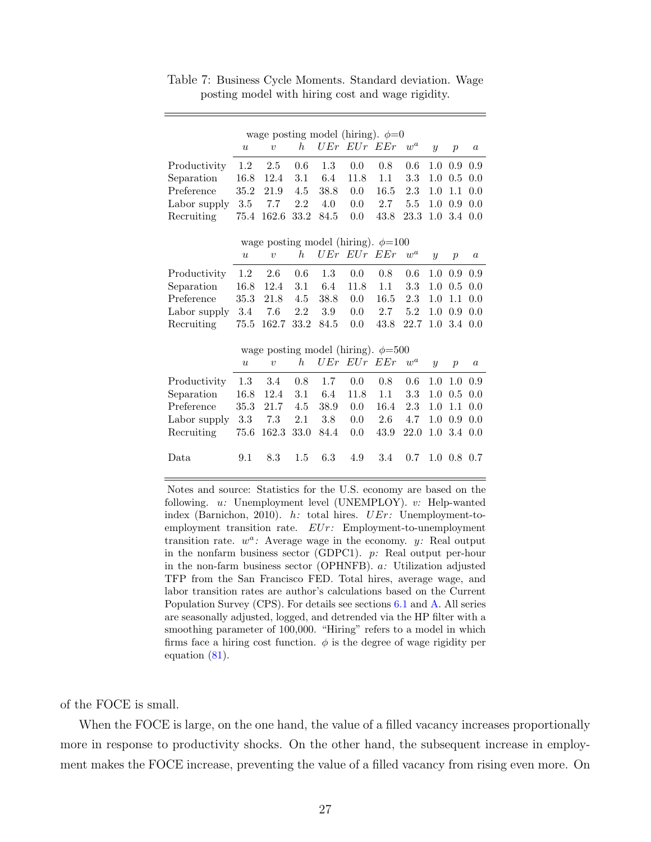| wage posting model (hiring). $\phi=0$     |                  |                                           |                  |      |             |      |                    |                |                  |                  |  |
|-------------------------------------------|------------------|-------------------------------------------|------------------|------|-------------|------|--------------------|----------------|------------------|------------------|--|
|                                           | $\boldsymbol{u}$ | $\upsilon$                                | $\boldsymbol{h}$ |      | UEr EUr EEr |      | $\boldsymbol{w}^a$ | $\overline{y}$ | $\mathcal{p}$    | $\boldsymbol{a}$ |  |
| Productivity                              | 1.2              | 2.5                                       | 0.6              | 1.3  | 0.0         | 0.8  | 0.6                | 1.0            | 0.9              | 0.9              |  |
| Separation                                | 16.8             | 12.4                                      | 3.1              | 6.4  | 11.8        | 1.1  | $3.3\,$            | 1.0            | 0.5              | 0.0              |  |
| Preference                                | 35.2             | 21.9                                      | 4.5              | 38.8 | 0.0         | 16.5 | 2.3                | 1.0            | 1.1              | 0.0              |  |
| Labor supply                              | 3.5              | 7.7                                       | 2.2              | 4.0  | 0.0         | 2.7  | 5.5                | 1.0            | 0.9              | 0.0              |  |
| Recruiting                                | 75.4             | 162.6                                     | 33.2             | 84.5 | 0.0         | 43.8 | 23.3               | 1.0            | 3.4              | 0.0              |  |
| wage posting model (hiring). $\phi = 100$ |                  |                                           |                  |      |             |      |                    |                |                  |                  |  |
|                                           | $\boldsymbol{u}$ | $\upsilon$                                | $\hbar$          |      | UEr EUr     | EEr  | $\boldsymbol{w}^a$ | $\mathcal{Y}$  | $\boldsymbol{p}$ | $\boldsymbol{a}$ |  |
| Productivity                              | 1.2              | 2.6                                       | 0.6              | 1.3  | 0.0         | 0.8  | 0.6                | 1.0            | 0.9              | 0.9              |  |
| Separation                                | 16.8             | 12.4                                      | 3.1              | 6.4  | 11.8        | 1.1  | 3.3                | 1.0            | 0.5              | 0.0              |  |
| Preference                                | 35.3             | 21.8                                      | 4.5              | 38.8 | 0.0         | 16.5 | 2.3                | 1.0            | 1.1              | 0.0              |  |
| Labor supply                              | 3.4              | 7.6                                       | 2.2              | 3.9  | 0.0         | 2.7  | 5.2                | 1.0            | 0.9              | 0.0              |  |
| Recruiting                                | 75.5             | 162.7                                     | 33.2             | 84.5 | 0.0         | 43.8 | 22.7               | 1.0            | 3.4              | 0.0              |  |
|                                           |                  | wage posting model (hiring). $\phi = 500$ |                  |      |             |      |                    |                |                  |                  |  |
|                                           | $\boldsymbol{u}$ | $\upsilon$                                | $\hbar$          |      | UEr EUr     | EEr  | $\boldsymbol{w}^a$ | $\overline{y}$ | $\mathcal{p}$    | $\boldsymbol{a}$ |  |
| Productivity                              | 1.3              | 3.4                                       | 0.8              | 1.7  | 0.0         | 0.8  | 0.6                | 1.0            | 1.0              | 0.9              |  |
| Separation                                | 16.8             | 12.4                                      | 3.1              | 6.4  | 11.8        | 1.1  | 3.3                | 1.0            | 0.5              | 0.0              |  |
| Preference                                | 35.3             | 21.7                                      | 4.5              | 38.9 | 0.0         | 16.4 | 2.3                | 1.0            | 1.1              | 0.0              |  |
| Labor supply                              | 3.3              | 7.3                                       | $2.1\,$          | 3.8  | 0.0         | 2.6  | 4.7                | 1.0            | 0.9              | 0.0              |  |
| Recruiting                                | 75.6             | 162.3                                     | 33.0             | 84.4 | 0.0         | 43.9 | 22.0               | 1.0            | 3.4              | 0.0              |  |
| Data                                      | 9.1              | 8.3                                       | 1.5              | 6.3  | 4.9         | 3.4  | 0.7                | 1.0            | 0.8              | 0.7              |  |

<span id="page-27-0"></span>Table 7: Business Cycle Moments. Standard deviation. Wage posting model with hiring cost and wage rigidity.

Notes and source: Statistics for the U.S. economy are based on the following. u: Unemployment level (UNEMPLOY). v: Help-wanted index (Barnichon, 2010). h: total hires. UEr: Unemployment-toemployment transition rate. EUr: Employment-to-unemployment transition rate.  $w^a$ : Average wage in the economy. y: Real output in the nonfarm business sector (GDPC1). p: Real output per-hour in the non-farm business sector (OPHNFB). a: Utilization adjusted TFP from the San Francisco FED. Total hires, average wage, and labor transition rates are author's calculations based on the Current Population Survey (CPS). For details see sections [6.1](#page-21-1) and [A.](#page-38-0) All series are seasonally adjusted, logged, and detrended via the HP filter with a smoothing parameter of 100,000. "Hiring" refers to a model in which firms face a hiring cost function.  $\phi$  is the degree of wage rigidity per equation [\(81\)](#page-43-0).

of the FOCE is small.

When the FOCE is large, on the one hand, the value of a filled vacancy increases proportionally more in response to productivity shocks. On the other hand, the subsequent increase in employment makes the FOCE increase, preventing the value of a filled vacancy from rising even more. On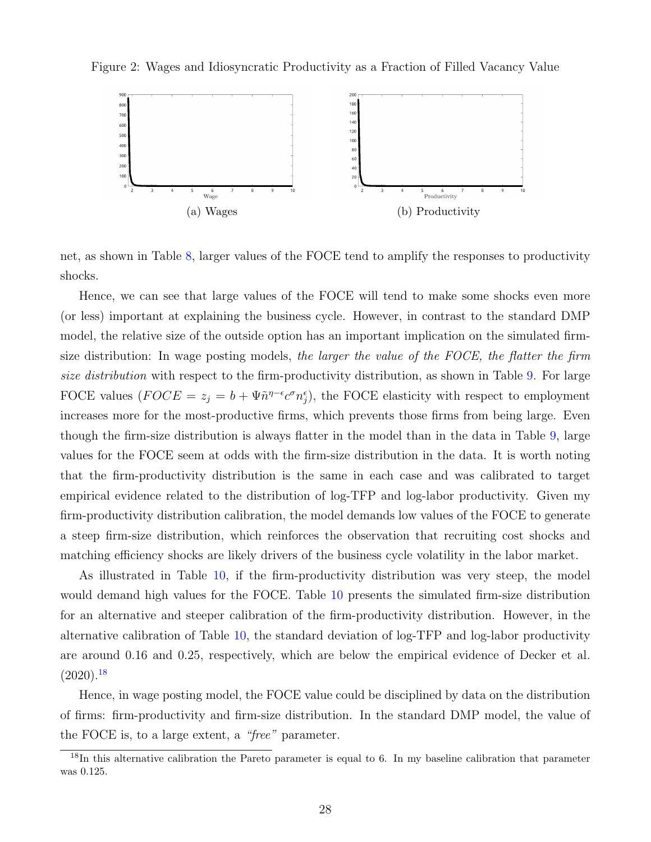<span id="page-28-0"></span>Figure 2: Wages and Idiosyncratic Productivity as a Fraction of Filled Vacancy Value



net, as shown in Table [8,](#page-29-0) larger values of the FOCE tend to amplify the responses to productivity shocks.

Hence, we can see that large values of the FOCE will tend to make some shocks even more (or less) important at explaining the business cycle. However, in contrast to the standard DMP model, the relative size of the outside option has an important implication on the simulated firmsize distribution: In wage posting models, the larger the value of the FOCE, the flatter the firm size distribution with respect to the firm-productivity distribution, as shown in Table [9.](#page-30-0) For large FOCE values  $(FOCE = z_j = b + \Psi \tilde{n}^{\eta - \epsilon} c^{\sigma} n_j^{\epsilon})$ , the FOCE elasticity with respect to employment increases more for the most-productive firms, which prevents those firms from being large. Even though the firm-size distribution is always flatter in the model than in the data in Table [9,](#page-30-0) large values for the FOCE seem at odds with the firm-size distribution in the data. It is worth noting that the firm-productivity distribution is the same in each case and was calibrated to target empirical evidence related to the distribution of log-TFP and log-labor productivity. Given my firm-productivity distribution calibration, the model demands low values of the FOCE to generate a steep firm-size distribution, which reinforces the observation that recruiting cost shocks and matching efficiency shocks are likely drivers of the business cycle volatility in the labor market.

As illustrated in Table [10,](#page-31-1) if the firm-productivity distribution was very steep, the model would demand high values for the FOCE. Table [10](#page-31-1) presents the simulated firm-size distribution for an alternative and steeper calibration of the firm-productivity distribution. However, in the alternative calibration of Table [10,](#page-31-1) the standard deviation of log-TFP and log-labor productivity are around 0.16 and 0.25, respectively, which are below the empirical evidence of Decker et al.  $(2020).<sup>18</sup>$  $(2020).<sup>18</sup>$  $(2020).<sup>18</sup>$ 

Hence, in wage posting model, the FOCE value could be disciplined by data on the distribution of firms: firm-productivity and firm-size distribution. In the standard DMP model, the value of the FOCE is, to a large extent, a "free" parameter.

<sup>18</sup>In this alternative calibration the Pareto parameter is equal to 6. In my baseline calibration that parameter was 0.125.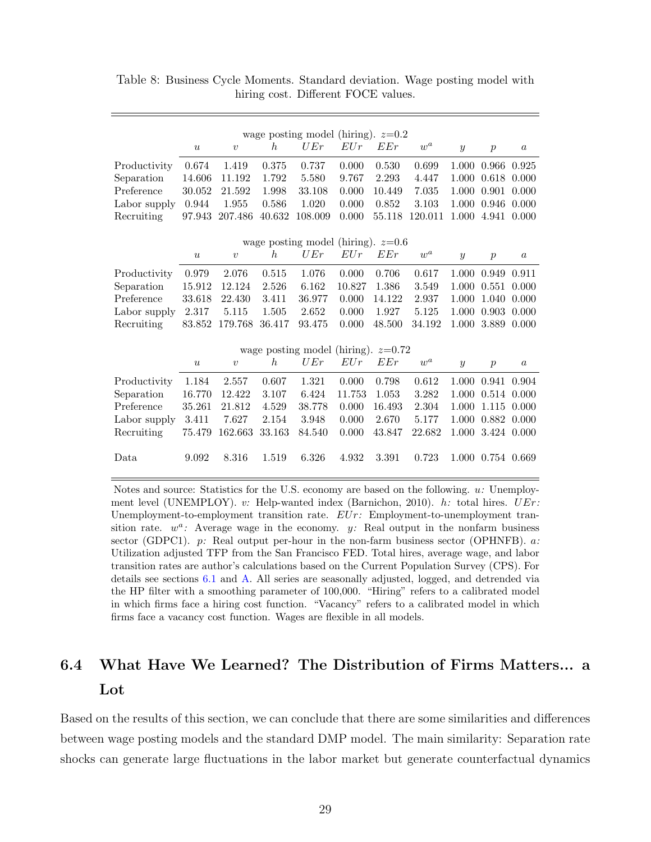| wage posting model (hiring). $z=0.2$ |                  |                  |         |                                       |        |        |                    |                  |                  |                  |  |
|--------------------------------------|------------------|------------------|---------|---------------------------------------|--------|--------|--------------------|------------------|------------------|------------------|--|
|                                      | $\boldsymbol{u}$ | $\boldsymbol{v}$ | h       | UEr                                   | EUr    | EEr    | $\boldsymbol{w}^a$ | $\mathcal{Y}$    | $\boldsymbol{p}$ | $\boldsymbol{a}$ |  |
| Productivity                         | 0.674            | 1.419            | 0.375   | 0.737                                 | 0.000  | 0.530  | 0.699              | 1.000            | 0.966            | 0.925            |  |
| Separation                           | 14.606           | 11.192           | 1.792   | 5.580                                 | 9.767  | 2.293  | 4.447              | 1.000            | 0.618            | 0.000            |  |
| Preference                           | 30.052           | 21.592           | 1.998   | 33.108                                | 0.000  | 10.449 | 7.035              | 1.000            | 0.901            | 0.000            |  |
| Labor supply                         | 0.944            | 1.955            | 0.586   | 1.020                                 | 0.000  | 0.852  | 3.103              | 1.000            | 0.946            | 0.000            |  |
| Recruiting                           | 97.943           | 207.486          | 40.632  | 108.009                               | 0.000  | 55.118 | 120.011            | 1.000            | 4.941            | 0.000            |  |
| wage posting model (hiring). $z=0.6$ |                  |                  |         |                                       |        |        |                    |                  |                  |                  |  |
|                                      | $\boldsymbol{u}$ | $\upsilon$       | $\hbar$ | UEr                                   | EUr    | EEr    | $\boldsymbol{w}^a$ |                  |                  | $\boldsymbol{a}$ |  |
|                                      |                  |                  |         |                                       |        |        |                    | $\boldsymbol{y}$ | $\boldsymbol{p}$ |                  |  |
| Productivity                         | 0.979            | 2.076            | 0.515   | 1.076                                 | 0.000  | 0.706  | 0.617              | 1.000            | 0.949            | 0.911            |  |
| Separation                           | 15.912           | 12.124           | 2.526   | 6.162                                 | 10.827 | 1.386  | 3.549              | 1.000            | 0.551            | 0.000            |  |
| Preference                           | 33.618           | 22.430           | 3.411   | 36.977                                | 0.000  | 14.122 | 2.937              | 1.000            | 1.040            | 0.000            |  |
| Labor supply                         | 2.317            | 5.115            | 1.505   | 2.652                                 | 0.000  | 1.927  | 5.125              | 1.000            | 0.903            | 0.000            |  |
| Recruiting                           | 83.852           | 179.768          | 36.417  | 93.475                                | 0.000  | 48.500 | 34.192             | 1.000            | 3.889            | 0.000            |  |
|                                      |                  |                  |         | wage posting model (hiring). $z=0.72$ |        |        |                    |                  |                  |                  |  |
|                                      | $\boldsymbol{u}$ | $\boldsymbol{v}$ | $\hbar$ | UEr                                   | EUr    | EEr    | $\boldsymbol{w}^a$ | $\mathcal{Y}$    | $\boldsymbol{p}$ | $\boldsymbol{a}$ |  |
| Productivity                         | 1.184            | 2.557            | 0.607   | 1.321                                 | 0.000  | 0.798  | 0.612              | 1.000            | 0.941            | 0.904            |  |
| Separation                           | 16.770           | 12.422           | 3.107   | 6.424                                 | 11.753 | 1.053  | 3.282              | 1.000            | 0.514            | 0.000            |  |
| Preference                           | 35.261           | 21.812           | 4.529   | 38.778                                | 0.000  | 16.493 | 2.304              | 1.000            | 1.115            | 0.000            |  |
| Labor supply                         | 3.411            | 7.627            | 2.154   | 3.948                                 | 0.000  | 2.670  | 5.177              | 1.000            | 0.882            | 0.000            |  |
| Recruiting                           | 75.479           | 162.663          | 33.163  | 84.540                                | 0.000  | 43.847 | 22.682             | 1.000            | 3.424            | 0.000            |  |
| Data                                 | 9.092            | 8.316            | 1.519   | 6.326                                 | 4.932  | 3.391  | 0.723              | 1.000            | 0.754 0.669      |                  |  |

<span id="page-29-0"></span>Table 8: Business Cycle Moments. Standard deviation. Wage posting model with hiring cost. Different FOCE values.

Notes and source: Statistics for the U.S. economy are based on the following. u: Unemployment level (UNEMPLOY). v: Help-wanted index (Barnichon, 2010). h: total hires.  $UEr$ : Unemployment-to-employment transition rate.  $EUr:$  Employment-to-unemployment transition rate.  $w^a$ : Average wage in the economy. y: Real output in the nonfarm business sector (GDPC1).  $p$ : Real output per-hour in the non-farm business sector (OPHNFB).  $a$ : Utilization adjusted TFP from the San Francisco FED. Total hires, average wage, and labor transition rates are author's calculations based on the Current Population Survey (CPS). For details see sections [6.1](#page-21-1) and [A.](#page-38-0) All series are seasonally adjusted, logged, and detrended via the HP filter with a smoothing parameter of 100,000. "Hiring" refers to a calibrated model in which firms face a hiring cost function. "Vacancy" refers to a calibrated model in which firms face a vacancy cost function. Wages are flexible in all models.

## 6.4 What Have We Learned? The Distribution of Firms Matters... a Lot

Based on the results of this section, we can conclude that there are some similarities and differences between wage posting models and the standard DMP model. The main similarity: Separation rate shocks can generate large fluctuations in the labor market but generate counterfactual dynamics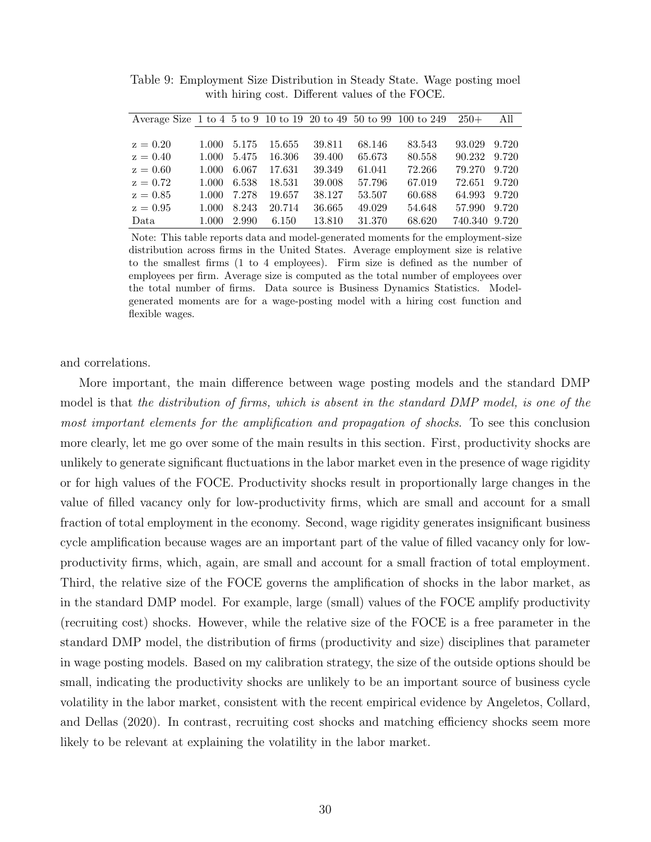| Average Size 1 to 4 5 to 9 10 to 19 20 to 49 50 to 99 100 to 249 |       |       |        |        |        |        | $250+$        | All   |
|------------------------------------------------------------------|-------|-------|--------|--------|--------|--------|---------------|-------|
|                                                                  |       |       |        |        |        |        |               |       |
| $z = 0.20$                                                       | 1.000 | 5.175 | 15.655 | 39.811 | 68.146 | 83.543 | 93.029        | 9.720 |
| $z = 0.40$                                                       | 1.000 | 5.475 | 16.306 | 39.400 | 65.673 | 80.558 | 90.232        | 9.720 |
| $z = 0.60$                                                       | 1.000 | 6.067 | 17.631 | 39.349 | 61.041 | 72.266 | 79.270        | 9.720 |
| $z = 0.72$                                                       | 1.000 | 6.538 | 18.531 | 39.008 | 57.796 | 67.019 | 72.651        | 9.720 |
| $z = 0.85$                                                       | 1.000 | 7.278 | 19.657 | 38.127 | 53.507 | 60.688 | 64.993        | 9.720 |
| $z = 0.95$                                                       | 1.000 | 8.243 | 20.714 | 36.665 | 49.029 | 54.648 | 57.990        | 9.720 |
| Data                                                             | 1.000 | 2.990 | 6.150  | 13.810 | 31.370 | 68.620 | 740.340 9.720 |       |
|                                                                  |       |       |        |        |        |        |               |       |

<span id="page-30-0"></span>Table 9: Employment Size Distribution in Steady State. Wage posting moel with hiring cost. Different values of the FOCE.

Note: This table reports data and model-generated moments for the employment-size distribution across firms in the United States. Average employment size is relative to the smallest firms (1 to 4 employees). Firm size is defined as the number of employees per firm. Average size is computed as the total number of employees over the total number of firms. Data source is Business Dynamics Statistics. Modelgenerated moments are for a wage-posting model with a hiring cost function and flexible wages.

and correlations.

More important, the main difference between wage posting models and the standard DMP model is that the distribution of firms, which is absent in the standard DMP model, is one of the most important elements for the amplification and propagation of shocks. To see this conclusion more clearly, let me go over some of the main results in this section. First, productivity shocks are unlikely to generate significant fluctuations in the labor market even in the presence of wage rigidity or for high values of the FOCE. Productivity shocks result in proportionally large changes in the value of filled vacancy only for low-productivity firms, which are small and account for a small fraction of total employment in the economy. Second, wage rigidity generates insignificant business cycle amplification because wages are an important part of the value of filled vacancy only for lowproductivity firms, which, again, are small and account for a small fraction of total employment. Third, the relative size of the FOCE governs the amplification of shocks in the labor market, as in the standard DMP model. For example, large (small) values of the FOCE amplify productivity (recruiting cost) shocks. However, while the relative size of the FOCE is a free parameter in the standard DMP model, the distribution of firms (productivity and size) disciplines that parameter in wage posting models. Based on my calibration strategy, the size of the outside options should be small, indicating the productivity shocks are unlikely to be an important source of business cycle volatility in the labor market, consistent with the recent empirical evidence by Angeletos, Collard, and Dellas (2020). In contrast, recruiting cost shocks and matching efficiency shocks seem more likely to be relevant at explaining the volatility in the labor market.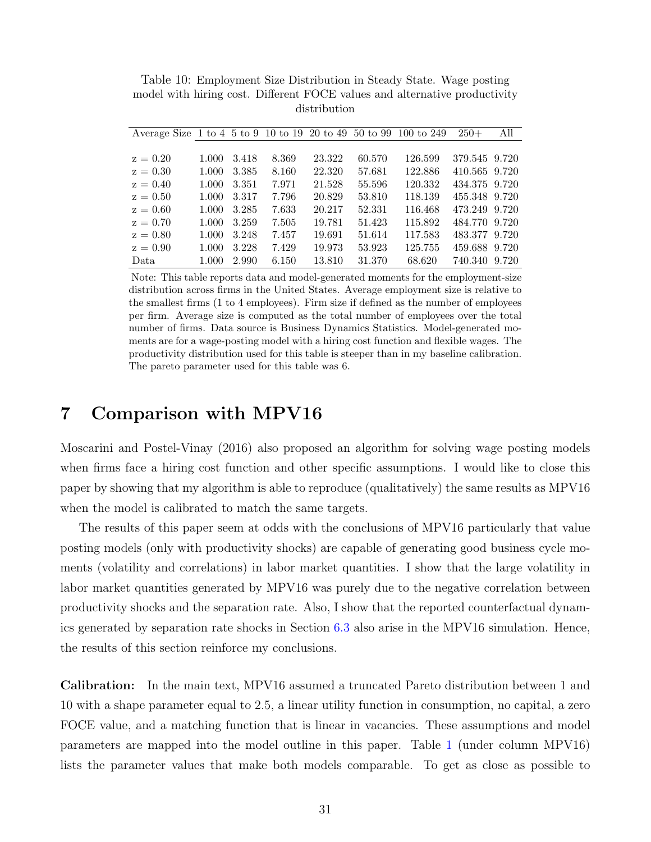| Average Size 1 to 4 5 to 9 10 to 19 20 to 49 50 to 99 100 to 249 |       |       |       |        |        |         | $250+$        | All   |
|------------------------------------------------------------------|-------|-------|-------|--------|--------|---------|---------------|-------|
|                                                                  |       |       |       |        |        |         |               |       |
| $z=0.20$                                                         | 1.000 | 3.418 | 8.369 | 23.322 | 60.570 | 126.599 | 379.545 9.720 |       |
| $z=0.30$                                                         | 1.000 | 3.385 | 8.160 | 22.320 | 57.681 | 122.886 | 410.565 9.720 |       |
| $z = 0.40$                                                       | 1.000 | 3.351 | 7.971 | 21.528 | 55.596 | 120.332 | 434.375 9.720 |       |
| $z = 0.50$                                                       | 1.000 | 3.317 | 7.796 | 20.829 | 53.810 | 118.139 | 455.348 9.720 |       |
| $z=0.60$                                                         | 1.000 | 3.285 | 7.633 | 20.217 | 52.331 | 116.468 | 473.249 9.720 |       |
| $z = 0.70$                                                       | 1.000 | 3.259 | 7.505 | 19.781 | 51.423 | 115.892 | 484.770 9.720 |       |
| $z = 0.80$                                                       | 1.000 | 3.248 | 7.457 | 19.691 | 51.614 | 117.583 | 483.377 9.720 |       |
| $z = 0.90$                                                       | 1.000 | 3.228 | 7.429 | 19.973 | 53.923 | 125.755 | 459.688 9.720 |       |
| Data                                                             | 1.000 | 2.990 | 6.150 | 13.810 | 31.370 | 68.620  | 740.340       | 9.720 |

<span id="page-31-1"></span>Table 10: Employment Size Distribution in Steady State. Wage posting model with hiring cost. Different FOCE values and alternative productivity distribution

Note: This table reports data and model-generated moments for the employment-size distribution across firms in the United States. Average employment size is relative to the smallest firms (1 to 4 employees). Firm size if defined as the number of employees per firm. Average size is computed as the total number of employees over the total number of firms. Data source is Business Dynamics Statistics. Model-generated moments are for a wage-posting model with a hiring cost function and flexible wages. The productivity distribution used for this table is steeper than in my baseline calibration. The pareto parameter used for this table was 6.

### <span id="page-31-0"></span>7 Comparison with MPV16

Moscarini and Postel-Vinay (2016) also proposed an algorithm for solving wage posting models when firms face a hiring cost function and other specific assumptions. I would like to close this paper by showing that my algorithm is able to reproduce (qualitatively) the same results as MPV16 when the model is calibrated to match the same targets.

The results of this paper seem at odds with the conclusions of MPV16 particularly that value posting models (only with productivity shocks) are capable of generating good business cycle moments (volatility and correlations) in labor market quantities. I show that the large volatility in labor market quantities generated by MPV16 was purely due to the negative correlation between productivity shocks and the separation rate. Also, I show that the reported counterfactual dynamics generated by separation rate shocks in Section [6.3](#page-24-0) also arise in the MPV16 simulation. Hence, the results of this section reinforce my conclusions.

Calibration: In the main text, MPV16 assumed a truncated Pareto distribution between 1 and 10 with a shape parameter equal to 2.5, a linear utility function in consumption, no capital, a zero FOCE value, and a matching function that is linear in vacancies. These assumptions and model parameters are mapped into the model outline in this paper. Table [1](#page-18-0) (under column MPV16) lists the parameter values that make both models comparable. To get as close as possible to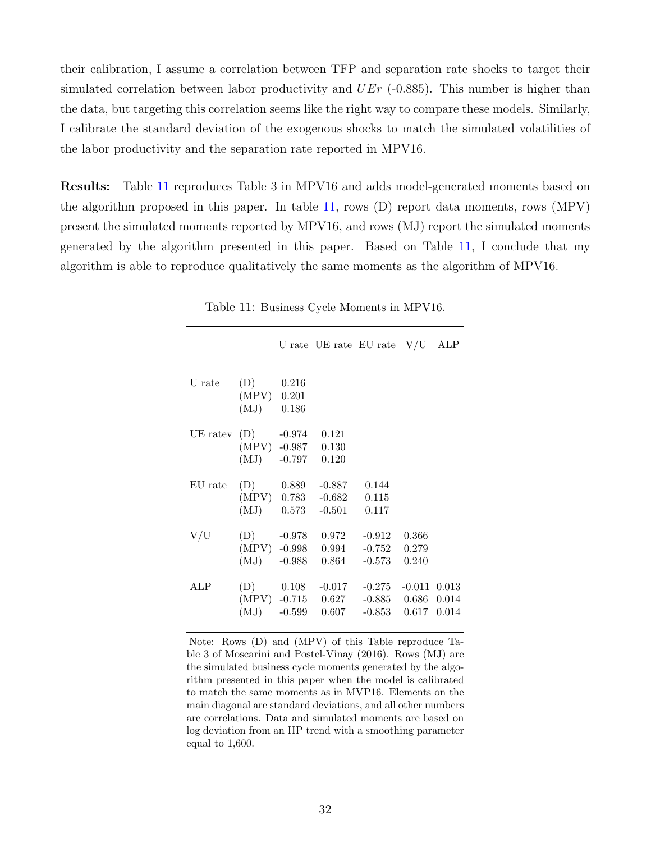their calibration, I assume a correlation between TFP and separation rate shocks to target their simulated correlation between labor productivity and  $UEr$  (-0.885). This number is higher than the data, but targeting this correlation seems like the right way to compare these models. Similarly, I calibrate the standard deviation of the exogenous shocks to match the simulated volatilities of the labor productivity and the separation rate reported in MPV16.

<span id="page-32-0"></span>Results: Table [11](#page-32-0) reproduces Table 3 in MPV16 and adds model-generated moments based on the algorithm proposed in this paper. In table [11,](#page-32-0) rows (D) report data moments, rows (MPV) present the simulated moments reported by MPV16, and rows (MJ) report the simulated moments generated by the algorithm presented in this paper. Based on Table [11,](#page-32-0) I conclude that my algorithm is able to reproduce qualitatively the same moments as the algorithm of MPV16.

|          |                              |                                          |                                               | U rate UE rate EU rate $V/U$ ALP       |                         |                         |
|----------|------------------------------|------------------------------------------|-----------------------------------------------|----------------------------------------|-------------------------|-------------------------|
| U rate   | (D)<br>$(MPV)$ 0.201<br>(MJ) | 0.216<br>0.186                           |                                               |                                        |                         |                         |
| UE ratev | (D)<br>(MJ)                  | $-0.974$ $0.121$<br>$(MPV) -0.987 0.130$ | $-0.797$ 0.120                                |                                        |                         |                         |
| EU rate  | (MJ)                         | $(D)$ 0.889<br>(MPV) 0.783<br>0.573      | -0.887<br>$-0.682$<br>$-0.501$                | 0.144<br>0.115<br>0.117                |                         |                         |
| V/U      | (D)<br>(MJ)                  | $-0.988$                                 | $-0.978$ 0.972<br>(MPV) -0.998 0.994<br>0.864 | $-0.912$<br>$-0.752$<br>$-0.573$       | 0.366<br>0.279<br>0.240 |                         |
| ALP      | (D)<br>(MJ)                  | 0.108<br>$-0.599$                        | $-0.017$<br>(MPV) -0.715 0.627<br>0.607       | $-0.275$<br>$-0.885$ 0.686<br>$-0.853$ | $-0.011$<br>0.617       | 0.013<br>0.014<br>0.014 |

Table 11: Business Cycle Moments in MPV16.

Note: Rows (D) and (MPV) of this Table reproduce Table 3 of Moscarini and Postel-Vinay (2016). Rows (MJ) are the simulated business cycle moments generated by the algorithm presented in this paper when the model is calibrated to match the same moments as in MVP16. Elements on the main diagonal are standard deviations, and all other numbers are correlations. Data and simulated moments are based on log deviation from an HP trend with a smoothing parameter equal to 1,600.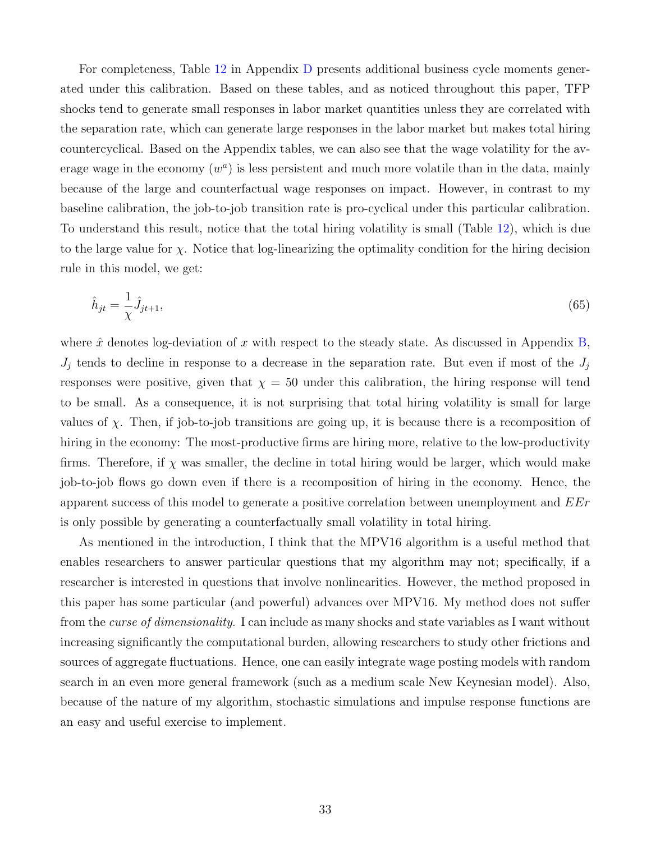For completeness, Table [12](#page-44-0) in Appendix [D](#page-44-1) presents additional business cycle moments generated under this calibration. Based on these tables, and as noticed throughout this paper, TFP shocks tend to generate small responses in labor market quantities unless they are correlated with the separation rate, which can generate large responses in the labor market but makes total hiring countercyclical. Based on the Appendix tables, we can also see that the wage volatility for the average wage in the economy  $(w^a)$  is less persistent and much more volatile than in the data, mainly because of the large and counterfactual wage responses on impact. However, in contrast to my baseline calibration, the job-to-job transition rate is pro-cyclical under this particular calibration. To understand this result, notice that the total hiring volatility is small (Table [12\)](#page-44-0), which is due to the large value for  $\chi$ . Notice that log-linearizing the optimality condition for the hiring decision rule in this model, we get:

$$
\hat{h}_{jt} = \frac{1}{\chi} \hat{J}_{jt+1},\tag{65}
$$

where  $\hat{x}$  denotes log-deviation of x with respect to the steady state. As discussed in Appendix [B,](#page-40-0)  $J_j$  tends to decline in response to a decrease in the separation rate. But even if most of the  $J_j$ responses were positive, given that  $\chi = 50$  under this calibration, the hiring response will tend to be small. As a consequence, it is not surprising that total hiring volatility is small for large values of  $\chi$ . Then, if job-to-job transitions are going up, it is because there is a recomposition of hiring in the economy: The most-productive firms are hiring more, relative to the low-productivity firms. Therefore, if  $\chi$  was smaller, the decline in total hiring would be larger, which would make job-to-job flows go down even if there is a recomposition of hiring in the economy. Hence, the apparent success of this model to generate a positive correlation between unemployment and  $E E r$ is only possible by generating a counterfactually small volatility in total hiring.

As mentioned in the introduction, I think that the MPV16 algorithm is a useful method that enables researchers to answer particular questions that my algorithm may not; specifically, if a researcher is interested in questions that involve nonlinearities. However, the method proposed in this paper has some particular (and powerful) advances over MPV16. My method does not suffer from the curse of dimensionality. I can include as many shocks and state variables as I want without increasing significantly the computational burden, allowing researchers to study other frictions and sources of aggregate fluctuations. Hence, one can easily integrate wage posting models with random search in an even more general framework (such as a medium scale New Keynesian model). Also, because of the nature of my algorithm, stochastic simulations and impulse response functions are an easy and useful exercise to implement.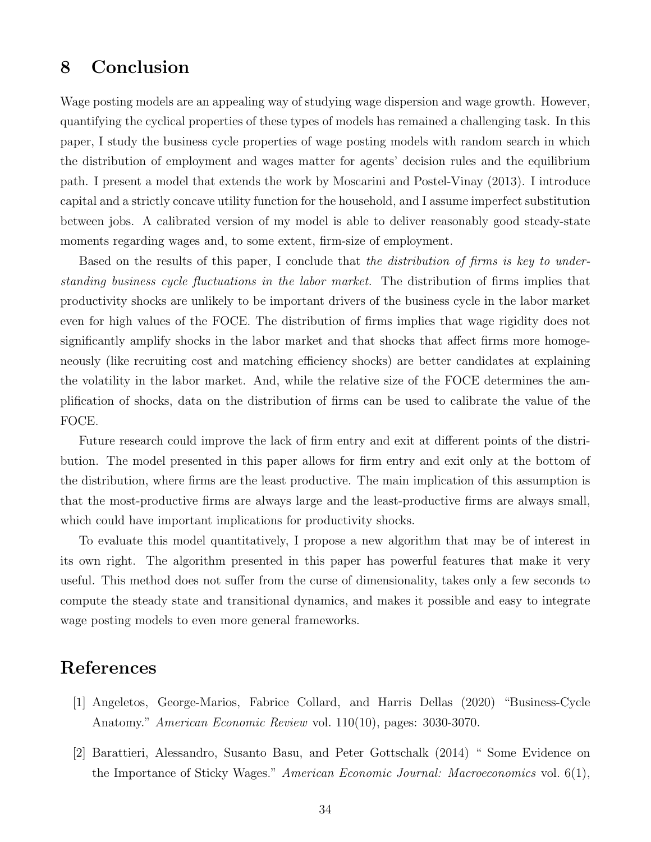## <span id="page-34-0"></span>8 Conclusion

Wage posting models are an appealing way of studying wage dispersion and wage growth. However, quantifying the cyclical properties of these types of models has remained a challenging task. In this paper, I study the business cycle properties of wage posting models with random search in which the distribution of employment and wages matter for agents' decision rules and the equilibrium path. I present a model that extends the work by Moscarini and Postel-Vinay (2013). I introduce capital and a strictly concave utility function for the household, and I assume imperfect substitution between jobs. A calibrated version of my model is able to deliver reasonably good steady-state moments regarding wages and, to some extent, firm-size of employment.

Based on the results of this paper, I conclude that the distribution of firms is key to understanding business cycle fluctuations in the labor market. The distribution of firms implies that productivity shocks are unlikely to be important drivers of the business cycle in the labor market even for high values of the FOCE. The distribution of firms implies that wage rigidity does not significantly amplify shocks in the labor market and that shocks that affect firms more homogeneously (like recruiting cost and matching efficiency shocks) are better candidates at explaining the volatility in the labor market. And, while the relative size of the FOCE determines the amplification of shocks, data on the distribution of firms can be used to calibrate the value of the FOCE.

Future research could improve the lack of firm entry and exit at different points of the distribution. The model presented in this paper allows for firm entry and exit only at the bottom of the distribution, where firms are the least productive. The main implication of this assumption is that the most-productive firms are always large and the least-productive firms are always small, which could have important implications for productivity shocks.

To evaluate this model quantitatively, I propose a new algorithm that may be of interest in its own right. The algorithm presented in this paper has powerful features that make it very useful. This method does not suffer from the curse of dimensionality, takes only a few seconds to compute the steady state and transitional dynamics, and makes it possible and easy to integrate wage posting models to even more general frameworks.

## References

- [1] Angeletos, George-Marios, Fabrice Collard, and Harris Dellas (2020) "Business-Cycle Anatomy." American Economic Review vol. 110(10), pages: 3030-3070.
- [2] Barattieri, Alessandro, Susanto Basu, and Peter Gottschalk (2014) " Some Evidence on the Importance of Sticky Wages." American Economic Journal: Macroeconomics vol. 6(1),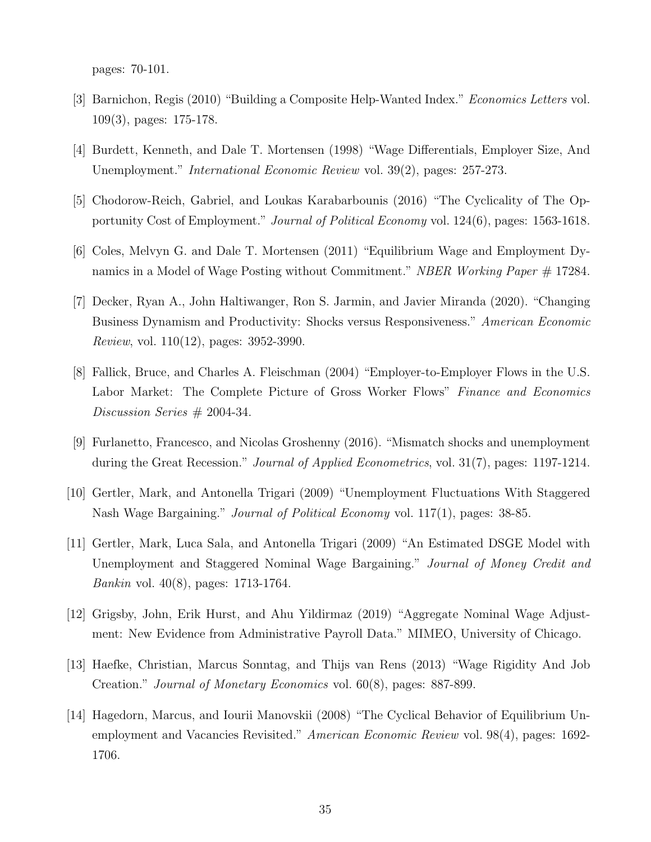pages: 70-101.

- [3] Barnichon, Regis (2010) "Building a Composite Help-Wanted Index." Economics Letters vol. 109(3), pages: 175-178.
- [4] Burdett, Kenneth, and Dale T. Mortensen (1998) "Wage Differentials, Employer Size, And Unemployment." International Economic Review vol. 39(2), pages: 257-273.
- [5] Chodorow-Reich, Gabriel, and Loukas Karabarbounis (2016) "The Cyclicality of The Opportunity Cost of Employment." Journal of Political Economy vol. 124(6), pages: 1563-1618.
- [6] Coles, Melvyn G. and Dale T. Mortensen (2011) "Equilibrium Wage and Employment Dynamics in a Model of Wage Posting without Commitment." NBER Working Paper  $\#$  17284.
- [7] Decker, Ryan A., John Haltiwanger, Ron S. Jarmin, and Javier Miranda (2020). "Changing Business Dynamism and Productivity: Shocks versus Responsiveness." American Economic Review, vol. 110(12), pages: 3952-3990.
- [8] Fallick, Bruce, and Charles A. Fleischman (2004) "Employer-to-Employer Flows in the U.S. Labor Market: The Complete Picture of Gross Worker Flows" Finance and Economics Discussion Series # 2004-34.
- [9] Furlanetto, Francesco, and Nicolas Groshenny (2016). "Mismatch shocks and unemployment during the Great Recession." Journal of Applied Econometrics, vol. 31(7), pages: 1197-1214.
- [10] Gertler, Mark, and Antonella Trigari (2009) "Unemployment Fluctuations With Staggered Nash Wage Bargaining." *Journal of Political Economy* vol. 117(1), pages: 38-85.
- [11] Gertler, Mark, Luca Sala, and Antonella Trigari (2009) "An Estimated DSGE Model with Unemployment and Staggered Nominal Wage Bargaining." Journal of Money Credit and Bankin vol. 40(8), pages: 1713-1764.
- [12] Grigsby, John, Erik Hurst, and Ahu Yildirmaz (2019) "Aggregate Nominal Wage Adjustment: New Evidence from Administrative Payroll Data." MIMEO, University of Chicago.
- [13] Haefke, Christian, Marcus Sonntag, and Thijs van Rens (2013) "Wage Rigidity And Job Creation." Journal of Monetary Economics vol. 60(8), pages: 887-899.
- [14] Hagedorn, Marcus, and Iourii Manovskii (2008) "The Cyclical Behavior of Equilibrium Unemployment and Vacancies Revisited." American Economic Review vol. 98(4), pages: 1692- 1706.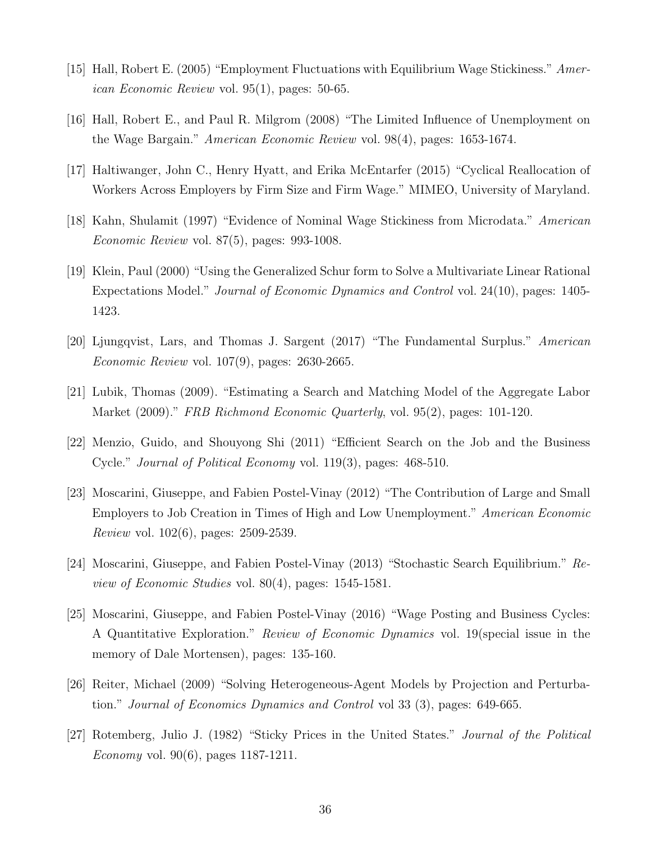- [15] Hall, Robert E. (2005) "Employment Fluctuations with Equilibrium Wage Stickiness." American Economic Review vol. 95(1), pages: 50-65.
- [16] Hall, Robert E., and Paul R. Milgrom (2008) "The Limited Influence of Unemployment on the Wage Bargain." American Economic Review vol. 98(4), pages: 1653-1674.
- [17] Haltiwanger, John C., Henry Hyatt, and Erika McEntarfer (2015) "Cyclical Reallocation of Workers Across Employers by Firm Size and Firm Wage." MIMEO, University of Maryland.
- [18] Kahn, Shulamit (1997) "Evidence of Nominal Wage Stickiness from Microdata." American Economic Review vol. 87(5), pages: 993-1008.
- [19] Klein, Paul (2000) "Using the Generalized Schur form to Solve a Multivariate Linear Rational Expectations Model." Journal of Economic Dynamics and Control vol. 24(10), pages: 1405- 1423.
- [20] Ljungqvist, Lars, and Thomas J. Sargent (2017) "The Fundamental Surplus." American Economic Review vol. 107(9), pages: 2630-2665.
- [21] Lubik, Thomas (2009). "Estimating a Search and Matching Model of the Aggregate Labor Market (2009)." FRB Richmond Economic Quarterly, vol. 95(2), pages: 101-120.
- [22] Menzio, Guido, and Shouyong Shi (2011) "Efficient Search on the Job and the Business Cycle." Journal of Political Economy vol. 119(3), pages: 468-510.
- [23] Moscarini, Giuseppe, and Fabien Postel-Vinay (2012) "The Contribution of Large and Small Employers to Job Creation in Times of High and Low Unemployment." American Economic Review vol. 102(6), pages: 2509-2539.
- [24] Moscarini, Giuseppe, and Fabien Postel-Vinay (2013) "Stochastic Search Equilibrium." Review of Economic Studies vol. 80(4), pages: 1545-1581.
- [25] Moscarini, Giuseppe, and Fabien Postel-Vinay (2016) "Wage Posting and Business Cycles: A Quantitative Exploration." Review of Economic Dynamics vol. 19(special issue in the memory of Dale Mortensen), pages: 135-160.
- [26] Reiter, Michael (2009) "Solving Heterogeneous-Agent Models by Projection and Perturbation." Journal of Economics Dynamics and Control vol 33 (3), pages: 649-665.
- [27] Rotemberg, Julio J. (1982) "Sticky Prices in the United States." Journal of the Political Economy vol. 90(6), pages 1187-1211.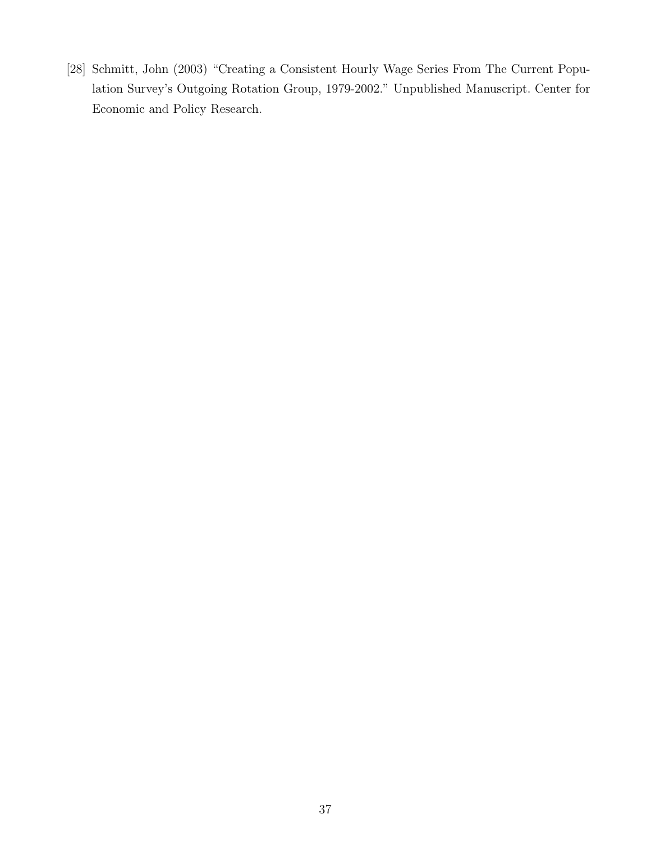[28] Schmitt, John (2003) "Creating a Consistent Hourly Wage Series From The Current Population Survey's Outgoing Rotation Group, 1979-2002." Unpublished Manuscript. Center for Economic and Policy Research.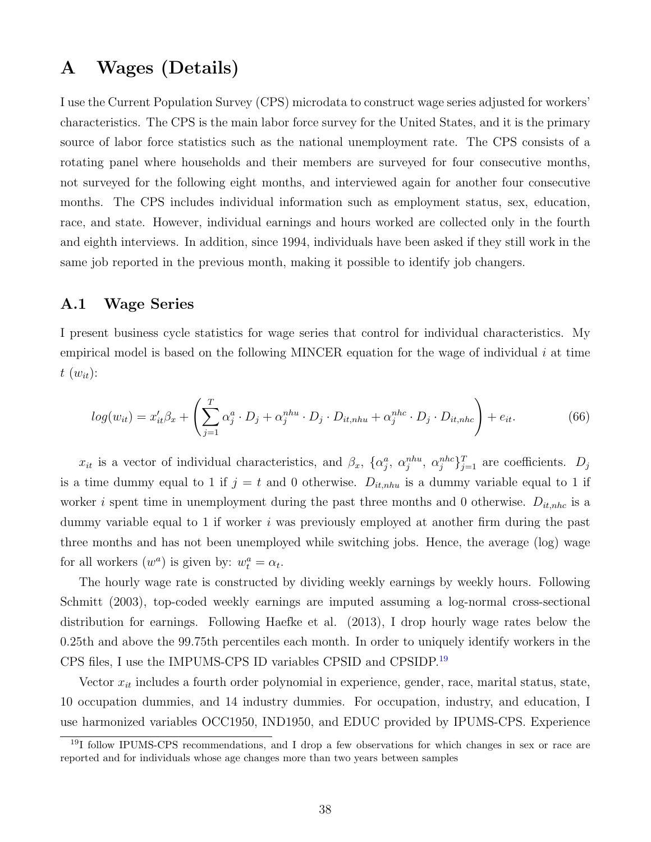## <span id="page-38-0"></span>A Wages (Details)

I use the Current Population Survey (CPS) microdata to construct wage series adjusted for workers' characteristics. The CPS is the main labor force survey for the United States, and it is the primary source of labor force statistics such as the national unemployment rate. The CPS consists of a rotating panel where households and their members are surveyed for four consecutive months, not surveyed for the following eight months, and interviewed again for another four consecutive months. The CPS includes individual information such as employment status, sex, education, race, and state. However, individual earnings and hours worked are collected only in the fourth and eighth interviews. In addition, since 1994, individuals have been asked if they still work in the same job reported in the previous month, making it possible to identify job changers.

### A.1 Wage Series

I present business cycle statistics for wage series that control for individual characteristics. My empirical model is based on the following MINCER equation for the wage of individual i at time  $t(w_{it})$ :

$$
log(w_{it}) = x_{it}'\beta_x + \left(\sum_{j=1}^T \alpha_j^a \cdot D_j + \alpha_j^{nhu} \cdot D_j \cdot D_{it,nhu} + \alpha_j^{nhc} \cdot D_j \cdot D_{it,nhc}\right) + e_{it}.
$$
 (66)

 $x_{it}$  is a vector of individual characteristics, and  $\beta_x$ ,  $\{\alpha_j^a, \alpha_j^{nhu}, \alpha_j^{nhc}\}_{j=1}^T$  are coefficients.  $D_j$ is a time dummy equal to 1 if  $j = t$  and 0 otherwise.  $D_{it,nhu}$  is a dummy variable equal to 1 if worker *i* spent time in unemployment during the past three months and 0 otherwise.  $D_{it,nhc}$  is a dummy variable equal to 1 if worker  $i$  was previously employed at another firm during the past three months and has not been unemployed while switching jobs. Hence, the average (log) wage for all workers  $(w^a)$  is given by:  $w_t^a = \alpha_t$ .

The hourly wage rate is constructed by dividing weekly earnings by weekly hours. Following Schmitt (2003), top-coded weekly earnings are imputed assuming a log-normal cross-sectional distribution for earnings. Following Haefke et al. (2013), I drop hourly wage rates below the 0.25th and above the 99.75th percentiles each month. In order to uniquely identify workers in the CPS files, I use the IMPUMS-CPS ID variables CPSID and CPSIDP.[19](#page-1-0)

Vector  $x_{it}$  includes a fourth order polynomial in experience, gender, race, marital status, state, 10 occupation dummies, and 14 industry dummies. For occupation, industry, and education, I use harmonized variables OCC1950, IND1950, and EDUC provided by IPUMS-CPS. Experience

<sup>&</sup>lt;sup>19</sup>I follow IPUMS-CPS recommendations, and I drop a few observations for which changes in sex or race are reported and for individuals whose age changes more than two years between samples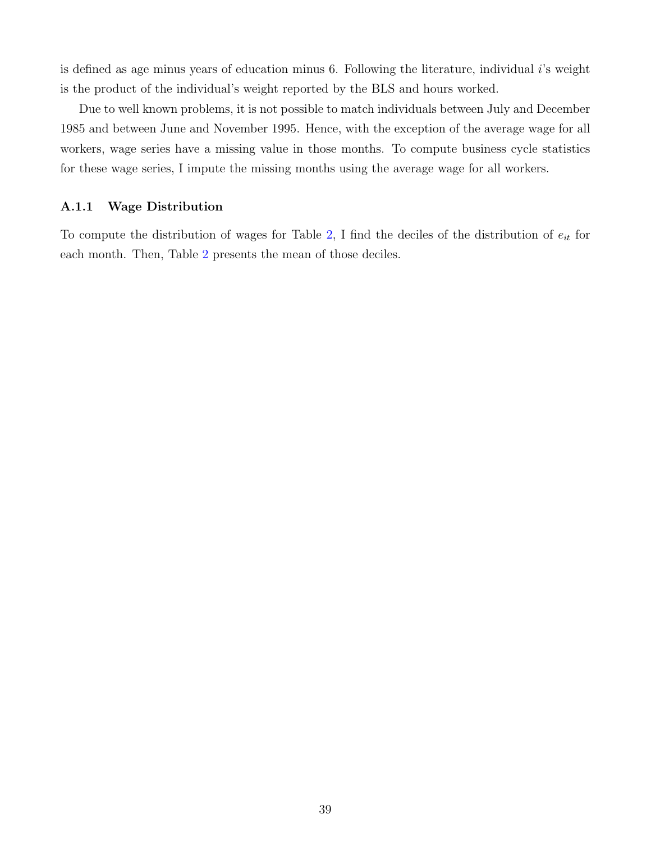is defined as age minus years of education minus 6. Following the literature, individual i's weight is the product of the individual's weight reported by the BLS and hours worked.

Due to well known problems, it is not possible to match individuals between July and December 1985 and between June and November 1995. Hence, with the exception of the average wage for all workers, wage series have a missing value in those months. To compute business cycle statistics for these wage series, I impute the missing months using the average wage for all workers.

#### A.1.1 Wage Distribution

To compute the distribution of wages for Table [2,](#page-20-0) I find the deciles of the distribution of  $e_{it}$  for each month. Then, Table [2](#page-20-0) presents the mean of those deciles.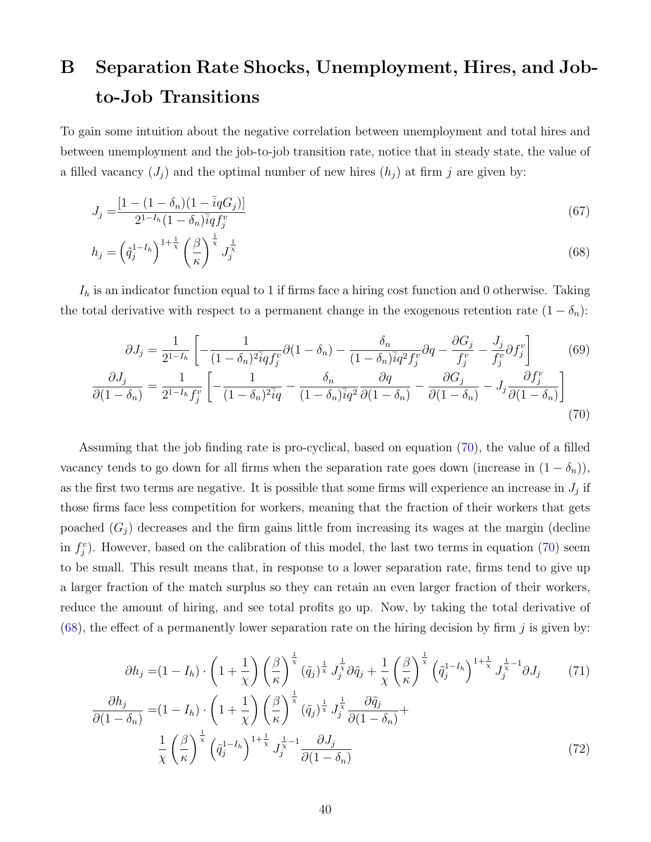# <span id="page-40-0"></span>B Separation Rate Shocks, Unemployment, Hires, and Jobto-Job Transitions

To gain some intuition about the negative correlation between unemployment and total hires and between unemployment and the job-to-job transition rate, notice that in steady state, the value of a filled vacancy  $(J_i)$  and the optimal number of new hires  $(h_i)$  at firm j are given by:

$$
J_j = \frac{[1 - (1 - \delta_n)(1 - \bar{i}qG_j)]}{2^{1 - I_h}(1 - \delta_n)\bar{i}qf_j^v}
$$
\n(67)

<span id="page-40-2"></span>
$$
h_j = \left(\tilde{q}_j^{1-I_h}\right)^{1+\frac{1}{\chi}} \left(\frac{\beta}{\kappa}\right)^{\frac{1}{\chi}} J_j^{\frac{1}{\chi}} \tag{68}
$$

 $I_h$  is an indicator function equal to 1 if firms face a hiring cost function and 0 otherwise. Taking the total derivative with respect to a permanent change in the exogenous retention rate  $(1 - \delta_n)$ :

<span id="page-40-1"></span>
$$
\partial J_j = \frac{1}{2^{1-I_h}} \left[ -\frac{1}{(1-\delta_n)^2 \bar{i}q f_j^v} \partial (1-\delta_n) - \frac{\delta_n}{(1-\delta_n)^2 \bar{i}q^2 f_j^v} \partial q - \frac{\partial G_j}{f_j^v} - \frac{J_j}{f_j^v} \partial f_j^v \right]
$$
  
\n
$$
\frac{\partial J_j}{\partial (1-\delta_n)} = \frac{1}{2^{1-I_h} f_j^v} \left[ -\frac{1}{(1-\delta_n)^2 \bar{i}q} - \frac{\delta_n}{(1-\delta_n)^2 \bar{i}q^2} \frac{\partial q}{\partial (1-\delta_n)} - \frac{\partial G_j}{\partial (1-\delta_n)} - J_j \frac{\partial f_j^v}{\partial (1-\delta_n)} \right]
$$
  
\n(70)

Assuming that the job finding rate is pro-cyclical, based on equation [\(70\)](#page-40-1), the value of a filled vacancy tends to go down for all firms when the separation rate goes down (increase in  $(1 - \delta_n)$ ), as the first two terms are negative. It is possible that some firms will experience an increase in  $J_j$  if those firms face less competition for workers, meaning that the fraction of their workers that gets poached  $(G_i)$  decreases and the firm gains little from increasing its wages at the margin (decline in  $f_j^v$ ). However, based on the calibration of this model, the last two terms in equation [\(70\)](#page-40-1) seem to be small. This result means that, in response to a lower separation rate, firms tend to give up a larger fraction of the match surplus so they can retain an even larger fraction of their workers, reduce the amount of hiring, and see total profits go up. Now, by taking the total derivative of [\(68\)](#page-40-2), the effect of a permanently lower separation rate on the hiring decision by firm  $j$  is given by:

<span id="page-40-3"></span>
$$
\partial h_j = (1 - I_h) \cdot \left(1 + \frac{1}{\chi}\right) \left(\frac{\beta}{\kappa}\right)^{\frac{1}{\chi}} (\tilde{q}_j)^{\frac{1}{\chi}} J_j^{\frac{1}{\chi}} \partial \tilde{q}_j + \frac{1}{\chi} \left(\frac{\beta}{\kappa}\right)^{\frac{1}{\chi}} \left(\tilde{q}_j^{-1-h}\right)^{1 + \frac{1}{\chi}} J_j^{\frac{1}{\chi} - 1} \partial J_j \tag{71}
$$

$$
\frac{\partial h_j}{\partial (1 - \delta_n)} = (1 - I_h) \cdot \left(1 + \frac{1}{\chi}\right) \left(\frac{\beta}{\kappa}\right)^{\frac{1}{\chi}} (\tilde{q}_j)^{\frac{1}{\chi}} J_j^{\frac{1}{\chi}} \frac{\partial \tilde{q}_j}{\partial (1 - \delta_n)} + \frac{1}{\chi} \left(\frac{\beta}{\kappa}\right)^{\frac{1}{\chi}} \left(\tilde{q}_j^{-1-h}\right)^{1 + \frac{1}{\chi}} J_j^{\frac{1}{\chi} - 1} \frac{\partial J_j}{\partial (1 - \delta_n)} \tag{72}
$$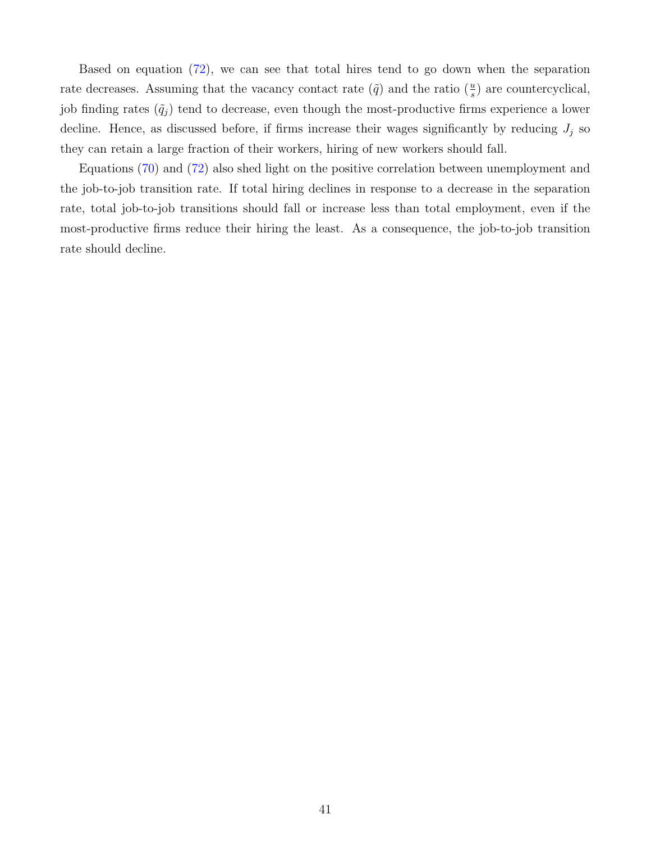Based on equation [\(72\)](#page-40-3), we can see that total hires tend to go down when the separation rate decreases. Assuming that the vacancy contact rate  $(\tilde{q})$  and the ratio  $(\frac{u}{s})$  are countercyclical, job finding rates  $(\tilde{q}_j)$  tend to decrease, even though the most-productive firms experience a lower decline. Hence, as discussed before, if firms increase their wages significantly by reducing  $J_j$  so they can retain a large fraction of their workers, hiring of new workers should fall.

Equations [\(70\)](#page-40-1) and [\(72\)](#page-40-3) also shed light on the positive correlation between unemployment and the job-to-job transition rate. If total hiring declines in response to a decrease in the separation rate, total job-to-job transitions should fall or increase less than total employment, even if the most-productive firms reduce their hiring the least. As a consequence, the job-to-job transition rate should decline.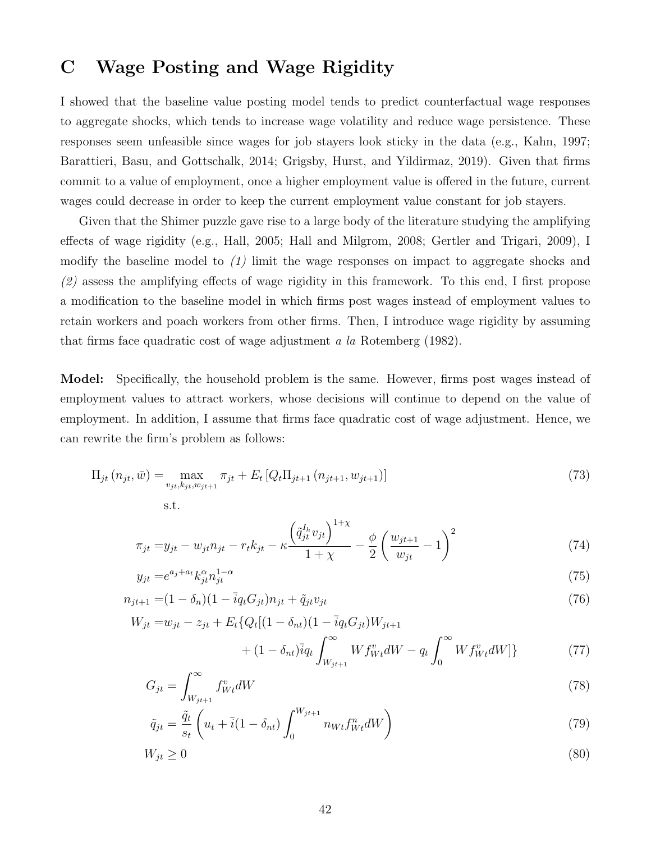## <span id="page-42-0"></span>C Wage Posting and Wage Rigidity

I showed that the baseline value posting model tends to predict counterfactual wage responses to aggregate shocks, which tends to increase wage volatility and reduce wage persistence. These responses seem unfeasible since wages for job stayers look sticky in the data (e.g., Kahn, 1997; Barattieri, Basu, and Gottschalk, 2014; Grigsby, Hurst, and Yildirmaz, 2019). Given that firms commit to a value of employment, once a higher employment value is offered in the future, current wages could decrease in order to keep the current employment value constant for job stayers.

Given that the Shimer puzzle gave rise to a large body of the literature studying the amplifying effects of wage rigidity (e.g., Hall, 2005; Hall and Milgrom, 2008; Gertler and Trigari, 2009), I modify the baseline model to  $(1)$  limit the wage responses on impact to aggregate shocks and (2) assess the amplifying effects of wage rigidity in this framework. To this end, I first propose a modification to the baseline model in which firms post wages instead of employment values to retain workers and poach workers from other firms. Then, I introduce wage rigidity by assuming that firms face quadratic cost of wage adjustment a la Rotemberg (1982).

Model: Specifically, the household problem is the same. However, firms post wages instead of employment values to attract workers, whose decisions will continue to depend on the value of employment. In addition, I assume that firms face quadratic cost of wage adjustment. Hence, we can rewrite the firm's problem as follows:

$$
\Pi_{jt}(n_{jt}, \bar{w}) = \max_{v_{jt}, k_{jt}, w_{jt+1}} \pi_{jt} + E_t \left[ Q_t \Pi_{jt+1}(n_{jt+1}, w_{jt+1}) \right]
$$
\n(73)

s.t.

 $W_{jt}$ 

$$
\pi_{jt} = y_{jt} - w_{jt} n_{jt} - r_t k_{jt} - \kappa \frac{\left(\tilde{q}_{jt}^{I_h} v_{jt}\right)^{1+\chi}}{1+\chi} - \frac{\phi}{2} \left(\frac{w_{jt+1}}{w_{jt}} - 1\right)^2 \tag{74}
$$

$$
y_{jt} = e^{a_j + a_t} k_{jt}^{\alpha} n_{jt}^{1-\alpha} \tag{75}
$$

$$
n_{jt+1} = (1 - \delta_n)(1 - \bar{i}q_t G_{jt})n_{jt} + \tilde{q}_{jt}v_{jt}
$$
\n(76)

<span id="page-42-1"></span>
$$
=w_{jt} - z_{jt} + E_t \{ Q_t [(1 - \delta_{nt})(1 - \bar{i}q_t G_{jt}) W_{jt+1} + (1 - \delta_{nt}) \bar{i}q_t \int_{W_{jt+1}}^{\infty} W f_{Wt}^v dW - q_t \int_0^{\infty} W f_{Wt}^v dW ] \}
$$
(77)

$$
G_{jt} = \int_{W_{jt+1}}^{\infty} f_{Wt}^v dW \tag{78}
$$

$$
\tilde{q}_{jt} = \frac{\tilde{q}_t}{s_t} \left( u_t + \bar{i} (1 - \delta_{nt}) \int_0^{W_{jt+1}} n_{Wt} f_{Wt}^n dW \right) \tag{79}
$$

$$
W_{jt} \ge 0\tag{80}
$$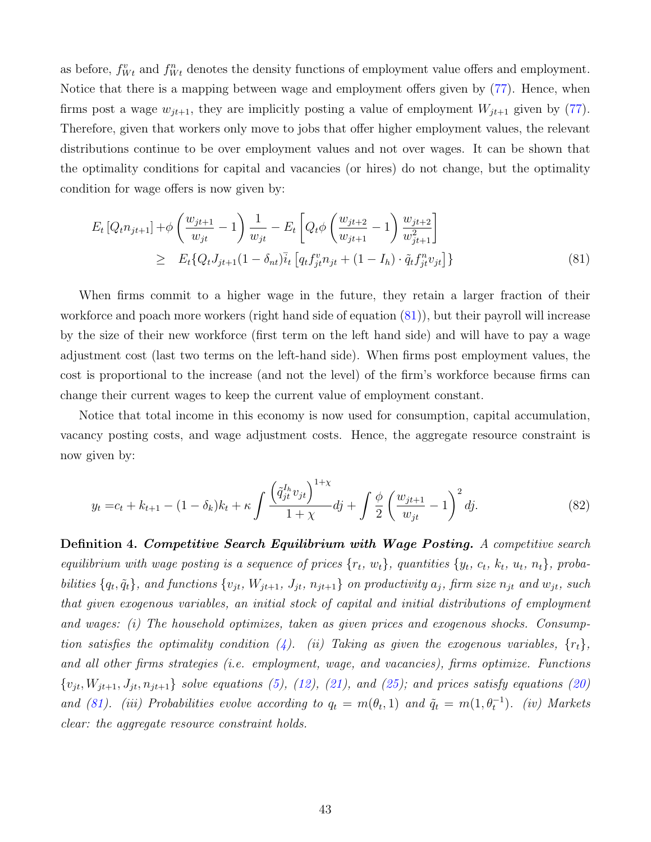as before,  $f_{Wt}^v$  and  $f_{Wt}^n$  denotes the density functions of employment value offers and employment. Notice that there is a mapping between wage and employment offers given by [\(77\)](#page-42-1). Hence, when firms post a wage  $w_{jt+1}$ , they are implicitly posting a value of employment  $W_{jt+1}$  given by [\(77\)](#page-42-1). Therefore, given that workers only move to jobs that offer higher employment values, the relevant distributions continue to be over employment values and not over wages. It can be shown that the optimality conditions for capital and vacancies (or hires) do not change, but the optimality condition for wage offers is now given by:

<span id="page-43-0"></span>
$$
E_t [Q_t n_{jt+1}] + \phi \left( \frac{w_{jt+1}}{w_{jt}} - 1 \right) \frac{1}{w_{jt}} - E_t \left[ Q_t \phi \left( \frac{w_{jt+2}}{w_{jt+1}} - 1 \right) \frac{w_{jt+2}}{w_{jt+1}^2} \right] \ge E_t \{ Q_t J_{jt+1} (1 - \delta_{nt}) \bar{i}_t \left[ q_t f_{jt}^v n_{jt} + (1 - I_h) \cdot \tilde{q}_t f_{jt}^n v_{jt} \right] \}
$$
\n(81)

When firms commit to a higher wage in the future, they retain a larger fraction of their workforce and poach more workers (right hand side of equation [\(81\)](#page-43-0)), but their payroll will increase by the size of their new workforce (first term on the left hand side) and will have to pay a wage adjustment cost (last two terms on the left-hand side). When firms post employment values, the cost is proportional to the increase (and not the level) of the firm's workforce because firms can change their current wages to keep the current value of employment constant.

Notice that total income in this economy is now used for consumption, capital accumulation, vacancy posting costs, and wage adjustment costs. Hence, the aggregate resource constraint is now given by:

$$
y_t = c_t + k_{t+1} - (1 - \delta_k)k_t + \kappa \int \frac{\left(\tilde{q}_{jt}^{I_h} v_{jt}\right)^{1+\chi}}{1+\chi} dj + \int \frac{\phi}{2} \left(\frac{w_{jt+1}}{w_{jt}} - 1\right)^2 dj. \tag{82}
$$

Definition 4. Competitive Search Equilibrium with Wage Posting. A competitive search equilibrium with wage posting is a sequence of prices  $\{r_t, w_t\}$ , quantities  $\{y_t, c_t, k_t, u_t, n_t\}$ , probabilities  $\{q_t, \tilde{q}_t\}$ , and functions  $\{v_{jt}, W_{jt+1}, J_{jt}, n_{jt+1}\}$  on productivity  $a_j$ , firm size  $n_{jt}$  and  $w_{jt}$ , such that given exogenous variables, an initial stock of capital and initial distributions of employment and wages: (i) The household optimizes, taken as given prices and exogenous shocks. Consump-tion satisfies the optimality condition [\(4\)](#page-7-0). (ii) Taking as given the exogenous variables,  $\{r_t\}$ , and all other firms strategies (i.e. employment, wage, and vacancies), firms optimize. Functions  ${v_{jt}, W_{jt+1}, J_{jt}, n_{jt+1}}$  solve equations [\(5\)](#page-7-1), [\(12\)](#page-8-0), [\(21\)](#page-9-0), and [\(25\)](#page-9-2); and prices satisfy equations [\(20\)](#page-9-3) and [\(81\)](#page-43-0). (iii) Probabilities evolve according to  $q_t = m(\theta_t, 1)$  and  $\tilde{q}_t = m(1, \theta_t^{-1})$ . (iv) Markets clear: the aggregate resource constraint holds.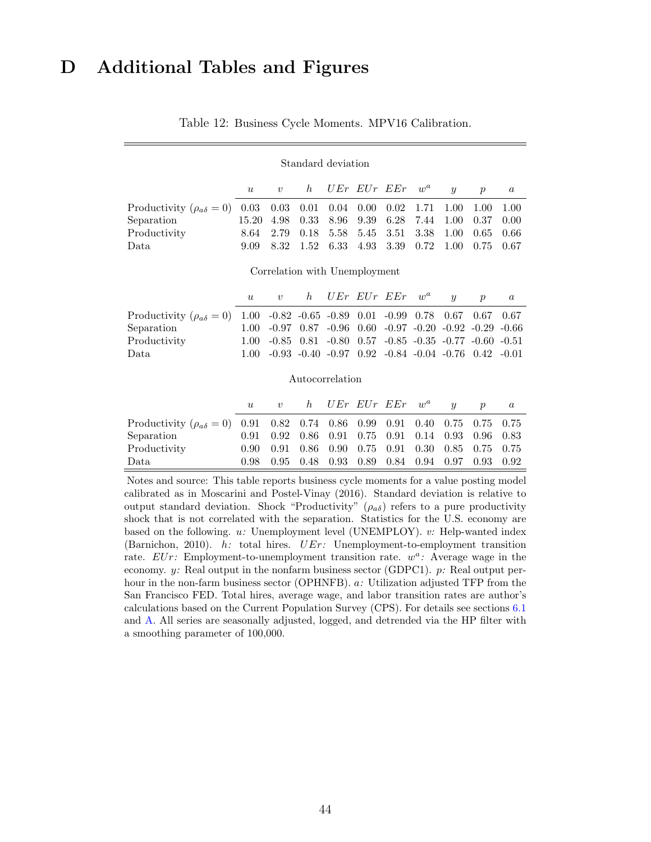## <span id="page-44-1"></span><span id="page-44-0"></span>D Additional Tables and Figures

|  |  |  |  |  | Table 12: Business Cycle Moments. MPV16 Calibration. |
|--|--|--|--|--|------------------------------------------------------|
|--|--|--|--|--|------------------------------------------------------|

### Standard deviation u v h UEr EUr EEr w<sup>a</sup> y p a Productivity  $(\rho_{a\delta} = 0)$  0.03 0.03 0.01 0.04 0.00 0.02 1.71 1.00 1.00 1.00 Separation 15.20 4.98 0.33 8.96 9.39 6.28 7.44 1.00 0.37 0.00 Productivity 8.64 2.79 0.18 5.58 5.45 3.51 3.38 1.00 0.65 0.66 Data 9.09 8.32 1.52 6.33 4.93 3.39 0.72 1.00 0.75 0.67 Correlation with Unemployment  $\begin{array}{cccccccccccccc} u & v & h & UEr & EUr & EEr & w^a & y & p & a \end{array}$ Productivity  $(\rho_{a\delta} = 0)$  1.00 -0.82 -0.65 -0.89 0.01 -0.99 0.78 0.67 0.67 0.67<br>Separation 1.00 -0.97 0.87 -0.96 0.60 -0.97 -0.20 -0.92 -0.29 -0.66 Separation 1.00 -0.97 0.87 -0.96 0.60 -0.97 -0.20 -0.92 -0.29 -0.66 Productivity 1.00 -0.85 0.81 -0.80 0.57 -0.85 -0.35 -0.77 -0.60 -0.51 Data 1.00 -0.93 -0.40 -0.97 0.92 -0.84 -0.04 -0.76 0.42 -0.01 Autocorrelation u v h UEr EUr EEr w<sup>a</sup> y p a Productivity  $(\rho_{a\delta} = 0)$  0.91 0.82 0.74 0.86 0.99 0.91 0.40 0.75 0.75 0.75 Separation 0.91 0.92 0.86 0.91 0.75 0.91 0.14 0.93 0.96 0.83 Productivity 0.90 0.91 0.86 0.90 0.75 0.91 0.30 0.85 0.75 0.75

Notes and source: This table reports business cycle moments for a value posting model calibrated as in Moscarini and Postel-Vinay (2016). Standard deviation is relative to output standard deviation. Shock "Productivity"  $(\rho_{a\delta})$  refers to a pure productivity shock that is not correlated with the separation. Statistics for the U.S. economy are based on the following. u: Unemployment level (UNEMPLOY). v: Help-wanted index (Barnichon, 2010). h: total hires. UEr: Unemployment-to-employment transition rate.  $EUr$ : Employment-to-unemployment transition rate.  $w^a$ : Average wage in the economy.  $y$ : Real output in the nonfarm business sector (GDPC1).  $p$ : Real output perhour in the non-farm business sector (OPHNFB). a: Utilization adjusted TFP from the San Francisco FED. Total hires, average wage, and labor transition rates are author's calculations based on the Current Population Survey (CPS). For details see sections [6.1](#page-21-1) and [A.](#page-38-0) All series are seasonally adjusted, logged, and detrended via the HP filter with a smoothing parameter of 100,000.

Data 0.98 0.95 0.48 0.93 0.89 0.84 0.94 0.97 0.93 0.92